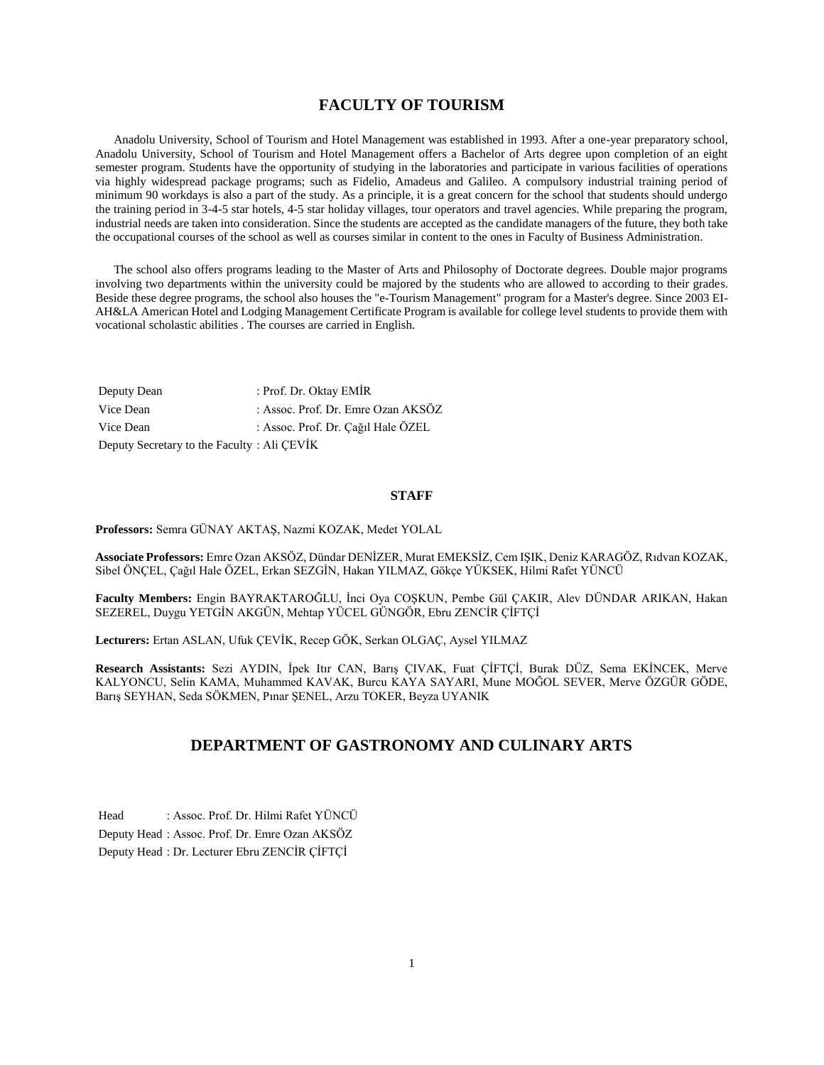## **FACULTY OF TOURISM**

 Anadolu University, School of Tourism and Hotel Management was established in 1993. After a one-year preparatory school, Anadolu University, School of Tourism and Hotel Management offers a Bachelor of Arts degree upon completion of an eight semester program. Students have the opportunity of studying in the laboratories and participate in various facilities of operations via highly widespread package programs; such as Fidelio, Amadeus and Galileo. A compulsory industrial training period of minimum 90 workdays is also a part of the study. As a principle, it is a great concern for the school that students should undergo the training period in 3-4-5 star hotels, 4-5 star holiday villages, tour operators and travel agencies. While preparing the program, industrial needs are taken into consideration. Since the students are accepted as the candidate managers of the future, they both take the occupational courses of the school as well as courses similar in content to the ones in Faculty of Business Administration.

 The school also offers programs leading to the Master of Arts and Philosophy of Doctorate degrees. Double major programs involving two departments within the university could be majored by the students who are allowed to according to their grades. Beside these degree programs, the school also houses the "e-Tourism Management" program for a Master's degree. Since 2003 EI-AH&LA American Hotel and Lodging Management Certificate Program is available for college level students to provide them with vocational scholastic abilities . The courses are carried in English.

| Deputy Dean                                | : Prof. Dr. Oktay EMIR             |  |  |  |
|--------------------------------------------|------------------------------------|--|--|--|
| Vice Dean                                  | : Assoc. Prof. Dr. Emre Ozan AKSÖZ |  |  |  |
| Vice Dean                                  | : Assoc. Prof. Dr. Cağıl Hale ÖZEL |  |  |  |
| Deputy Secretary to the Faculty: Ali CEVIK |                                    |  |  |  |

#### **STAFF**

**Professors:** Semra GÜNAY AKTAŞ, Nazmi KOZAK, Medet YOLAL

**Associate Professors:** Emre Ozan AKSÖZ, Dündar DENİZER, Murat EMEKSİZ, Cem IŞIK, Deniz KARAGÖZ, Rıdvan KOZAK, Sibel ÖNÇEL, Çağıl Hale ÖZEL, Erkan SEZGİN, Hakan YILMAZ, Gökçe YÜKSEK, Hilmi Rafet YÜNCÜ

**Faculty Members:** Engin BAYRAKTAROĞLU, İnci Oya COŞKUN, Pembe Gül ÇAKIR, Alev DÜNDAR ARIKAN, Hakan SEZEREL, Duygu YETGİN AKGÜN, Mehtap YÜCEL GÜNGÖR, Ebru ZENCİR ÇİFTÇİ

**Lecturers:** Ertan ASLAN, Ufuk ÇEVİK, Recep GÖK, Serkan OLGAÇ, Aysel YILMAZ

**Research Assistants:** Sezi AYDIN, İpek Itır CAN, Barış ÇIVAK, Fuat ÇİFTÇİ, Burak DÜZ, Sema EKİNCEK, Merve KALYONCU, Selin KAMA, Muhammed KAVAK, Burcu KAYA SAYARI, Mune MOĞOL SEVER, Merve ÖZGÜR GÖDE, Barış SEYHAN, Seda SÖKMEN, Pınar ŞENEL, Arzu TOKER, Beyza UYANIK

## **DEPARTMENT OF GASTRONOMY AND CULINARY ARTS**

Head : Assoc. Prof. Dr. Hilmi Rafet YÜNCÜ Deputy Head : Assoc. Prof. Dr. Emre Ozan AKSÖZ Deputy Head : Dr. Lecturer Ebru ZENCİR ÇİFTÇİ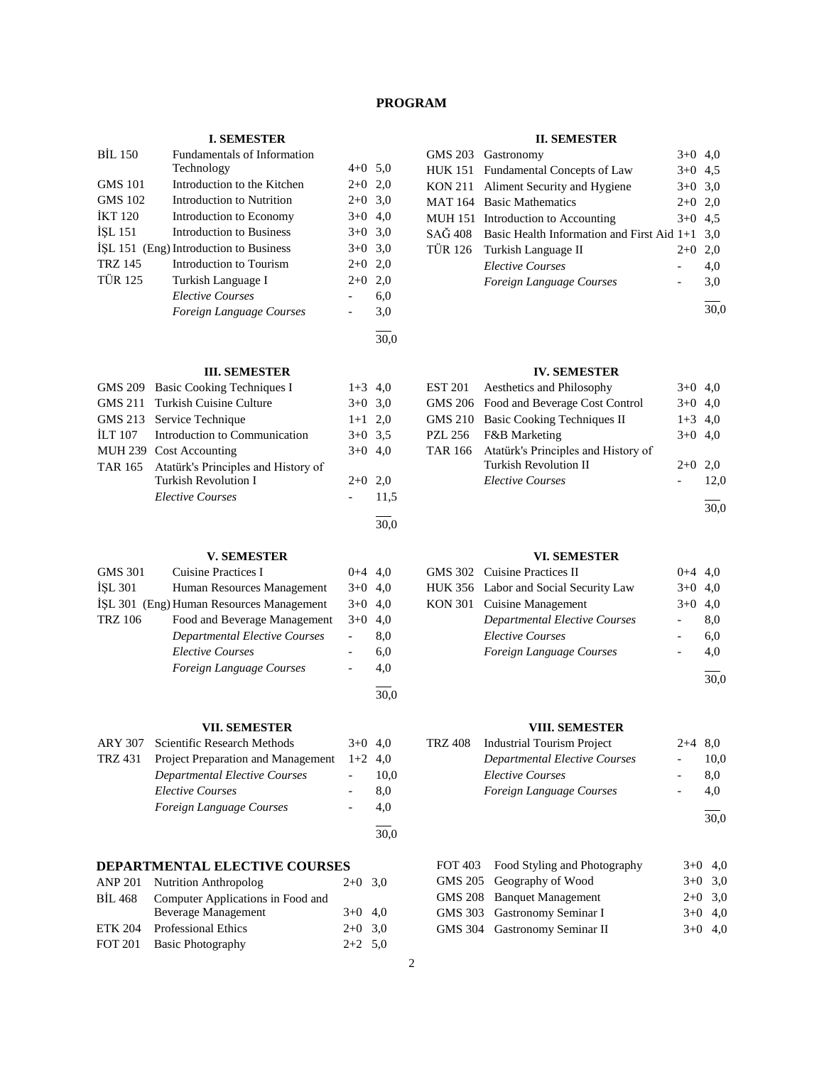## **PROGRAM**

#### **I. SEMESTER**

| <b>BIL 150</b> | Fundamentals of Information            |           |      |
|----------------|----------------------------------------|-----------|------|
|                | Technology                             | $4+0$ 5.0 |      |
| <b>GMS 101</b> | Introduction to the Kitchen            | $2+0$ 2,0 |      |
| <b>GMS 102</b> | Introduction to Nutrition              | $2+0$ 3.0 |      |
| <b>IKT 120</b> | Introduction to Economy                | $3+0$ 4,0 |      |
| <b>ISL 151</b> | Introduction to Business               | $3+0$ 3.0 |      |
|                | ISL 151 (Eng) Introduction to Business | $3+0$ 3.0 |      |
| <b>TRZ 145</b> | Introduction to Tourism                | $2+0$ 2,0 |      |
| <b>TÜR 125</b> | Turkish Language I                     | $2+0$     | 2,0  |
|                | <i>Elective Courses</i>                |           | 6,0  |
|                | Foreign Language Courses               |           | 3,0  |
|                |                                        |           | 30.0 |

#### **III. SEMESTER**

|         | GMS 209 Basic Cooking Techniques I          | $1+3$ 4,0 |      |
|---------|---------------------------------------------|-----------|------|
|         | GMS 211 Turkish Cuisine Culture             | $3+0$ 3.0 |      |
|         | GMS 213 Service Technique                   | $1+1$ 2,0 |      |
| ILT 107 | Introduction to Communication               | $3+0$ 3.5 |      |
|         | MUH 239 Cost Accounting                     | $3+0$ 4,0 |      |
|         | TAR 165 Atatürk's Principles and History of |           |      |
|         | Turkish Revolution I                        | $2+0$     | 2,0  |
|         | <b>Elective Courses</b>                     |           | 11,5 |
|         |                                             |           |      |
|         |                                             |           | 30.0 |

#### **V. SEMESTER**

| <b>GMS 301</b> | <b>Cuisine Practices I</b>               | $0 + 4$ | 4.0  |
|----------------|------------------------------------------|---------|------|
| <b>ISL 301</b> | Human Resources Management               | $3+0$   | 4.0  |
|                | ISL 301 (Eng) Human Resources Management | $3+0$   | 4.0  |
| <b>TRZ 106</b> | Food and Beverage Management             | $3+0$   | 4.0  |
|                | <b>Departmental Elective Courses</b>     |         | 8,0  |
|                | <b>Elective Courses</b>                  |         | 6,0  |
|                | Foreign Language Courses                 |         | 4,0  |
|                |                                          |         |      |
|                |                                          |         | 30.0 |

#### **VII. SEMESTER**

|         | ARY 307 Scientific Research Methods       | $3+0$ 4.0 |      |
|---------|-------------------------------------------|-----------|------|
| TRZ 431 | <b>Project Preparation and Management</b> | $1+2$ 4,0 |      |
|         | <b>Departmental Elective Courses</b>      |           | 10,0 |
|         | <i>Elective Courses</i>                   |           | 8.0  |
|         | Foreign Language Courses                  |           | 4.0  |
|         |                                           |           | 30,0 |

# **DEPARTMENTAL ELECTIVE COURSES**

| ANP 201 Nutrition Anthropolog             | $2+0$ 3.0 |  |
|-------------------------------------------|-----------|--|
| BİL 468 Computer Applications in Food and |           |  |
| Beverage Management                       | $3+0$ 4,0 |  |
| ETK 204 Professional Ethics               | $2+0$ 3.0 |  |
| FOT 201 Basic Photography                 | $2+2$ 5.0 |  |

#### **II. SEMESTER**

|  | GMS 203 Gastronomy                                              | $3+0$ 4.0 |     |
|--|-----------------------------------------------------------------|-----------|-----|
|  | HUK 151 Fundamental Concepts of Law                             | $3+0$ 4.5 |     |
|  | KON 211 Aliment Security and Hygiene                            | $3+0$ 3.0 |     |
|  | <b>MAT 164</b> Basic Mathematics                                | $2+0$ 2,0 |     |
|  | MUH 151 Introduction to Accounting                              | $3+0$ 4.5 |     |
|  | $SA\ddot{G}$ 408 Basic Health Information and First Aid 1+1 3,0 |           |     |
|  | TÜR 126 Turkish Language II                                     | $2+0$     | 2,0 |
|  | <b>Elective Courses</b>                                         |           | 4,0 |
|  | Foreign Language Courses                                        |           | 3,0 |
|  |                                                                 |           |     |

30,0

## **IV. SEMESTER**

|         | EST 201 Aesthetics and Philosophy           | $3+0$ 4,0 |      |
|---------|---------------------------------------------|-----------|------|
|         | GMS 206 Food and Beverage Cost Control      | $3+0$ 4,0 |      |
|         | GMS 210 Basic Cooking Techniques II         | $1+3$ 4,0 |      |
| PZL 256 | F&B Marketing                               | $3+0$ 4,0 |      |
|         | TAR 166 Atatürk's Principles and History of |           |      |
|         | <b>Turkish Revolution II</b>                | $2+0$     | 2.0  |
|         | <b>Elective Courses</b>                     |           | 12.0 |
|         |                                             |           | 30.0 |

#### **VI. SEMESTER**

| GMS 302 Cuisine Practices II          | $0+4$ 4.0 |     |
|---------------------------------------|-----------|-----|
| HUK 356 Labor and Social Security Law | $3+0$ 4.0 |     |
| KON 301 Cuisine Management            | $3+0$ 4.0 |     |
| <b>Departmental Elective Courses</b>  |           | 8.0 |
| <b>Elective Courses</b>               |           | 6.0 |
| Foreign Language Courses              |           | 4.0 |
|                                       |           |     |

30,0

#### **VIII. SEMESTER**

| TRZ 408 | Industrial Tourism Project    | $2+4$ 8.0 |      |
|---------|-------------------------------|-----------|------|
|         | Departmental Elective Courses |           | 10.0 |
|         | <i>Elective Courses</i>       |           | 8.0  |
|         | Foreign Language Courses      |           | 4.0  |
|         |                               |           |      |

30,0

| FOT 403 Food Styling and Photography | $3+0$ 4.0 |  |
|--------------------------------------|-----------|--|
| GMS 205 Geography of Wood            | $3+0$ 3.0 |  |
| GMS 208 Banquet Management           | $2+0$ 3.0 |  |
| GMS 303 Gastronomy Seminar I         | $3+0$ 4.0 |  |
| GMS 304 Gastronomy Seminar II        | $3+0$ 4.0 |  |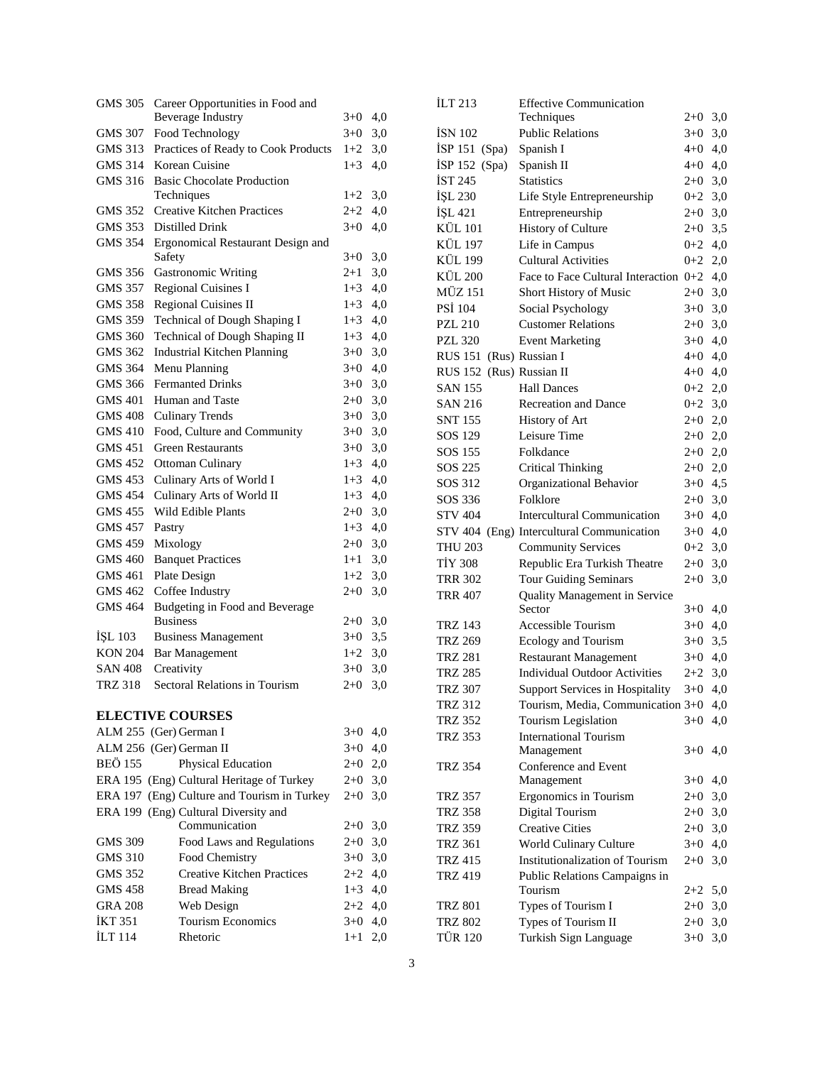| GMS 305        | Career Opportunities in Food and                      |         |     |
|----------------|-------------------------------------------------------|---------|-----|
|                | <b>Beverage Industry</b>                              | $3+0$   | 4,0 |
| <b>GMS 307</b> | Food Technology                                       | $3 + 0$ | 3,0 |
| GMS 313        | Practices of Ready to Cook Products<br>Korean Cuisine | $1+2$   | 3,0 |
| GMS 314        |                                                       | $1+3$   | 4,0 |
| GMS 316        | <b>Basic Chocolate Production</b><br>Techniques       | $1+2$   | 3,0 |
| GMS 352        | <b>Creative Kitchen Practices</b>                     | $2+2$   | 4,0 |
| GMS 353        | Distilled Drink                                       | $3+0$   | 4,0 |
| <b>GMS 354</b> | Ergonomical Restaurant Design and                     |         |     |
|                | Safety                                                | $3+0$   | 3,0 |
| GMS 356        | <b>Gastronomic Writing</b>                            | $2+1$   | 3,0 |
| <b>GMS 357</b> | <b>Regional Cuisines I</b>                            | $1 + 3$ | 4,0 |
| <b>GMS 358</b> | <b>Regional Cuisines II</b>                           | $1 + 3$ | 4,0 |
| <b>GMS 359</b> | Technical of Dough Shaping I                          | $1+3$   | 4,0 |
| <b>GMS 360</b> | Technical of Dough Shaping II                         | $1+3$   | 4,0 |
| GMS 362        | <b>Industrial Kitchen Planning</b>                    | $3+0$   | 3,0 |
| <b>GMS 364</b> | Menu Planning                                         | $3+0$   | 4,0 |
| GMS 366        | <b>Fermanted Drinks</b>                               | $3+0$   | 3,0 |
| GMS 401        | Human and Taste                                       | $2+0$   | 3,0 |
| GMS 408        | <b>Culinary Trends</b>                                | $3+0$   | 3,0 |
| GMS 410        | Food, Culture and Community                           | $3+0$   | 3,0 |
| GMS 451        | <b>Green Restaurants</b>                              | $3+0$   | 3,0 |
| GMS 452        | Ottoman Culinary                                      | $1+3$   | 4,0 |
| GMS 453        | Culinary Arts of World I                              | $1 + 3$ | 4,0 |
| GMS 454        | Culinary Arts of World II                             | $1 + 3$ | 4,0 |
| GMS 455        | Wild Edible Plants                                    | $2+0$   | 3,0 |
| GMS 457        | Pastry                                                | $1 + 3$ | 4,0 |
| GMS 459        | Mixology                                              | $2+0$   | 3,0 |
| GMS 460        | <b>Banquet Practices</b>                              | $1+1$   | 3,0 |
| GMS 461        | Plate Design                                          | $1+2$   | 3,0 |
| GMS 462        | Coffee Industry                                       | $2 + 0$ | 3,0 |
| <b>GMS 464</b> | Budgeting in Food and Beverage                        |         |     |
|                | <b>Business</b>                                       | $2+0$   | 3,0 |
| İŞL 103        | <b>Business Management</b>                            | $3+0$   | 3,5 |
| <b>KON 204</b> | <b>Bar Management</b>                                 | $1+2$   | 3,0 |
| <b>SAN 408</b> | Creativity                                            | $3+0$   | 3,0 |
| <b>TRZ 318</b> | Sectoral Relations in Tourism                         | $2 + 0$ | 3,0 |
|                |                                                       |         |     |
|                | <b>ELECTIVE COURSES</b>                               |         |     |
|                | ALM 255 (Ger) German I                                | $3+0$   | 4,0 |
|                | ALM 256 (Ger) German II                               | $3+0$   | 4,0 |
| <b>BEÖ 155</b> | Physical Education                                    | $2 + 0$ | 2,0 |
|                | ERA 195 (Eng) Cultural Heritage of Turkey             | $2+0$   | 3,0 |
|                | ERA 197 (Eng) Culture and Tourism in Turkey           | $2+0$   | 3,0 |
|                | ERA 199 (Eng) Cultural Diversity and                  |         |     |
|                | Communication                                         | $2 + 0$ | 3,0 |
| <b>GMS 309</b> | Food Laws and Regulations                             | $2+0$   | 3,0 |
| <b>GMS 310</b> | Food Chemistry                                        | 3+0     | 3,0 |
| <b>GMS 352</b> | <b>Creative Kitchen Practices</b>                     | 2+2     | 4,0 |
| <b>GMS 458</b> | <b>Bread Making</b>                                   | $1 + 3$ | 4,0 |
| <b>GRA 208</b> | Web Design                                            | $2 + 2$ | 4,0 |
| <b>İKT 351</b> | <b>Tourism Economics</b>                              | $3+0$   | 4,0 |
| İLT 114        | Rhetoric                                              | $1+1$   | 2,0 |

| <b>ILT 213</b>           | <b>Effective Communication</b>         |           |     |
|--------------------------|----------------------------------------|-----------|-----|
|                          | Techniques                             | $2+0$ 3,0 |     |
| <b>ISN 102</b>           | <b>Public Relations</b>                | $3+0$     | 3,0 |
| ISP 151<br>(Spa)         | Spanish I                              | $4+0$ 4,0 |     |
| İSP 152 (Spa)            | Spanish II                             | $4+0$ 4,0 |     |
| <b>IST 245</b>           | <b>Statistics</b>                      | $2+0$ 3,0 |     |
| İŞL 230                  | Life Style Entrepreneurship            | $0 + 2$   | 3,0 |
| İŞL 421                  | Entrepreneurship                       | $2+0$     | 3,0 |
| <b>KÜL 101</b>           | <b>History of Culture</b>              | $2+0$     | 3,5 |
| <b>KÜL 197</b>           | Life in Campus                         | $0+2$ 4,0 |     |
| <b>KÜL 199</b>           | <b>Cultural Activities</b>             | $0+2$ 2,0 |     |
| KÜL 200                  | Face to Face Cultural Interaction 0+2  |           | 4,0 |
| <b>MÜZ 151</b>           | Short History of Music                 | $2+0$ 3,0 |     |
| <b>PSI</b> 104           | Social Psychology                      | $3+0$ 3,0 |     |
| <b>PZL 210</b>           | <b>Customer Relations</b>              | $2+0$ 3,0 |     |
| <b>PZL 320</b>           | <b>Event Marketing</b>                 | $3+0$ 4,0 |     |
| <b>RUS</b> 151           | (Rus) Russian I                        | $4+0$ 4,0 |     |
| RUS 152 (Rus) Russian II |                                        | $4+0$ 4,0 |     |
| <b>SAN 155</b>           | <b>Hall Dances</b>                     | $0+2$ 2,0 |     |
| <b>SAN 216</b>           | <b>Recreation and Dance</b>            | $0+2$ 3,0 |     |
| <b>SNT 155</b>           | History of Art                         | $2+0$ 2,0 |     |
| SOS 129                  | Leisure Time                           | $2+0$ 2,0 |     |
| SOS 155                  | Folkdance                              | $2+0$ 2,0 |     |
| SOS 225                  | <b>Critical Thinking</b>               | $2+0$ 2,0 |     |
| SOS 312                  | Organizational Behavior                | $3+0$ 4,5 |     |
| SOS 336                  | Folklore                               | $2+0$     | 3,0 |
| <b>STV 404</b>           | <b>Intercultural Communication</b>     | $3+0$     | 4,0 |
| <b>STV 404</b>           | (Eng) Intercultural Communication      | $3+0$ 4,0 |     |
| <b>THU 203</b>           | <b>Community Services</b>              | $0 + 2$   | 3,0 |
| TİY 308                  | Republic Era Turkish Theatre           | $2 + 0$   | 3,0 |
| <b>TRR 302</b>           | <b>Tour Guiding Seminars</b>           | $2 + 0$   | 3,0 |
| <b>TRR 407</b>           | Quality Management in Service          |           |     |
|                          | Sector                                 | $3+0$     | 4,0 |
| <b>TRZ 143</b>           | Accessible Tourism                     | $3 + 0$   | 4,0 |
| <b>TRZ 269</b>           | Ecology and Tourism                    | $3+0$     | 3,5 |
| <b>TRZ 281</b>           | <b>Restaurant Management</b>           | $3+0$     | 4,0 |
| <b>TRZ 285</b>           | <b>Individual Outdoor Activities</b>   | $2+2$     | 3,0 |
| <b>TRZ 307</b>           | <b>Support Services in Hospitality</b> | $3 + 0$   | 4,0 |
| <b>TRZ 312</b>           | Tourism, Media, Communication 3+0      |           | 4,0 |
| <b>TRZ 352</b>           | Tourism Legislation                    | $3+0$     | 4,0 |
| <b>TRZ 353</b>           | <b>International Tourism</b>           |           |     |
|                          | Management                             | $3+0$     | 4,0 |
| <b>TRZ 354</b>           | Conference and Event                   |           |     |
|                          | Management                             | $3+0$ 4,0 |     |
| TRZ 357                  | Ergonomics in Tourism                  | $2+0$     | 3,0 |
| <b>TRZ 358</b>           | Digital Tourism                        | $2+0$     | 3,0 |
| <b>TRZ 359</b>           | <b>Creative Cities</b>                 | $2+0$     | 3,0 |
| <b>TRZ 361</b>           | World Culinary Culture                 | $3+0$     | 4,0 |
| <b>TRZ 415</b>           | <b>Institutionalization of Tourism</b> | $2+0$     | 3,0 |
| <b>TRZ 419</b>           | Public Relations Campaigns in          |           |     |
|                          | Tourism                                | 2+2       | 5,0 |
| <b>TRZ 801</b>           | Types of Tourism I                     | $2+0$     | 3,0 |
| <b>TRZ 802</b>           | Types of Tourism II                    | $2 + 0$   | 3,0 |
| <b>TÜR 120</b>           | Turkish Sign Language                  | $3+0$     | 3,0 |
|                          |                                        |           |     |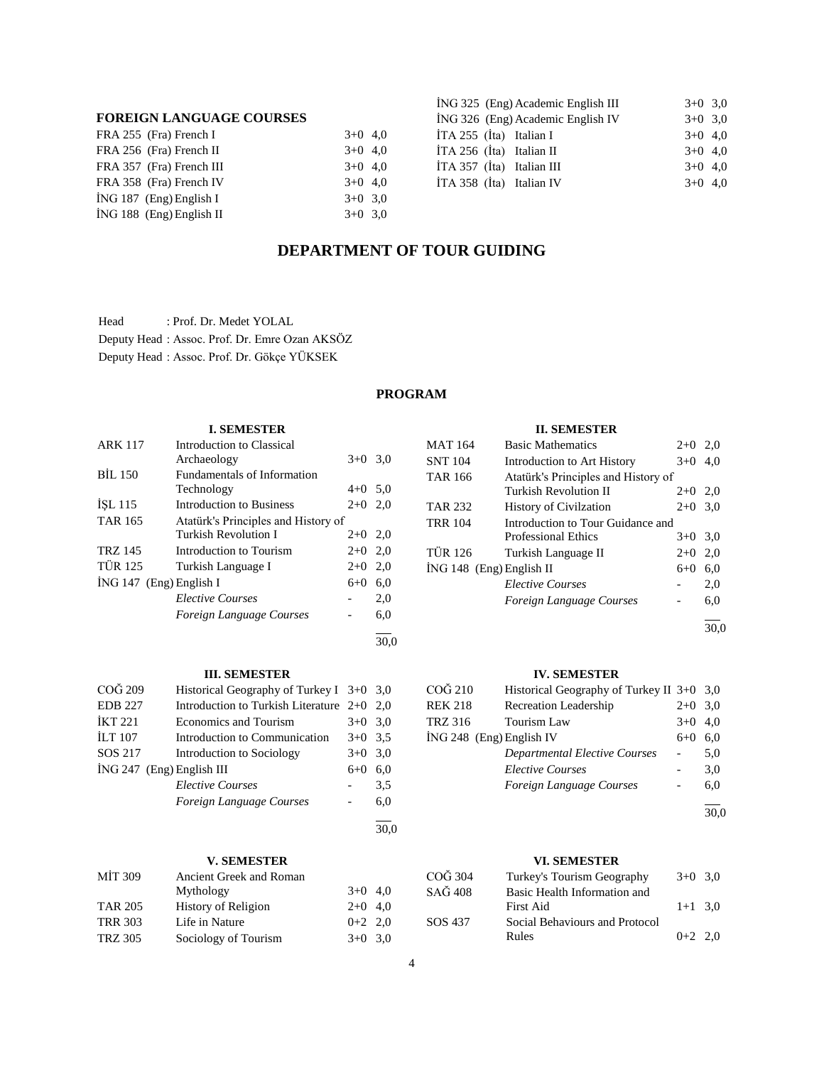## **FOREIGN LANGUAGE COURSES**

| FRA 255 (Fra) French I     | $3+0$ 4.0 |  |
|----------------------------|-----------|--|
| FRA 256 (Fra) French II    | $3+0$ 4.0 |  |
| FRA 357 (Fra) French III   | $3+0$ 4.0 |  |
| FRA 358 (Fra) French IV    | $3+0$ 4.0 |  |
| $ING 187$ (Eng) English I  | $3+0$ 3.0 |  |
| $ING 188$ (Eng) English II | $3+0$ 3.0 |  |

| ING 325 (Eng) Academic English III | $3+0$ 3.0 |
|------------------------------------|-----------|
| ING 326 (Eng) Academic English IV  | $3+0$ 3.0 |
| İTA 255 (İta) Italian I            | $3+0$ 4,0 |
| İTA 256 (İta) Italian II           | $3+0$ 4.0 |
| İTA 357 (İta) Italian III          | $3+0$ 4.0 |
| İTA 358 (İta) Italian IV           | $3+0$ 4.0 |
|                                    |           |

## **DEPARTMENT OF TOUR GUIDING**

Head : Prof. Dr. Medet YOLAL Deputy Head : Assoc. Prof. Dr. Emre Ozan AKSÖZ Deputy Head : Assoc. Prof. Dr. Gökçe YÜKSEK

## **PROGRAM**

## **I. SEMESTER**

| <b>ARK 117</b> | Introduction to Classical           |           |     |
|----------------|-------------------------------------|-----------|-----|
|                | Archaeology                         | $3+0$ 3.0 |     |
| <b>BIL 150</b> | <b>Fundamentals of Information</b>  |           |     |
|                | Technology                          | $4 + 0$   | 5,0 |
| <b>ISL 115</b> | Introduction to Business            | $2+0$     | 2.0 |
| <b>TAR 165</b> | Atatürk's Principles and History of |           |     |
|                | Turkish Revolution I                | $2+0$ 2,0 |     |
| <b>TRZ 145</b> | Introduction to Tourism             | $2+0$ 2,0 |     |
| <b>TÜR 125</b> | Turkish Language I                  | $2+0$     | 2.0 |
|                | $ING 147$ (Eng) English I           | $6 + 0$   | 6,0 |
|                | <b>Elective Courses</b>             |           | 2,0 |
|                | Foreign Language Courses            |           | 6,0 |
|                |                                     |           |     |

## **III. SEMESTER**

| COG 209                     | Historical Geography of Turkey I $3+0$ 3,0 |           |     |
|-----------------------------|--------------------------------------------|-----------|-----|
| <b>EDB 227</b>              | Introduction to Turkish Literature $2+0$   |           | 2.0 |
| <b>IKT 221</b>              | <b>Economics and Tourism</b>               | $3+0$ 3.0 |     |
| <b>ILT 107</b>              | Introduction to Communication              | $3+0$ 3.5 |     |
| SOS 217                     | Introduction to Sociology                  | $3+0$     | 3,0 |
| $ING 247$ (Eng) English III |                                            | $6 + 0$   | 6.0 |
|                             | <b>Elective Courses</b>                    |           | 3.5 |
|                             | Foreign Language Courses                   |           | 6.0 |
|                             |                                            |           |     |

30,0

30,0

## **V. SEMESTER**

| MIT 309        | Ancient Greek and Roman    |           |  |
|----------------|----------------------------|-----------|--|
|                | Mythology                  | $3+0$ 4,0 |  |
| <b>TAR 205</b> | <b>History of Religion</b> | $2+0$ 4,0 |  |
| <b>TRR 303</b> | Life in Nature             | $0+2$ 2,0 |  |
| TRZ 305        | Sociology of Tourism       | $3+0$ 3.0 |  |

## **II. SEMESTER**

| <b>MAT 164</b>             | <b>Basic Mathematics</b>            | $2+0$     | 2,0 |
|----------------------------|-------------------------------------|-----------|-----|
| <b>SNT 104</b>             | Introduction to Art History         | $3+0$     | 4,0 |
| <b>TAR 166</b>             | Atatürk's Principles and History of |           |     |
|                            | Turkish Revolution II               | $2+0$     | 2,0 |
| <b>TAR 232</b>             | <b>History of Civilzation</b>       | $2+0$     | 3,0 |
| <b>TRR 104</b>             | Introduction to Tour Guidance and   |           |     |
|                            | <b>Professional Ethics</b>          | $3+0$ 3.0 |     |
| <b>TÜR 126</b>             | Turkish Language II                 | $2+0$     | 2,0 |
| $ING 148$ (Eng) English II |                                     | $6+0$     | 6.0 |
|                            | <b>Elective Courses</b>             |           | 2,0 |
|                            | Foreign Language Courses            |           | 6,0 |
|                            |                                     |           |     |

30,0

## **IV. SEMESTER**

| COĞ 210                  | Historical Geography of Turkey II 3+0 3,0 |           |     |
|--------------------------|-------------------------------------------|-----------|-----|
| <b>REK 218</b>           | Recreation Leadership                     | $2+0$ 3.0 |     |
| TRZ 316                  | Tourism Law                               | $3+0$ 4,0 |     |
| ING 248 (Eng) English IV |                                           | $6+0$     | 6.0 |
|                          | <b>Departmental Elective Courses</b>      |           | 5.0 |
|                          | <b>Elective Courses</b>                   |           | 3,0 |
|                          | Foreign Language Courses                  |           | 6.0 |

 $\overline{a}$ 30,0

# **VI. SEMESTER**

| $3+0$ 3.0 |
|-----------|
|           |
| $1+1$ 3.0 |
|           |
| $0+2$ 2.0 |
|           |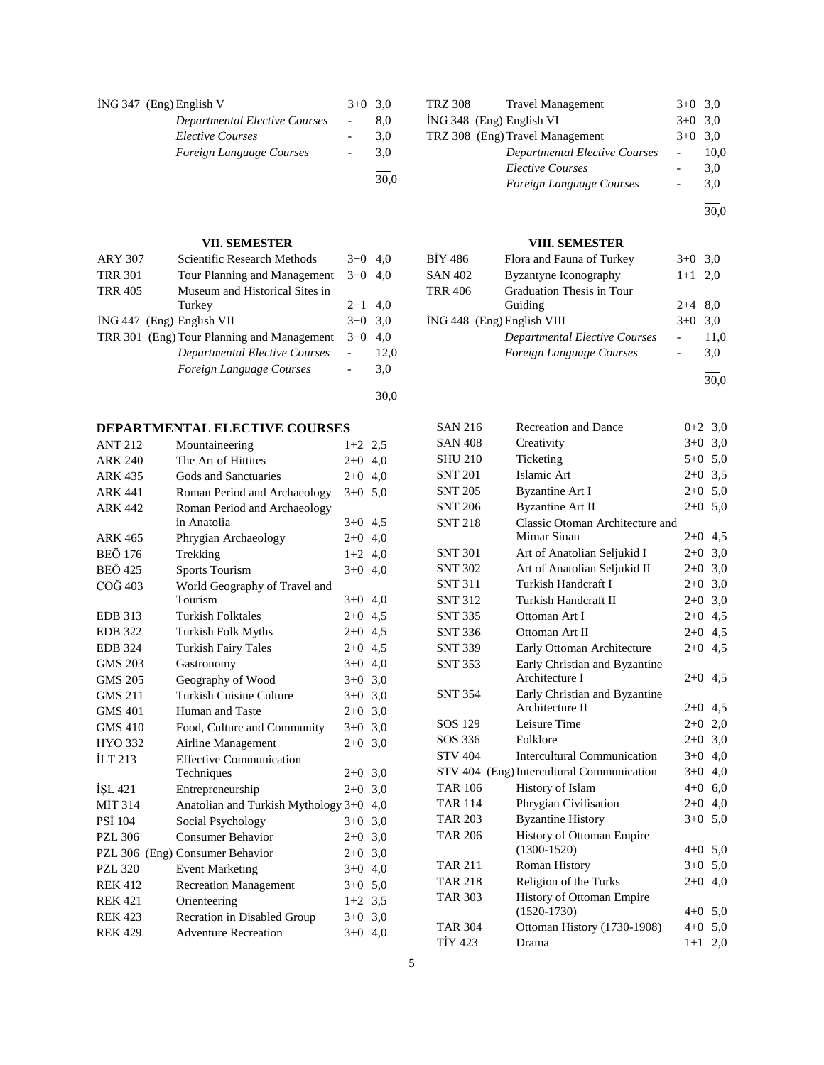| ING 347 (Eng) English V              | $3+0$ 3.0 |      |
|--------------------------------------|-----------|------|
| <b>Departmental Elective Courses</b> |           | 8.0  |
| <i>Elective Courses</i>              |           | 3.0  |
| Foreign Language Courses             |           | 3.0  |
|                                      |           | 30.0 |

## **VII. SEMESTER**

| <b>ARY 307</b>            | Scientific Research Methods                | $3+0$     | 4.0  |
|---------------------------|--------------------------------------------|-----------|------|
| <b>TRR 301</b>            | Tour Planning and Management               | $3+0$     | 4.0  |
| <b>TRR 405</b>            | Museum and Historical Sites in             |           |      |
|                           | Turkey                                     | $2+1$ 4,0 |      |
| ING 447 (Eng) English VII |                                            | $3+0$ 3.0 |      |
|                           | TRR 301 (Eng) Tour Planning and Management | $3+0$     | 4.0  |
|                           | <b>Departmental Elective Courses</b>       |           | 12,0 |
|                           | Foreign Language Courses                   |           | 3,0  |
|                           |                                            |           |      |

## **DEPARTMENTAL ELECTIVE COURSES**

| <b>ANT 212</b> | Mountaineering                      | $1+2$     | 2,5 |
|----------------|-------------------------------------|-----------|-----|
| <b>ARK 240</b> | The Art of Hittites                 | $2+0$     | 4,0 |
| <b>ARK 435</b> | Gods and Sanctuaries                | $2+0$     | 4,0 |
| <b>ARK 441</b> | Roman Period and Archaeology        | $3+0$ 5,0 |     |
| <b>ARK 442</b> | Roman Period and Archaeology        |           |     |
|                | in Anatolia                         | $3+0$     | 4,5 |
| <b>ARK 465</b> | Phrygian Archaeology                | $2 + 0$   | 4,0 |
| <b>BEÖ 176</b> | Trekking                            | $1+2$     | 4,0 |
| <b>BEÖ 425</b> | <b>Sports Tourism</b>               | $3+0$     | 4,0 |
| COG 403        | World Geography of Travel and       |           |     |
|                | Tourism                             | $3+0$     | 4,0 |
| <b>EDB</b> 313 | <b>Turkish Folktales</b>            | $2 + 0$   | 4,5 |
| <b>EDB</b> 322 | <b>Turkish Folk Myths</b>           | $2+0$     | 4,5 |
| <b>EDB</b> 324 | <b>Turkish Fairy Tales</b>          | $2+0$     | 4,5 |
| <b>GMS 203</b> | Gastronomy                          | $3+0$     | 4,0 |
| <b>GMS 205</b> | Geography of Wood                   | $3+0$ 3,0 |     |
| <b>GMS 211</b> | <b>Turkish Cuisine Culture</b>      | $3+0$     | 3,0 |
| <b>GMS 401</b> | Human and Taste                     | $2+0$     | 3,0 |
| <b>GMS 410</b> | Food, Culture and Community         | $3+0$     | 3,0 |
| HYO 332        | Airline Management                  | $2+0$     | 3,0 |
| <b>ILT 213</b> | <b>Effective Communication</b>      |           |     |
|                | Techniques                          | $2+0$ 3,0 |     |
| ISL 421        | Entrepreneurship                    | $2+0$     | 3,0 |
| <b>MIT 314</b> | Anatolian and Turkish Mythology 3+0 |           | 4,0 |
| <b>PSI 104</b> | Social Psychology                   | $3+0$     | 3,0 |
| <b>PZL 306</b> | <b>Consumer Behavior</b>            | $2+0$     | 3,0 |
|                | PZL 306 (Eng) Consumer Behavior     | $2+0$     | 3,0 |
| <b>PZL 320</b> | <b>Event Marketing</b>              | $3+0$     | 4,0 |
| <b>REK 412</b> | <b>Recreation Management</b>        | $3+0$     | 5,0 |
| <b>REK 421</b> | Orienteering                        | $1+2$     | 3,5 |
| <b>REK 423</b> | Recration in Disabled Group         | $3+0$     | 3,0 |
| <b>REK 429</b> | <b>Adventure Recreation</b>         | $3+0$     | 4,0 |
|                |                                     |           |     |

| <b>TRZ 308</b> | <b>Travel Management</b>             | $3+0$ 3.0 |      |
|----------------|--------------------------------------|-----------|------|
|                | ING 348 (Eng) English VI             | $3+0$ 3.0 |      |
|                | TRZ 308 (Eng) Travel Management      | $3+0$ 3.0 |      |
|                | <b>Departmental Elective Courses</b> |           | 10,0 |
|                | <b>Elective Courses</b>              |           | 3,0  |
|                | Foreign Language Courses             |           | 3.0  |
|                |                                      |           |      |

30,0

## **VIII. SEMESTER**

| BİY 486                    | Flora and Fauna of Turkey            | $3+0$ 3.0 |      |
|----------------------------|--------------------------------------|-----------|------|
| SAN 402                    | Byzantyne Iconography                | $1+1$ 2,0 |      |
| TRR 406                    | Graduation Thesis in Tour            |           |      |
|                            | Guiding                              | $2+4$ 8.0 |      |
| ING 448 (Eng) English VIII |                                      | $3+0$     | 3.0  |
|                            | <b>Departmental Elective Courses</b> |           | 11,0 |
|                            | Foreign Language Courses             |           | 3,0  |
|                            |                                      |           |      |

30,0

| <b>SAN 216</b> | <b>Recreation and Dance</b>        | $0 + 2$   | 3,0 |
|----------------|------------------------------------|-----------|-----|
| <b>SAN 408</b> | Creativity                         | $3+0$     | 3,0 |
| <b>SHU 210</b> | Ticketing                          | $5+0$ 5,0 |     |
| <b>SNT 201</b> | Islamic Art                        | $2+0$ 3,5 |     |
| <b>SNT 205</b> | <b>Byzantine Art I</b>             | $2+0$ 5.0 |     |
| <b>SNT 206</b> | <b>Byzantine Art II</b>            | $2 + 0$   | 5,0 |
| <b>SNT 218</b> | Classic Otoman Architecture and    |           |     |
|                | Mimar Sinan                        | $2+0$     | 4,5 |
| <b>SNT 301</b> | Art of Anatolian Seljukid I        | $2+0$ 3,0 |     |
| <b>SNT 302</b> | Art of Anatolian Seljukid II       | $2+0$ 3,0 |     |
| <b>SNT 311</b> | Turkish Handcraft I                | $2+0$ 3,0 |     |
| <b>SNT 312</b> | Turkish Handcraft II               | $2+0$ 3,0 |     |
| <b>SNT 335</b> | Ottoman Art I                      | $2+0$ 4,5 |     |
| <b>SNT 336</b> | Ottoman Art II                     | $2+0$     | 4,5 |
| <b>SNT 339</b> | Early Ottoman Architecture         | $2+0$     | 4,5 |
| <b>SNT 353</b> | Early Christian and Byzantine      |           |     |
|                | Architecture I                     | $2+0$     | 4,5 |
| <b>SNT 354</b> | Early Christian and Byzantine      |           |     |
|                | Architecture II                    | $2+0$     | 4,5 |
| SOS 129        | Leisure Time                       | $2+0$ 2,0 |     |
| SOS 336        | Folklore                           | $2+0$ 3,0 |     |
| <b>STV 404</b> | <b>Intercultural Communication</b> | $3+0$ 4,0 |     |
| STV 404        | (Eng) Intercultural Communication  | $3+0$     | 4,0 |
| <b>TAR 106</b> | History of Islam                   | $4 + 0$   | 6,0 |
| <b>TAR 114</b> | Phrygian Civilisation              | $2+0$     | 4,0 |
| <b>TAR 203</b> | <b>Byzantine History</b>           | $3+0$     | 5,0 |
| <b>TAR 206</b> | History of Ottoman Empire          |           |     |
|                | $(1300 - 1520)$                    | $4 + 0$   | 5,0 |
| <b>TAR 211</b> | Roman History                      | $3+0$     | 5,0 |
| <b>TAR 218</b> | Religion of the Turks              | $2+0$     | 4,0 |
| <b>TAR 303</b> | History of Ottoman Empire          |           |     |
|                | $(1520-1730)$                      | $4+0$ 5,0 |     |
| <b>TAR 304</b> | Ottoman History (1730-1908)        | $4 + 0$   | 5,0 |
| <b>TİY 423</b> | Drama                              | $1+1$     | 2,0 |
|                |                                    |           |     |

30,0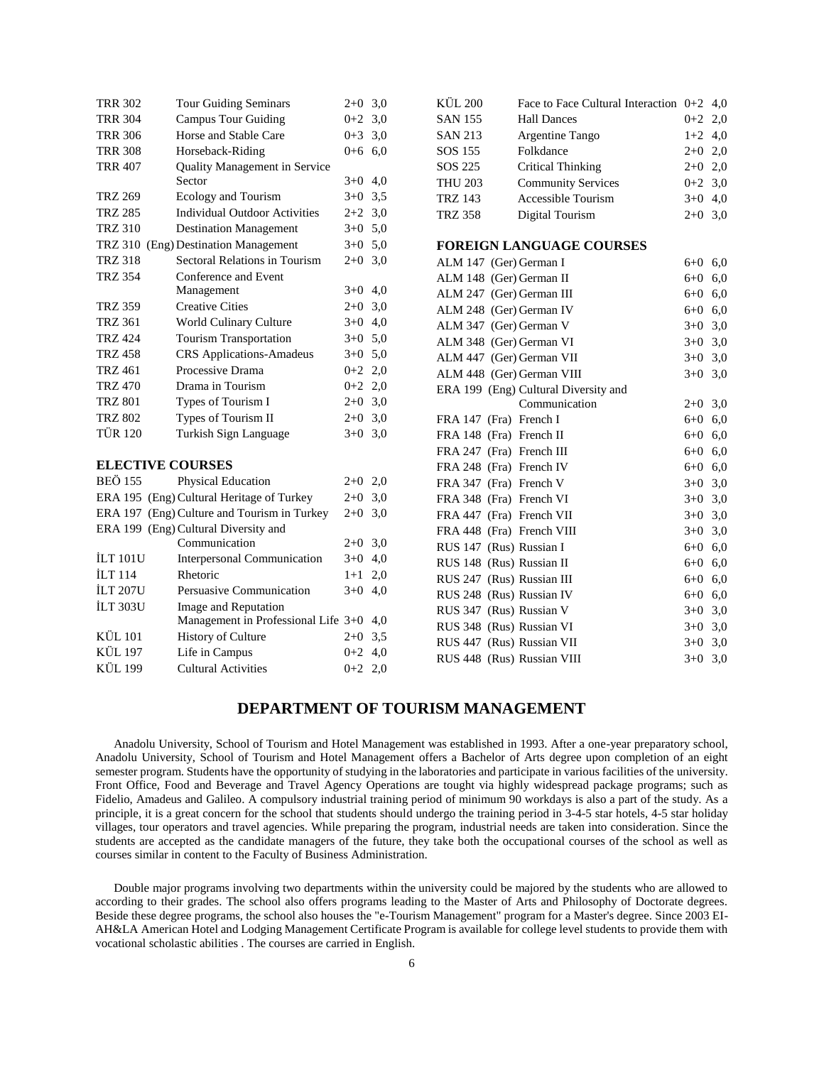| <b>TRR 302</b>          | <b>Tour Guiding Seminars</b>                | $2+0$ 3.0 |     | <b>KÜL 200</b>             | Face to Face Cultural Interaction $0+2$ 4,0 |           |     |
|-------------------------|---------------------------------------------|-----------|-----|----------------------------|---------------------------------------------|-----------|-----|
| <b>TRR 304</b>          | <b>Campus Tour Guiding</b>                  | $0+2$ 3,0 |     | <b>SAN 155</b>             | <b>Hall Dances</b>                          | $0 + 2$   | 2,0 |
| <b>TRR 306</b>          | Horse and Stable Care                       | $0+3$ 3.0 |     | SAN 213                    | Argentine Tango                             | $1+2$ 4,0 |     |
| <b>TRR 308</b>          | Horseback-Riding                            | $0+6$ 6,0 |     | SOS 155                    | Folkdance                                   | $2+0$     | 2,0 |
| <b>TRR 407</b>          | Quality Management in Service               |           |     | SOS 225                    | <b>Critical Thinking</b>                    | $2+0$ 2,0 |     |
|                         | Sector                                      | $3+0$ 4,0 |     | <b>THU 203</b>             | <b>Community Services</b>                   | $0+2$ 3,0 |     |
| <b>TRZ 269</b>          | Ecology and Tourism                         | $3+0$ 3,5 |     | <b>TRZ 143</b>             | Accessible Tourism                          | $3+0$ 4,0 |     |
| <b>TRZ 285</b>          | <b>Individual Outdoor Activities</b>        | $2+2$ 3,0 |     | <b>TRZ 358</b>             | Digital Tourism                             | $2+0$ 3,0 |     |
| <b>TRZ 310</b>          | <b>Destination Management</b>               | $3+0$ 5.0 |     |                            |                                             |           |     |
|                         | TRZ 310 (Eng) Destination Management        | $3+0$ 5,0 |     |                            | <b>FOREIGN LANGUAGE COURSES</b>             |           |     |
| <b>TRZ 318</b>          | Sectoral Relations in Tourism               | $2+0$ 3,0 |     | ALM 147 (Ger) German I     |                                             | $6+0$ 6,0 |     |
| <b>TRZ 354</b>          | Conference and Event                        |           |     | ALM 148 (Ger) German II    |                                             | $6 + 0$   | 6,0 |
|                         | Management                                  | $3+0$ 4,0 |     | ALM 247 (Ger) German III   |                                             | $6 + 0$   | 6,0 |
| <b>TRZ 359</b>          | <b>Creative Cities</b>                      | $2+0$ 3,0 |     | ALM 248 (Ger) German IV    |                                             | $6 + 0$   | 6,0 |
| <b>TRZ 361</b>          | World Culinary Culture                      | $3+0$ 4,0 |     | ALM 347 (Ger) German V     |                                             | $3+0$     | 3,0 |
| <b>TRZ 424</b>          | <b>Tourism Transportation</b>               | $3+0$ 5,0 |     | ALM 348 (Ger) German VI    |                                             | $3+0$ 3,0 |     |
| <b>TRZ 458</b>          | <b>CRS</b> Applications-Amadeus             | $3+0$ 5,0 |     | ALM 447 (Ger) German VII   |                                             | $3+0$ 3,0 |     |
| <b>TRZ 461</b>          | Processive Drama                            | $0+2$ 2,0 |     | ALM 448 (Ger) German VIII  |                                             | $3+0$ 3,0 |     |
| <b>TRZ 470</b>          | Drama in Tourism                            | $0+2$ 2,0 |     |                            | ERA 199 (Eng) Cultural Diversity and        |           |     |
| <b>TRZ 801</b>          | Types of Tourism I                          | $2+0$ 3,0 |     |                            | Communication                               | $2+0$ 3,0 |     |
| <b>TRZ 802</b>          | Types of Tourism II                         | $2+0$ 3,0 |     | FRA 147 (Fra) French I     |                                             | $6 + 0$   | 6,0 |
| <b>TÜR 120</b>          | Turkish Sign Language                       | $3+0$ 3,0 |     | FRA 148 (Fra) French II    |                                             | $6 + 0$   | 6,0 |
|                         |                                             |           |     | FRA 247 (Fra) French III   |                                             | $6 + 0$   | 6,0 |
| <b>ELECTIVE COURSES</b> |                                             |           |     | FRA 248 (Fra) French IV    |                                             | $6 + 0$   | 6,0 |
| <b>BEÖ 155</b>          | Physical Education                          | $2+0$ 2,0 |     | FRA 347 (Fra) French V     |                                             | $3 + 0$   | 3,0 |
|                         | ERA 195 (Eng) Cultural Heritage of Turkey   | $2+0$ 3,0 |     | FRA 348 (Fra) French VI    |                                             | $3+0$     | 3,0 |
|                         | ERA 197 (Eng) Culture and Tourism in Turkey | $2+0$ 3,0 |     | FRA 447 (Fra) French VII   |                                             | $3+0$     | 3,0 |
|                         | ERA 199 (Eng) Cultural Diversity and        |           |     | FRA 448 (Fra) French VIII  |                                             | $3+0$     | 3,0 |
|                         | Communication                               | $2 + 0$   | 3,0 | RUS 147 (Rus) Russian I    |                                             | $6 + 0$   | 6,0 |
| İLT 101U                | <b>Interpersonal Communication</b>          | $3+0$ 4,0 |     | RUS 148 (Rus) Russian II   |                                             | $6 + 0$   | 6,0 |
| <b>ILT 114</b>          | Rhetoric                                    | $1+1$     | 2,0 | RUS 247 (Rus) Russian III  |                                             | $6 + 0$   | 6,0 |
| <b>İLT 207U</b>         | Persuasive Communication                    | $3+0$ 4,0 |     | RUS 248 (Rus) Russian IV   |                                             | $6 + 0$   | 6,0 |
| <b>İLT 303U</b>         | Image and Reputation                        |           |     | RUS 347 (Rus) Russian V    |                                             | $3 + 0$   | 3,0 |
|                         | Management in Professional Life 3+0 4,0     |           |     | RUS 348 (Rus) Russian VI   |                                             | $3+0$ 3,0 |     |
| <b>KÜL 101</b>          | <b>History of Culture</b>                   | $2+0$ 3,5 |     | RUS 447 (Rus) Russian VII  |                                             | $3+0$     | 3,0 |
| <b>KÜL 197</b>          | Life in Campus                              | $0+2$ 4,0 |     | RUS 448 (Rus) Russian VIII |                                             | $3+0$ 3,0 |     |
| <b>KÜL 199</b>          | <b>Cultural Activities</b>                  | $0+2$ 2,0 |     |                            |                                             |           |     |
|                         |                                             |           |     |                            |                                             |           |     |

## **DEPARTMENT OF TOURISM MANAGEMENT**

 Anadolu University, School of Tourism and Hotel Management was established in 1993. After a one-year preparatory school, Anadolu University, School of Tourism and Hotel Management offers a Bachelor of Arts degree upon completion of an eight semester program. Students have the opportunity of studying in the laboratories and participate in various facilities of the university. Front Office, Food and Beverage and Travel Agency Operations are tought via highly widespread package programs; such as Fidelio, Amadeus and Galileo. A compulsory industrial training period of minimum 90 workdays is also a part of the study. As a principle, it is a great concern for the school that students should undergo the training period in 3-4-5 star hotels, 4-5 star holiday villages, tour operators and travel agencies. While preparing the program, industrial needs are taken into consideration. Since the students are accepted as the candidate managers of the future, they take both the occupational courses of the school as well as courses similar in content to the Faculty of Business Administration.

 Double major programs involving two departments within the university could be majored by the students who are allowed to according to their grades. The school also offers programs leading to the Master of Arts and Philosophy of Doctorate degrees. Beside these degree programs, the school also houses the "e-Tourism Management" program for a Master's degree. Since 2003 EI-AH&LA American Hotel and Lodging Management Certificate Program is available for college level students to provide them with vocational scholastic abilities . The courses are carried in English.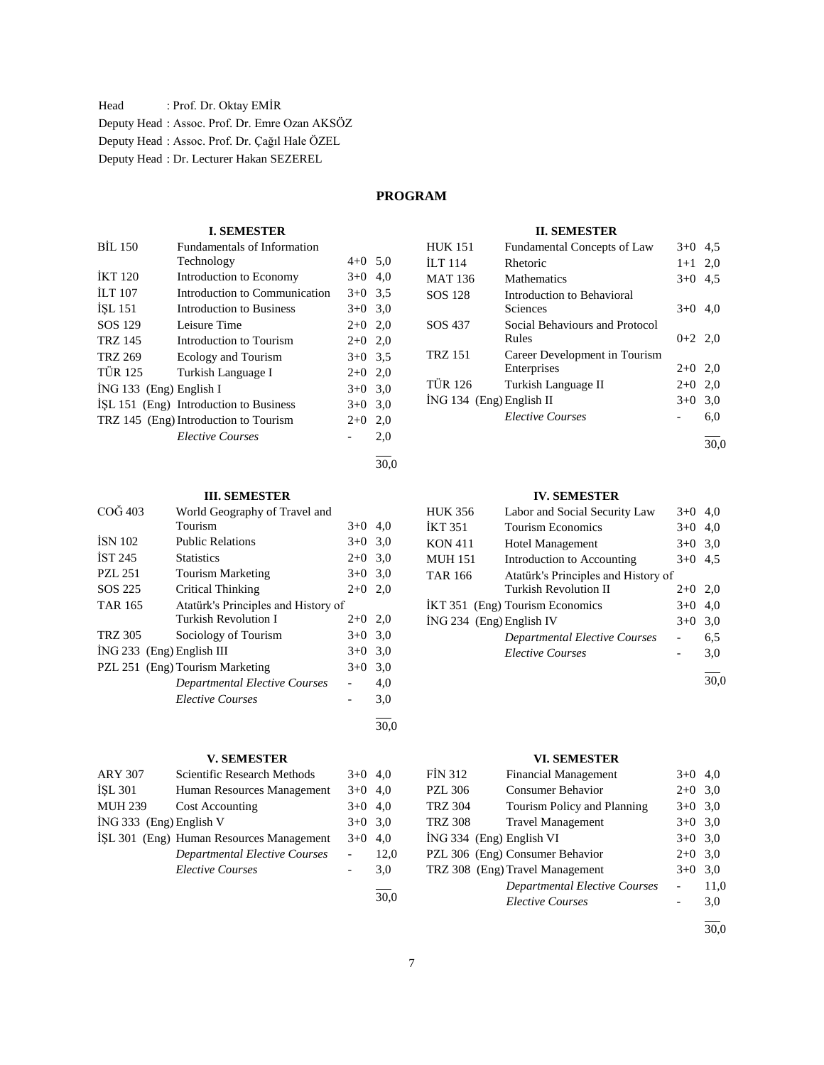Head : Prof. Dr. Oktay EMİR Deputy Head : Assoc. Prof. Dr. Emre Ozan AKSÖZ Deputy Head : Assoc. Prof. Dr. Çağıl Hale ÖZEL Deputy Head : Dr. Lecturer Hakan SEZEREL

## **PROGRAM**

30,0

## **I. SEMESTER**

| <b>BIL 150</b>            | <b>Fundamentals of Information</b>     |           |     |
|---------------------------|----------------------------------------|-----------|-----|
|                           | Technology                             | $4+0$ 5.0 |     |
| <b>IKT 120</b>            | Introduction to Economy                | $3+0$ 4,0 |     |
| ILT 107                   | Introduction to Communication          | $3+0$ 3.5 |     |
| <b>ISL 151</b>            | Introduction to Business               | $3+0$ 3,0 |     |
| SOS 129                   | Leisure Time                           | $2+0$ 2,0 |     |
| <b>TRZ 145</b>            | Introduction to Tourism                | $2+0$ 2,0 |     |
| <b>TRZ 269</b>            | Ecology and Tourism                    | $3+0$ 3,5 |     |
| <b>TÜR 125</b>            | Turkish Language I                     | $2+0$ 2,0 |     |
| $ING 133$ (Eng) English I |                                        | $3+0$ 3,0 |     |
|                           | ISL 151 (Eng) Introduction to Business | $3+0$     | 3,0 |
|                           | TRZ 145 (Eng) Introduction to Tourism  | $2+0$     | 2,0 |
|                           | <b>Elective Courses</b>                |           | 2,0 |
|                           |                                        |           |     |

## **III. SEMESTER**

| COG 403        | World Geography of Travel and       |       |      |
|----------------|-------------------------------------|-------|------|
|                | Tourism                             | $3+0$ | 4.0  |
| <b>ISN 102</b> | <b>Public Relations</b>             | $3+0$ | 3,0  |
| IST 245        | <b>Statistics</b>                   | $2+0$ | 3,0  |
| <b>PZL 251</b> | <b>Tourism Marketing</b>            | $3+0$ | 3,0  |
| SOS 225        | Critical Thinking                   | $2+0$ | 2.0  |
| TAR 165        | Atatürk's Principles and History of |       |      |
|                | Turkish Revolution I                | $2+0$ | 2,0  |
| <b>TRZ 305</b> | Sociology of Tourism                | $3+0$ | 3,0  |
|                | $ING 233$ (Eng) English III         | $3+0$ | 3,0  |
|                | PZL 251 (Eng) Tourism Marketing     | $3+0$ | 3,0  |
|                | Departmental Elective Courses       |       | 4,0  |
|                | <b>Elective Courses</b>             |       | 3,0  |
|                |                                     |       | 30.0 |

## **V. SEMESTER**

| <b>ARY 307</b>          | Scientific Research Methods              | $3+0$ 4.0 |      |
|-------------------------|------------------------------------------|-----------|------|
| <b>ISL 301</b>          | Human Resources Management               | $3+0$ 4.0 |      |
| <b>MUH 239</b>          | Cost Accounting                          | $3+0$ 4.0 |      |
| İNG 333 (Eng) English V |                                          | $3+0$ 3.0 |      |
|                         | İSL 301 (Eng) Human Resources Management | $3+0$ 4.0 |      |
|                         | <b>Departmental Elective Courses</b>     |           | 12.0 |
|                         | <b>Elective Courses</b>                  |           | 3.0  |
|                         |                                          |           |      |

30,0

### **II. SEMESTER**

| <b>HUK 151</b>                  | <b>Fundamental Concepts of Law</b> | $3+0$     | 4.5 |
|---------------------------------|------------------------------------|-----------|-----|
| $\overline{L}$ T <sub>114</sub> | Rhetoric                           | $1+1$ 2,0 |     |
| <b>MAT 136</b>                  | <b>Mathematics</b>                 | $3+0$     | 4.5 |
| SOS 128                         | Introduction to Behavioral         |           |     |
|                                 | Sciences                           | $3+0$     | 4.0 |
| SOS 437                         | Social Behaviours and Protocol     |           |     |
|                                 | Rules                              | $0+2$ 2,0 |     |
| <b>TRZ 151</b>                  | Career Development in Tourism      |           |     |
|                                 | Enterprises                        | $2+0$ 2,0 |     |
| <b>TÜR 126</b>                  | Turkish Language II                | $2+0$     | 2,0 |
| $ING 134$ (Eng) English II      |                                    | $3+0$     | 3,0 |
|                                 | <b>Elective Courses</b>            |           | 6,0 |
|                                 |                                    |           |     |

30,0

30,0

## **IV. SEMESTER**

| <b>HUK 356</b>             | Labor and Social Security Law        | $3+0$ | 4,0 |
|----------------------------|--------------------------------------|-------|-----|
| <b>İKT 351</b>             | <b>Tourism Economics</b>             | $3+0$ | 4.0 |
| <b>KON 411</b>             | <b>Hotel Management</b>              | $3+0$ | 3,0 |
| <b>MUH 151</b>             | Introduction to Accounting           | $3+0$ | 4,5 |
| <b>TAR 166</b>             | Atatürk's Principles and History of  |       |     |
|                            | Turkish Revolution II                | $2+0$ | 2,0 |
|                            | İKT 351 (Eng) Tourism Economics      | $3+0$ | 4.0 |
| $ING 234$ (Eng) English IV |                                      | $3+0$ | 3,0 |
|                            | <b>Departmental Elective Courses</b> |       | 6.5 |
|                            | <b>Elective Courses</b>              |       | 3,0 |
|                            |                                      |       |     |

# **VI. SEMESTER**

| FİN 312        | <b>Financial Management</b>          | $3+0$ 4,0 |      |
|----------------|--------------------------------------|-----------|------|
| <b>PZL 306</b> | <b>Consumer Behavior</b>             | $2+0$ 3,0 |      |
| <b>TRZ 304</b> | Tourism Policy and Planning          | $3+0$ 3.0 |      |
| <b>TRZ 308</b> | <b>Travel Management</b>             | $3+0$ 3.0 |      |
|                | İNG 334 (Eng) English VI             | $3+0$ 3.0 |      |
|                | PZL 306 (Eng) Consumer Behavior      | $2+0$ 3.0 |      |
|                | TRZ 308 (Eng) Travel Management      | $3+0$ 3.0 |      |
|                | <b>Departmental Elective Courses</b> |           | 11,0 |
|                | <b>Elective Courses</b>              |           | 3,0  |
|                |                                      |           |      |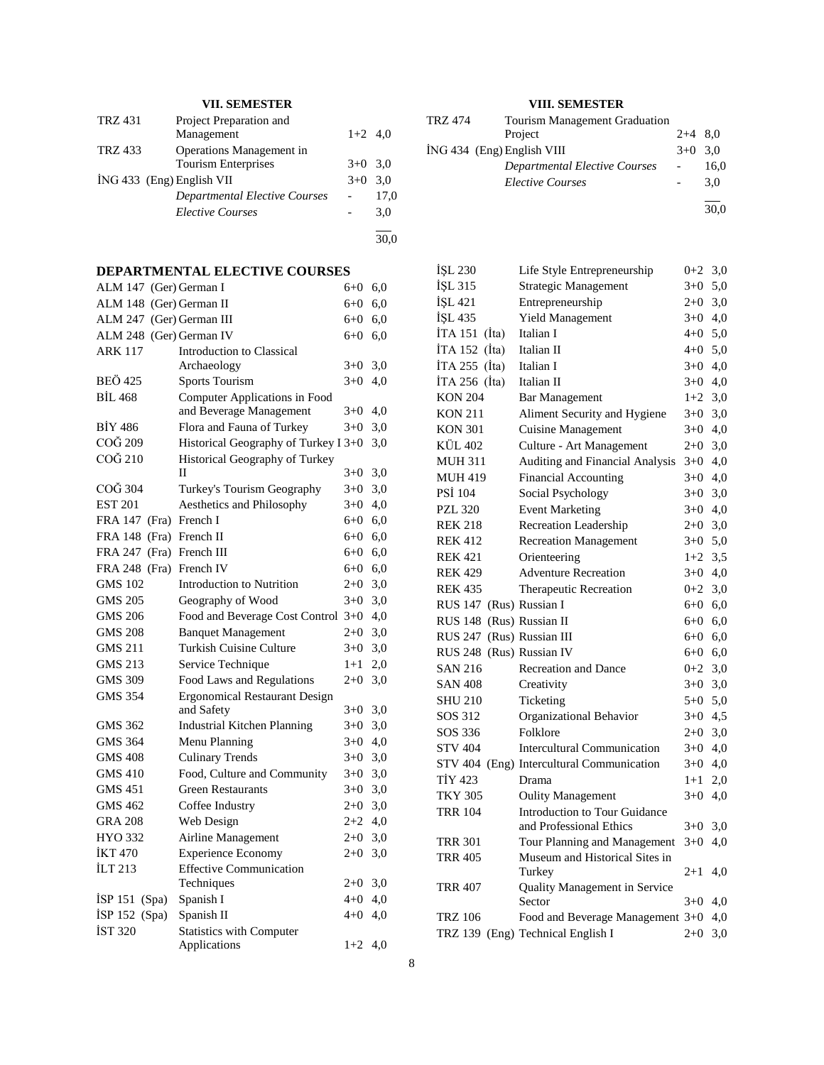## **VII. SEMESTER**

| <b>TRZ 431</b> | Project Preparation and              |           |      |
|----------------|--------------------------------------|-----------|------|
|                | Management                           | $1+2$ 4.0 |      |
| <b>TRZ 433</b> | Operations Management in             |           |      |
|                | <b>Tourism Enterprises</b>           | $3+0$ 3.0 |      |
|                | ING 433 (Eng) English VII            | $3+0$ 3.0 |      |
|                | <b>Departmental Elective Courses</b> |           | 17,0 |
|                | <b>Elective Courses</b>              |           | 3,0  |
|                |                                      |           |      |

30,0

# **DEPARTMENTAL ELECTIVE COURSES**<br>ALM 147 (Ger) German I (640, 60

| ALM 147 (Ger) German I  |                                                          | $6 + 0$ | 6,0 |
|-------------------------|----------------------------------------------------------|---------|-----|
| ALM 148 (Ger) German II |                                                          | $6 + 0$ | 6,0 |
| <b>ALM 247</b>          | (Ger) German III                                         | 6+0     | 6,0 |
| <b>ALM 248</b>          | (Ger) German IV                                          | $6 + 0$ | 6,0 |
| <b>ARK 117</b>          | <b>Introduction to Classical</b>                         |         |     |
|                         | Archaeology                                              | $3+0$   | 3,0 |
| <b>BEÖ</b> 425          | <b>Sports Tourism</b>                                    | $3+0$   | 4,0 |
| <b>BİL 468</b>          | Computer Applications in Food<br>and Beverage Management | $3+0$   | 4,0 |
| <b>BİY 486</b>          | Flora and Fauna of Turkey                                | $3+0$   | 3,0 |
| COĞ 209                 | Historical Geography of Turkey I 3+0                     |         | 3,0 |
| COĞ 210                 | Historical Geography of Turkey                           |         |     |
|                         | П                                                        | $3+0$   | 3,0 |
| COĞ 304                 | Turkey's Tourism Geography                               | $3+0$   | 3,0 |
| <b>EST 201</b>          | Aesthetics and Philosophy                                | $3+0$   | 4,0 |
| FRA 147 (Fra)           | French I                                                 | $6+0$   | 6,0 |
| <b>FRA 148</b><br>(Fra) | French II                                                | $6 + 0$ | 6,0 |
| FRA 247<br>(Fra)        | French III                                               | 6+0     | 6,0 |
| FRA 248 (Fra)           | French IV                                                | $6 + 0$ | 6,0 |
| <b>GMS 102</b>          | <b>Introduction to Nutrition</b>                         | $2+0$   | 3,0 |
| <b>GMS 205</b>          | Geography of Wood                                        | $3+0$   | 3,0 |
| <b>GMS 206</b>          | Food and Beverage Cost Control                           | $3+0$   | 4,0 |
| <b>GMS 208</b>          | <b>Banquet Management</b>                                | $2+0$   | 3,0 |
| <b>GMS 211</b>          | <b>Turkish Cuisine Culture</b>                           | $3+0$   | 3,0 |
| <b>GMS 213</b>          | Service Technique                                        | $1 + 1$ | 2,0 |
| <b>GMS 309</b>          | <b>Food Laws and Regulations</b>                         | $2 + 0$ | 3,0 |
| <b>GMS 354</b>          | <b>Ergonomical Restaurant Design</b>                     |         |     |
|                         | and Safety                                               | $3+0$   | 3,0 |
| GMS 362                 | <b>Industrial Kitchen Planning</b>                       | $3+0$   | 3,0 |
| GMS 364                 | Menu Planning                                            | $3+0$   | 4,0 |
| <b>GMS 408</b>          | <b>Culinary Trends</b>                                   | $3+0$   | 3,0 |
| <b>GMS 410</b>          | Food, Culture and Community                              | $3+0$   | 3,0 |
| <b>GMS 451</b>          | <b>Green Restaurants</b>                                 | $3+0$   | 3,0 |
| <b>GMS 462</b>          | Coffee Industry                                          | $2+0$   | 3,0 |
| <b>GRA 208</b>          | Web Design                                               | $2+2$   | 4,0 |
| <b>HYO 332</b>          | Airline Management                                       | $2+0$   | 3,0 |
| <b>IKT 470</b>          | <b>Experience Economy</b>                                | $2+0$   | 3,0 |
| İLT 213                 | <b>Effective Communication</b>                           |         |     |
|                         | Techniques                                               | $2 + 0$ | 3,0 |
| ISP $151$ (Spa)         | Spanish I                                                | $4 + 0$ | 4,0 |
| İSP 152 (Spa)           | Spanish II                                               | $4 + 0$ | 4,0 |
| <b>IST 320</b>          | <b>Statistics with Computer</b><br>Applications          | $1+2$   | 4,0 |
|                         |                                                          |         |     |

## **VIII. SEMESTER**

| TRZ 474 | <b>Tourism Management Graduation</b> |           |      |  |
|---------|--------------------------------------|-----------|------|--|
|         | Project                              | $2+4$ 8.0 |      |  |
|         | ING 434 (Eng) English VIII           | $3+0$ 3.0 |      |  |
|         | <b>Departmental Elective Courses</b> |           | 16.0 |  |
|         | <b>Elective Courses</b>              |           | 3.0  |  |
|         |                                      |           | 30,0 |  |

| İŞL 230                  | Life Style Entrepreneurship               | $0 + 2$   | 3,0 |
|--------------------------|-------------------------------------------|-----------|-----|
| İŞL 315                  | Strategic Management                      | $3+0$     | 5,0 |
| İŞL 421                  | Entrepreneurship                          | $2+0$     | 3,0 |
| İŞL 435                  | <b>Yield Management</b>                   | $3+0$     | 4,0 |
| İTA 151 (İta)            | Italian I                                 | $4 + 0$   | 5,0 |
| İTA 152 (İta)            | Italian II                                | $4 + 0$   | 5,0 |
| İTA 255 (İta)            | Italian I                                 | $3+0$     | 4,0 |
| İTA 256 (İta)            | Italian II                                | $3+0$     | 4,0 |
| <b>KON 204</b>           | <b>Bar Management</b>                     | $1+2$     | 3,0 |
| <b>KON 211</b>           | Aliment Security and Hygiene              | $3+0$     | 3,0 |
| <b>KON 301</b>           | <b>Cuisine Management</b>                 | $3+0$     | 4,0 |
| KÜL 402                  | Culture - Art Management                  | $2+0$     | 3,0 |
| <b>MUH 311</b>           | Auditing and Financial Analysis           | $3+0$     | 4,0 |
| <b>MUH 419</b>           | <b>Financial Accounting</b>               | $3+0$     | 4,0 |
| <b>PSI 104</b>           | Social Psychology                         | $3+0$     | 3,0 |
| <b>PZL 320</b>           | <b>Event Marketing</b>                    | $3+0$     | 4,0 |
| <b>REK 218</b>           | Recreation Leadership                     | $2+0$ 3,0 |     |
| <b>REK 412</b>           | <b>Recreation Management</b>              | $3+0$ 5,0 |     |
| <b>REK 421</b>           | Orienteering                              | $1+2$     | 3,5 |
| <b>REK 429</b>           | <b>Adventure Recreation</b>               | $3+0$ 4,0 |     |
| <b>REK 435</b>           | Therapeutic Recreation                    | $0 + 2$   | 3,0 |
| <b>RUS 147</b>           | (Rus) Russian I                           | $6 + 0$   | 6,0 |
| <b>RUS 148</b>           | (Rus) Russian II                          | $6 + 0$   | 6,0 |
| <b>RUS 247</b>           | (Rus) Russian III                         | $6+0$ 6,0 |     |
| RUS 248 (Rus) Russian IV |                                           | $6+0$ 6,0 |     |
| <b>SAN 216</b>           | <b>Recreation and Dance</b>               | $0 + 2$   | 3,0 |
| <b>SAN 408</b>           | Creativity                                | $3+0$     | 3,0 |
| <b>SHU 210</b>           | Ticketing                                 | $5 + 0$   | 5,0 |
| SOS 312                  | Organizational Behavior                   | $3+0$     | 4,5 |
| SOS 336                  | Folklore                                  | $2 + 0$   | 3,0 |
| <b>STV 404</b>           | <b>Intercultural Communication</b>        | $3+0$     | 4,0 |
|                          | STV 404 (Eng) Intercultural Communication | $3+0$     | 4,0 |
| TİY 423                  | Drama                                     | $1+1$     | 2,0 |
| <b>TKY 305</b>           | <b>Oulity Management</b>                  | $3+0$     | 4,0 |
| <b>TRR 104</b>           | Introduction to Tour Guidance             |           |     |
|                          | and Professional Ethics                   | $3+0$     | 3,0 |
| <b>TRR 301</b>           | Tour Planning and Management              | $3+0$     | 4,0 |
| <b>TRR 405</b>           | Museum and Historical Sites in            |           |     |
|                          | Turkey                                    | 2+1       | 4,0 |
| <b>TRR 407</b>           | Quality Management in Service             |           |     |
|                          | Sector                                    | $3+0$     | 4,0 |
| <b>TRZ 106</b>           | Food and Beverage Management 3+0          |           | 4,0 |
|                          | TRZ 139 (Eng) Technical English I         | $2 + 0$   | 3,0 |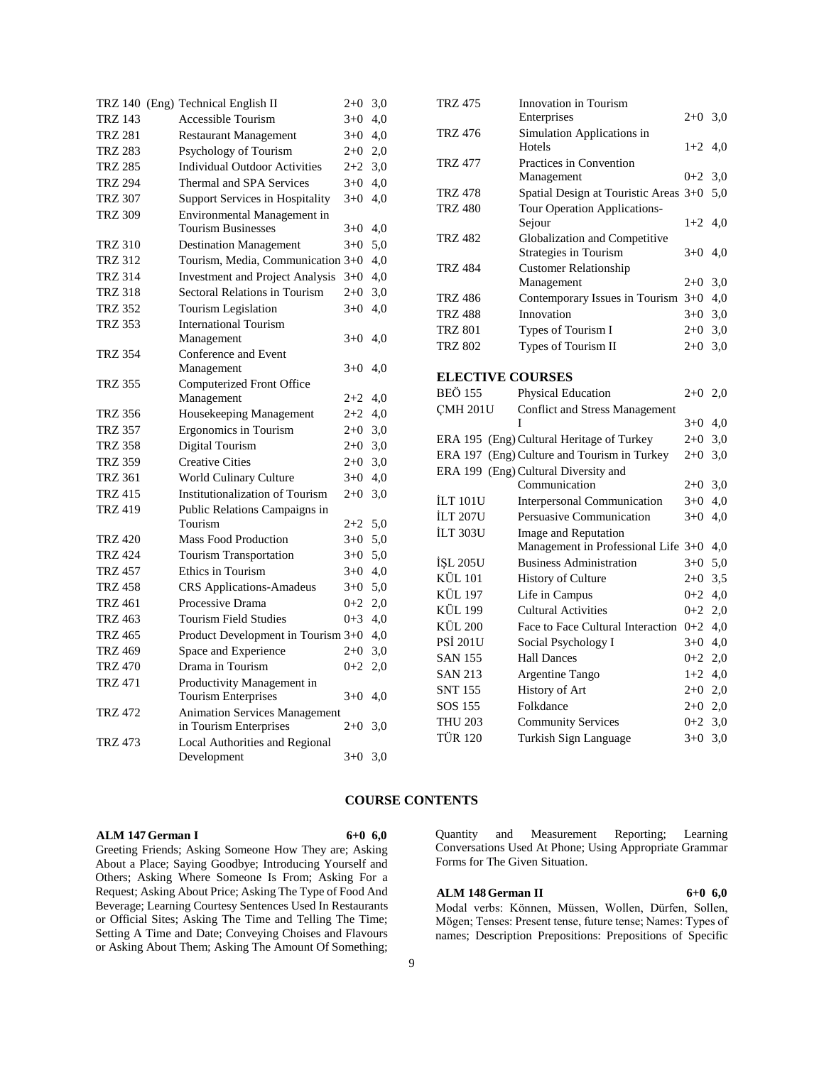|                | TRZ 140 (Eng) Technical English II                   | $2+0$   | 3,0 |
|----------------|------------------------------------------------------|---------|-----|
| <b>TRZ 143</b> | <b>Accessible Tourism</b>                            | $3+0$   | 4,0 |
| <b>TRZ 281</b> | <b>Restaurant Management</b>                         | $3+0$   | 4,0 |
| <b>TRZ 283</b> | Psychology of Tourism                                | $2+0$   | 2,0 |
| <b>TRZ 285</b> | <b>Individual Outdoor Activities</b>                 | $2+2$   | 3,0 |
| <b>TRZ 294</b> | Thermal and SPA Services                             | $3+0$   | 4,0 |
| <b>TRZ 307</b> | Support Services in Hospitality                      | $3+0$   | 4,0 |
| <b>TRZ 309</b> | Environmental Management in                          |         |     |
|                | <b>Tourism Businesses</b>                            | $3+0$   | 4,0 |
| <b>TRZ 310</b> | <b>Destination Management</b>                        | $3+0$   | 5,0 |
| <b>TRZ 312</b> | Tourism, Media, Communication 3+0                    |         | 4,0 |
| <b>TRZ 314</b> | <b>Investment and Project Analysis</b>               | $3+0$   | 4,0 |
| <b>TRZ 318</b> | <b>Sectoral Relations in Tourism</b>                 | $2+0$   | 3,0 |
| <b>TRZ 352</b> | Tourism Legislation                                  | $3+0$   | 4,0 |
| <b>TRZ 353</b> | <b>International Tourism</b>                         |         |     |
|                | Management                                           | $3+0$   | 4,0 |
| <b>TRZ 354</b> | Conference and Event                                 |         |     |
|                | Management                                           | $3+0$   | 4,0 |
| <b>TRZ 355</b> | Computerized Front Office                            |         |     |
|                | Management                                           | $2+2$   | 4,0 |
| <b>TRZ 356</b> | Housekeeping Management                              | $2+2$   | 4,0 |
| <b>TRZ 357</b> | <b>Ergonomics</b> in Tourism                         | $2+0$   | 3,0 |
| <b>TRZ 358</b> | Digital Tourism                                      | $2+0$   | 3,0 |
| <b>TRZ 359</b> | <b>Creative Cities</b>                               | $2+0$   | 3,0 |
| <b>TRZ 361</b> | <b>World Culinary Culture</b>                        | $3+0$   | 4,0 |
| <b>TRZ 415</b> | <b>Institutionalization of Tourism</b>               | $2+0$   | 3,0 |
| <b>TRZ 419</b> | Public Relations Campaigns in                        |         |     |
|                | Tourism                                              | $2+2$   | 5,0 |
| <b>TRZ 420</b> | <b>Mass Food Production</b>                          | $3+0$   | 5,0 |
| <b>TRZ 424</b> | <b>Tourism Transportation</b>                        | $3+0$   | 5,0 |
| <b>TRZ 457</b> | Ethics in Tourism                                    | $3+0$   | 4,0 |
| <b>TRZ 458</b> | <b>CRS</b> Applications-Amadeus                      | $3+0$   | 5,0 |
| <b>TRZ 461</b> | Processive Drama                                     | $0 + 2$ | 2,0 |
| <b>TRZ 463</b> | <b>Tourism Field Studies</b>                         | $0 + 3$ | 4,0 |
| <b>TRZ 465</b> | Product Development in Tourism 3+0                   |         | 4,0 |
| <b>TRZ 469</b> | Space and Experience                                 | $2+0$   | 3,0 |
| <b>TRZ 470</b> | Drama in Tourism                                     | $0 + 2$ | 2,0 |
| <b>TRZ 471</b> | Productivity Management in                           |         |     |
|                | <b>Tourism Enterprises</b>                           | $3+0$   | 4,0 |
| <b>TRZ 472</b> | <b>Animation Services Management</b>                 |         |     |
|                | in Tourism Enterprises                               | $2+0$   | 3,0 |
| <b>TRZ 473</b> | <b>Local Authorities and Regional</b><br>Development | $3+0$   | 3,0 |

| TRZ 475                 | Innovation in Tourism                      |           |     |
|-------------------------|--------------------------------------------|-----------|-----|
|                         | Enterprises                                | $2 + 0$   | 3,0 |
| <b>TRZ 476</b>          | Simulation Applications in<br>Hotels       | $1+2$     | 4,0 |
| <b>TRZ 477</b>          | Practices in Convention                    |           |     |
|                         | Management                                 | $0 + 2$   | 3,0 |
| <b>TRZ 478</b>          | Spatial Design at Touristic Areas 3+0      |           | 5,0 |
| <b>TRZ 480</b>          | Tour Operation Applications-               |           |     |
|                         | Sejour                                     | $1+2$     | 4,0 |
| <b>TRZ 482</b>          | Globalization and Competitive              |           |     |
|                         | Strategies in Tourism                      | $3+0$     | 4,0 |
| <b>TRZ 484</b>          | <b>Customer Relationship</b>               |           |     |
|                         | Management                                 | $2+0$     | 3,0 |
| <b>TRZ 486</b>          | Contemporary Issues in Tourism 3+0         |           | 4,0 |
| <b>TRZ 488</b>          | Innovation                                 | $3+0$     | 3,0 |
| <b>TRZ 801</b>          | Types of Tourism I                         | $2 + 0$   | 3,0 |
| <b>TRZ 802</b>          | Types of Tourism II                        | $2+0$     | 3,0 |
|                         |                                            |           |     |
| <b>ELECTIVE COURSES</b> |                                            |           |     |
| <b>BEÖ</b> 155          | <b>Physical Education</b>                  | $2+0$ 2,0 |     |
| <b>CMH 201U</b>         | <b>Conflict and Stress Management</b><br>T | $3+0$     | 4,0 |
|                         | ERA 195 (Eng) Cultural Heritage of Turkey  | $2+0$     | 3,0 |
| <b>ERA 197</b>          | (Eng) Culture and Tourism in Turkey        | $2+0$     | 3,0 |
|                         | ERA 199 (Eng) Cultural Diversity and       |           |     |
|                         | Communication                              | $2+0$     | 3,0 |
| ILT 101U                | <b>Interpersonal Communication</b>         | $3+0$     | 4,0 |
| <b>İLT 207U</b>         | Persuasive Communication                   | $3+0$     | 4,0 |
| İLT 303U                | Image and Reputation                       |           |     |
|                         | Management in Professional Life 3+0        |           | 4,0 |
| <b>İŞL 205U</b>         | <b>Business Administration</b>             | $3+0$     | 5,0 |
| <b>KÜL 101</b>          | <b>History of Culture</b>                  | $2+0$     | 3,5 |
| <b>KÜL 197</b>          | Life in Campus                             | $0 + 2$   | 4,0 |
| <b>KÜL 199</b>          | <b>Cultural Activities</b>                 | $0 + 2$   | 2,0 |
| <b>KÜL 200</b>          | Face to Face Cultural Interaction          | $0 + 2$   | 4,0 |
| <b>PSI 201U</b>         | Social Psychology I                        | $3+0$ 4,0 |     |
| <b>SAN 155</b>          | <b>Hall Dances</b>                         | $0 + 2$   | 2,0 |
| <b>SAN 213</b>          | Argentine Tango                            | $1+2$     | 4,0 |
| <b>SNT 155</b>          | <b>History of Art</b>                      | $2+0$ 2,0 |     |
| SOS 155                 | Folkdance                                  | $2+0$ 2,0 |     |
| <b>THU 203</b>          | <b>Community Services</b>                  | $0+2$ 3,0 |     |
| <b>TÜR 120</b>          | Turkish Sign Language                      | $3+0$     | 3,0 |
|                         |                                            |           |     |

## **COURSE CONTENTS**

#### **ALM 147 German I 6+0 6,0**

Greeting Friends; Asking Someone How They are; Asking About a Place; Saying Goodbye; Introducing Yourself and Others; Asking Where Someone Is From; Asking For a Request; Asking About Price; Asking The Type of Food And Beverage; Learning Courtesy Sentences Used In Restaurants or Official Sites; Asking The Time and Telling The Time; Setting A Time and Date; Conveying Choises and Flavours or Asking About Them; Asking The Amount Of Something;

#### Quantity and Measurement Reporting; Learning Conversations Used At Phone; Using Appropriate Grammar Forms for The Given Situation.

#### **ALM 148 German II 6+0 6,0**

Modal verbs: Können, Müssen, Wollen, Dürfen, Sollen, Mögen; Tenses: Present tense, future tense; Names: Types of names; Description Prepositions: Prepositions of Specific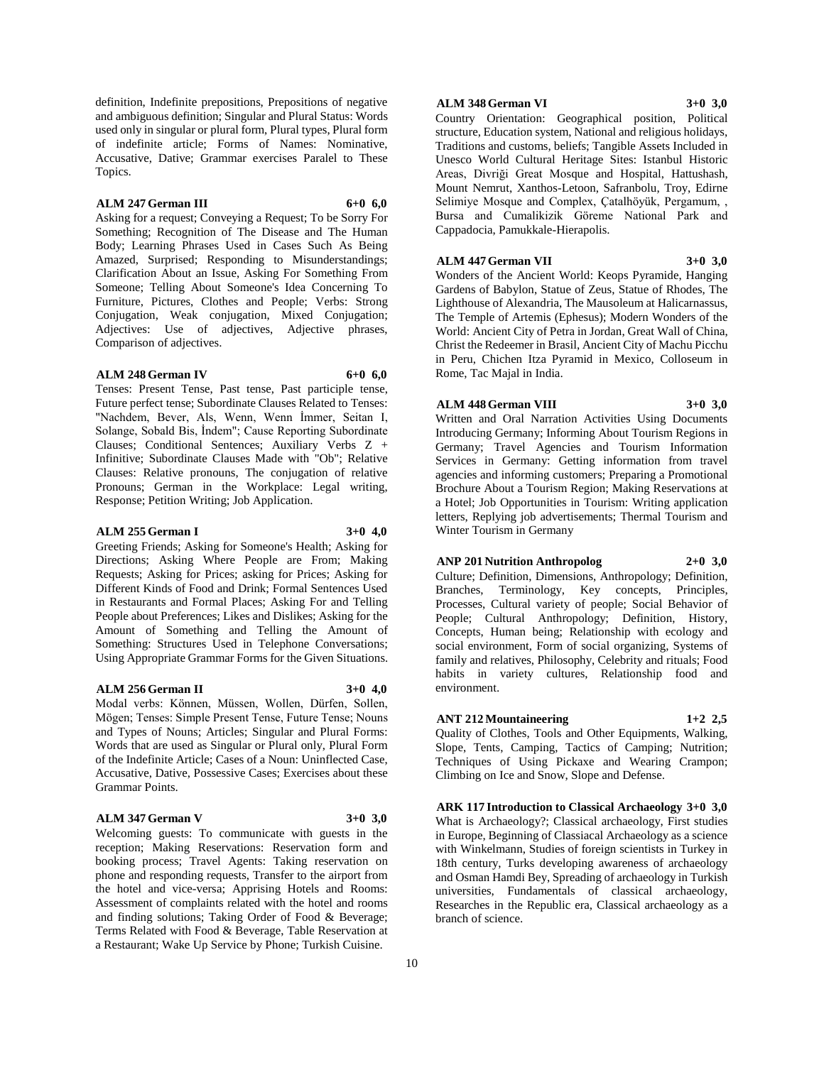definition, Indefinite prepositions, Prepositions of negative and ambiguous definition; Singular and Plural Status: Words used only in singular or plural form, Plural types, Plural form of indefinite article; Forms of Names: Nominative, Accusative, Dative; Grammar exercises Paralel to These Topics.

#### **ALM 247 German III 6+0 6,0**

Asking for a request; Conveying a Request; To be Sorry For Something; Recognition of The Disease and The Human Body; Learning Phrases Used in Cases Such As Being Amazed, Surprised; Responding to Misunderstandings; Clarification About an Issue, Asking For Something From Someone; Telling About Someone's Idea Concerning To Furniture, Pictures, Clothes and People; Verbs: Strong Conjugation, Weak conjugation, Mixed Conjugation; Adjectives: Use of adjectives, Adjective phrases, Comparison of adjectives.

#### **ALM 248 German IV 6+0 6,0**

Tenses: Present Tense, Past tense, Past participle tense, Future perfect tense; Subordinate Clauses Related to Tenses: "Nachdem, Bever, Als, Wenn, Wenn İmmer, Seitan I, Solange, Sobald Bis, İndem"; Cause Reporting Subordinate Clauses; Conditional Sentences; Auxiliary Verbs Z + Infinitive; Subordinate Clauses Made with "Ob"; Relative Clauses: Relative pronouns, The conjugation of relative Pronouns; German in the Workplace: Legal writing, Response; Petition Writing; Job Application.

#### **ALM 255 German I 3+0 4,0**

Greeting Friends; Asking for Someone's Health; Asking for Directions; Asking Where People are From; Making Requests; Asking for Prices; asking for Prices; Asking for Different Kinds of Food and Drink; Formal Sentences Used in Restaurants and Formal Places; Asking For and Telling People about Preferences; Likes and Dislikes; Asking for the Amount of Something and Telling the Amount of Something: Structures Used in Telephone Conversations; Using Appropriate Grammar Forms for the Given Situations.

#### **ALM 256 German II 3+0 4,0**

Modal verbs: Können, Müssen, Wollen, Dürfen, Sollen, Mögen; Tenses: Simple Present Tense, Future Tense; Nouns and Types of Nouns; Articles; Singular and Plural Forms: Words that are used as Singular or Plural only, Plural Form of the Indefinite Article; Cases of a Noun: Uninflected Case, Accusative, Dative, Possessive Cases; Exercises about these Grammar Points.

#### **ALM 347 German V 3+0 3,0**

Welcoming guests: To communicate with guests in the reception; Making Reservations: Reservation form and booking process; Travel Agents: Taking reservation on phone and responding requests, Transfer to the airport from the hotel and vice-versa; Apprising Hotels and Rooms: Assessment of complaints related with the hotel and rooms and finding solutions; Taking Order of Food & Beverage; Terms Related with Food & Beverage, Table Reservation at a Restaurant; Wake Up Service by Phone; Turkish Cuisine.

#### **ALM 348 German VI 3+0 3,0**

Country Orientation: Geographical position, Political structure, Education system, National and religious holidays, Traditions and customs, beliefs; Tangible Assets Included in Unesco World Cultural Heritage Sites: Istanbul Historic Areas, Divriği Great Mosque and Hospital, Hattushash, Mount Nemrut, Xanthos-Letoon, Safranbolu, Troy, Edirne Selimiye Mosque and Complex, Çatalhöyük, Pergamum, , Bursa and Cumalikizik Göreme National Park and Cappadocia, Pamukkale-Hierapolis.

**ALM 447 German VII 3+0 3,0**

Wonders of the Ancient World: Keops Pyramide, Hanging Gardens of Babylon, Statue of Zeus, Statue of Rhodes, The Lighthouse of Alexandria, The Mausoleum at Halicarnassus, The Temple of Artemis (Ephesus); Modern Wonders of the World: Ancient City of Petra in Jordan, Great Wall of China, Christ the Redeemer in Brasil, Ancient City of Machu Picchu in Peru, Chichen Itza Pyramid in Mexico, Colloseum in Rome, Tac Majal in India.

#### **ALM 448 German VIII 3+0 3,0**

Written and Oral Narration Activities Using Documents Introducing Germany; Informing About Tourism Regions in Germany; Travel Agencies and Tourism Information Services in Germany: Getting information from travel agencies and informing customers; Preparing a Promotional Brochure About a Tourism Region; Making Reservations at a Hotel; Job Opportunities in Tourism: Writing application letters, Replying job advertisements; Thermal Tourism and Winter Tourism in Germany

## **ANP 201 Nutrition Anthropolog 2+0 3,0**

Culture; Definition, Dimensions, Anthropology; Definition, Branches, Terminology, Key concepts, Principles, Processes, Cultural variety of people; Social Behavior of People; Cultural Anthropology; Definition, History, Concepts, Human being; Relationship with ecology and social environment, Form of social organizing, Systems of family and relatives, Philosophy, Celebrity and rituals; Food habits in variety cultures, Relationship food and environment.

### **ANT 212 Mountaineering 1+2 2,5**

Quality of Clothes, Tools and Other Equipments, Walking, Slope, Tents, Camping, Tactics of Camping; Nutrition; Techniques of Using Pickaxe and Wearing Crampon; Climbing on Ice and Snow, Slope and Defense.

**ARK 117 Introduction to Classical Archaeology 3+0 3,0** What is Archaeology?; Classical archaeology, First studies in Europe, Beginning of Classiacal Archaeology as a science with Winkelmann, Studies of foreign scientists in Turkey in 18th century, Turks developing awareness of archaeology and Osman Hamdi Bey, Spreading of archaeology in Turkish universities, Fundamentals of classical archaeology, Researches in the Republic era, Classical archaeology as a branch of science.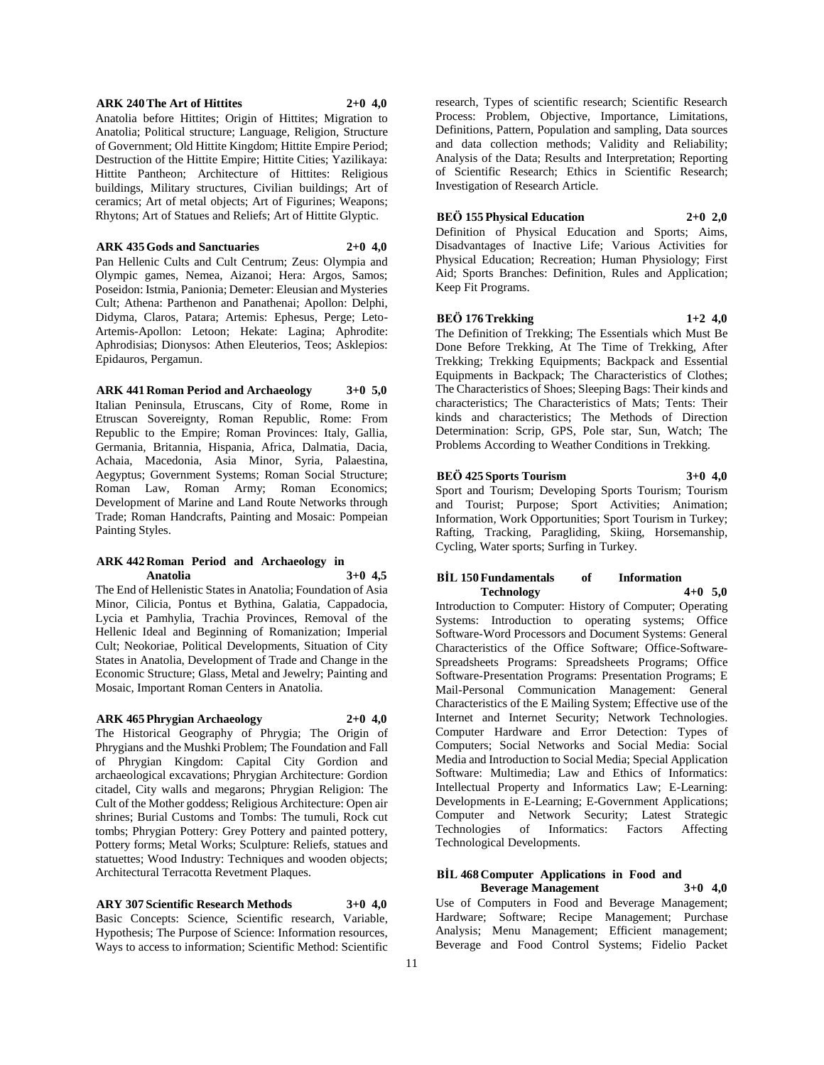#### **ARK 240 The Art of Hittites 2+0 4,0**

Anatolia before Hittites; Origin of Hittites; Migration to Anatolia; Political structure; Language, Religion, Structure of Government; Old Hittite Kingdom; Hittite Empire Period; Destruction of the Hittite Empire; Hittite Cities; Yazilikaya: Hittite Pantheon; Architecture of Hittites: Religious buildings, Military structures, Civilian buildings; Art of ceramics; Art of metal objects; Art of Figurines; Weapons; Rhytons; Art of Statues and Reliefs; Art of Hittite Glyptic.

**ARK 435 Gods and Sanctuaries 2+0 4,0**

Pan Hellenic Cults and Cult Centrum; Zeus: Olympia and Olympic games, Nemea, Aizanoi; Hera: Argos, Samos; Poseidon: Istmia, Panionia; Demeter: Eleusian and Mysteries Cult; Athena: Parthenon and Panathenai; Apollon: Delphi, Didyma, Claros, Patara; Artemis: Ephesus, Perge; Leto-Artemis-Apollon: Letoon; Hekate: Lagina; Aphrodite: Aphrodisias; Dionysos: Athen Eleuterios, Teos; Asklepios: Epidauros, Pergamun.

**ARK 441 Roman Period and Archaeology 3+0 5,0** Italian Peninsula, Etruscans, City of Rome, Rome in Etruscan Sovereignty, Roman Republic, Rome: From Republic to the Empire; Roman Provinces: Italy, Gallia, Germania, Britannia, Hispania, Africa, Dalmatia, Dacia, Achaia, Macedonia, Asia Minor, Syria, Palaestina, Aegyptus; Government Systems; Roman Social Structure; Roman Law, Roman Army; Roman Economics; Development of Marine and Land Route Networks through Trade; Roman Handcrafts, Painting and Mosaic: Pompeian Painting Styles.

#### **ARK 442 Roman Period and Archaeology in Anatolia 3+0 4,5**

The End of Hellenistic States in Anatolia; Foundation of Asia Minor, Cilicia, Pontus et Bythina, Galatia, Cappadocia, Lycia et Pamhylia, Trachia Provinces, Removal of the Hellenic Ideal and Beginning of Romanization; Imperial Cult; Neokoriae, Political Developments, Situation of City States in Anatolia, Development of Trade and Change in the Economic Structure; Glass, Metal and Jewelry; Painting and Mosaic, Important Roman Centers in Anatolia.

**ARK 465 Phrygian Archaeology 2+0 4,0**

The Historical Geography of Phrygia; The Origin of Phrygians and the Mushki Problem; The Foundation and Fall of Phrygian Kingdom: Capital City Gordion and archaeological excavations; Phrygian Architecture: Gordion citadel, City walls and megarons; Phrygian Religion: The Cult of the Mother goddess; Religious Architecture: Open air shrines; Burial Customs and Tombs: The tumuli, Rock cut tombs; Phrygian Pottery: Grey Pottery and painted pottery, Pottery forms; Metal Works; Sculpture: Reliefs, statues and statuettes; Wood Industry: Techniques and wooden objects; Architectural Terracotta Revetment Plaques.

**ARY 307 Scientific Research Methods 3+0 4,0** Basic Concepts: Science, Scientific research, Variable, Hypothesis; The Purpose of Science: Information resources, Ways to access to information; Scientific Method: Scientific research, Types of scientific research; Scientific Research Process: Problem, Objective, Importance, Limitations, Definitions, Pattern, Population and sampling, Data sources and data collection methods; Validity and Reliability; Analysis of the Data; Results and Interpretation; Reporting of Scientific Research; Ethics in Scientific Research; Investigation of Research Article.

#### **BEÖ 155 Physical Education 2+0 2,0**

Definition of Physical Education and Sports; Aims, Disadvantages of Inactive Life; Various Activities for Physical Education; Recreation; Human Physiology; First Aid; Sports Branches: Definition, Rules and Application; Keep Fit Programs.

**BEÖ 176 Trekking 1+2 4,0** The Definition of Trekking; The Essentials which Must Be Done Before Trekking, At The Time of Trekking, After Trekking; Trekking Equipments; Backpack and Essential Equipments in Backpack; The Characteristics of Clothes; The Characteristics of Shoes; Sleeping Bags: Their kinds and characteristics; The Characteristics of Mats; Tents: Their kinds and characteristics; The Methods of Direction Determination: Scrip, GPS, Pole star, Sun, Watch; The

#### **BEÖ 425 Sports Tourism 3+0 4,0**

Sport and Tourism; Developing Sports Tourism; Tourism and Tourist; Purpose; Sport Activities; Animation; Information, Work Opportunities; Sport Tourism in Turkey; Rafting, Tracking, Paragliding, Skiing, Horsemanship, Cycling, Water sports; Surfing in Turkey.

#### **BİL 150 Fundamentals of Information Technology 4+0 5,0**

Introduction to Computer: History of Computer; Operating Systems: Introduction to operating systems; Office Software-Word Processors and Document Systems: General Characteristics of the Office Software; Office-Software-Spreadsheets Programs: Spreadsheets Programs; Office Software-Presentation Programs: Presentation Programs; E Mail-Personal Communication Management: General Characteristics of the E Mailing System; Effective use of the Internet and Internet Security; Network Technologies. Computer Hardware and Error Detection: Types of Computers; Social Networks and Social Media: Social Media and Introduction to Social Media; Special Application Software: Multimedia; Law and Ethics of Informatics: Intellectual Property and Informatics Law; E-Learning: Developments in E-Learning; E-Government Applications; Computer and Network Security; Latest Strategic Technologies of Informatics: Factors Affecting Technological Developments.

## **BİL 468 Computer Applications in Food and**

**Beverage Management 3+0 4,0** Use of Computers in Food and Beverage Management; Hardware; Software; Recipe Management; Purchase Analysis; Menu Management; Efficient management; Beverage and Food Control Systems; Fidelio Packet

Problems According to Weather Conditions in Trekking.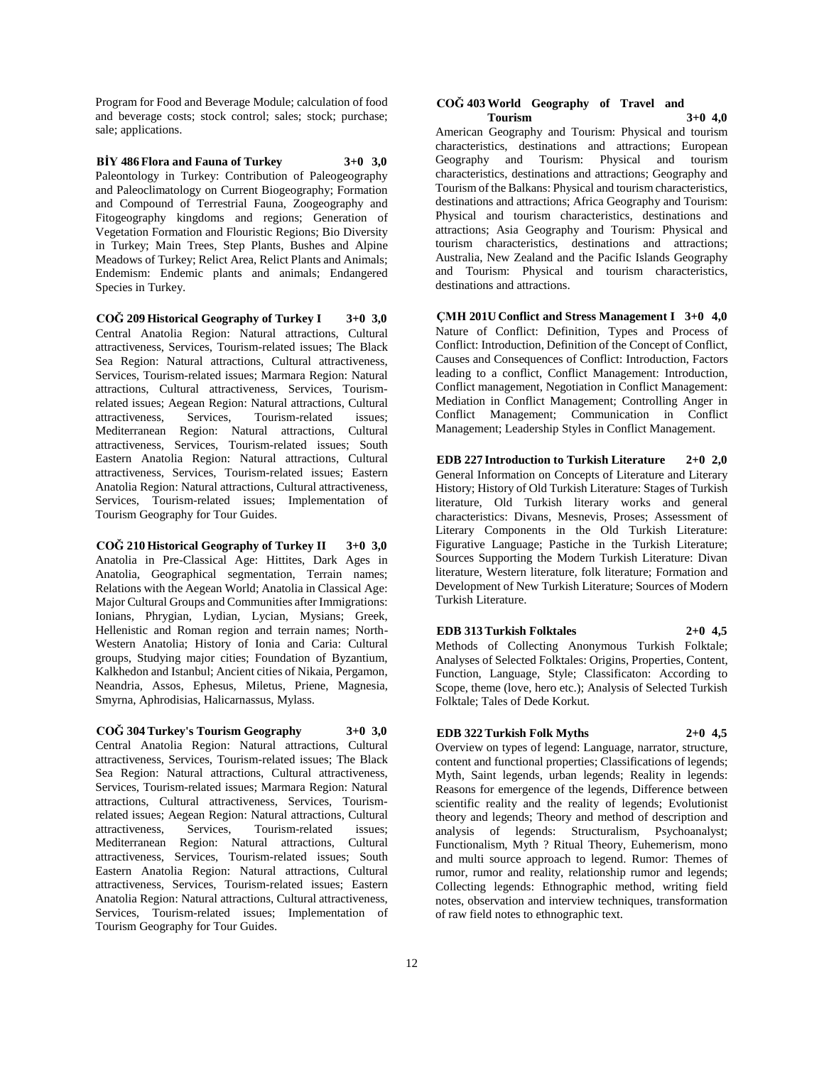Program for Food and Beverage Module; calculation of food and beverage costs; stock control; sales; stock; purchase; sale; applications.

**BİY 486 Flora and Fauna of Turkey 3+0 3,0** Paleontology in Turkey: Contribution of Paleogeography and Paleoclimatology on Current Biogeography; Formation and Compound of Terrestrial Fauna, Zoogeography and Fitogeography kingdoms and regions; Generation of Vegetation Formation and Flouristic Regions; Bio Diversity in Turkey; Main Trees, Step Plants, Bushes and Alpine Meadows of Turkey; Relict Area, Relict Plants and Animals; Endemism: Endemic plants and animals; Endangered Species in Turkey.

**COĞ 209 Historical Geography of Turkey I 3+0 3,0** Central Anatolia Region: Natural attractions, Cultural attractiveness, Services, Tourism-related issues; The Black Sea Region: Natural attractions, Cultural attractiveness, Services, Tourism-related issues; Marmara Region: Natural attractions, Cultural attractiveness, Services, Tourismrelated issues; Aegean Region: Natural attractions, Cultural attractiveness, Services, Tourism-related issues; Mediterranean Region: Natural attractions, Cultural attractiveness, Services, Tourism-related issues; South Eastern Anatolia Region: Natural attractions, Cultural attractiveness, Services, Tourism-related issues; Eastern Anatolia Region: Natural attractions, Cultural attractiveness, Services, Tourism-related issues; Implementation of Tourism Geography for Tour Guides.

**COĞ 210 Historical Geography of Turkey II 3+0 3,0** Anatolia in Pre-Classical Age: Hittites, Dark Ages in Anatolia, Geographical segmentation, Terrain names; Relations with the Aegean World; Anatolia in Classical Age: Major Cultural Groups and Communities after Immigrations: Ionians, Phrygian, Lydian, Lycian, Mysians; Greek, Hellenistic and Roman region and terrain names; North-Western Anatolia; History of Ionia and Caria: Cultural groups, Studying major cities; Foundation of Byzantium, Kalkhedon and Istanbul; Ancient cities of Nikaia, Pergamon, Neandria, Assos, Ephesus, Miletus, Priene, Magnesia, Smyrna, Aphrodisias, Halicarnassus, Mylass.

**COĞ 304 Turkey's Tourism Geography 3+0 3,0** Central Anatolia Region: Natural attractions, Cultural attractiveness, Services, Tourism-related issues; The Black Sea Region: Natural attractions, Cultural attractiveness, Services, Tourism-related issues; Marmara Region: Natural attractions, Cultural attractiveness, Services, Tourismrelated issues; Aegean Region: Natural attractions, Cultural attractiveness, Services, Tourism-related issues; Mediterranean Region: Natural attractions, Cultural attractiveness, Services, Tourism-related issues; South Eastern Anatolia Region: Natural attractions, Cultural attractiveness, Services, Tourism-related issues; Eastern Anatolia Region: Natural attractions, Cultural attractiveness, Services, Tourism-related issues; Implementation of Tourism Geography for Tour Guides.

#### **COĞ 403 World Geography of Travel and Tourism 3+0 4,0**

American Geography and Tourism: Physical and tourism characteristics, destinations and attractions; European Geography and Tourism: Physical and tourism characteristics, destinations and attractions; Geography and Tourism of the Balkans: Physical and tourism characteristics, destinations and attractions; Africa Geography and Tourism: Physical and tourism characteristics, destinations and attractions; Asia Geography and Tourism: Physical and tourism characteristics, destinations and attractions; Australia, New Zealand and the Pacific Islands Geography and Tourism: Physical and tourism characteristics, destinations and attractions.

**ÇMH 201U Conflict and Stress Management I 3+0 4,0** Nature of Conflict: Definition, Types and Process of Conflict: Introduction, Definition of the Concept of Conflict, Causes and Consequences of Conflict: Introduction, Factors leading to a conflict, Conflict Management: Introduction, Conflict management, Negotiation in Conflict Management: Mediation in Conflict Management; Controlling Anger in Conflict Management; Communication in Conflict Management; Leadership Styles in Conflict Management.

**EDB 227 Introduction to Turkish Literature 2+0 2,0** General Information on Concepts of Literature and Literary History; History of Old Turkish Literature: Stages of Turkish literature, Old Turkish literary works and general characteristics: Divans, Mesnevis, Proses; Assessment of Literary Components in the Old Turkish Literature: Figurative Language; Pastiche in the Turkish Literature; Sources Supporting the Modern Turkish Literature: Divan literature, Western literature, folk literature; Formation and Development of New Turkish Literature; Sources of Modern Turkish Literature.

**EDB 313 Turkish Folktales 2+0 4,5** Methods of Collecting Anonymous Turkish Folktale; Analyses of Selected Folktales: Origins, Properties, Content, Function, Language, Style; Classificaton: According to Scope, theme (love, hero etc.); Analysis of Selected Turkish Folktale; Tales of Dede Korkut.

## **EDB 322 Turkish Folk Myths 2+0 4,5**

Overview on types of legend: Language, narrator, structure, content and functional properties; Classifications of legends; Myth, Saint legends, urban legends; Reality in legends: Reasons for emergence of the legends, Difference between scientific reality and the reality of legends; Evolutionist theory and legends; Theory and method of description and analysis of legends: Structuralism, Psychoanalyst; Functionalism, Myth ? Ritual Theory, Euhemerism, mono and multi source approach to legend. Rumor: Themes of rumor, rumor and reality, relationship rumor and legends; Collecting legends: Ethnographic method, writing field notes, observation and interview techniques, transformation of raw field notes to ethnographic text.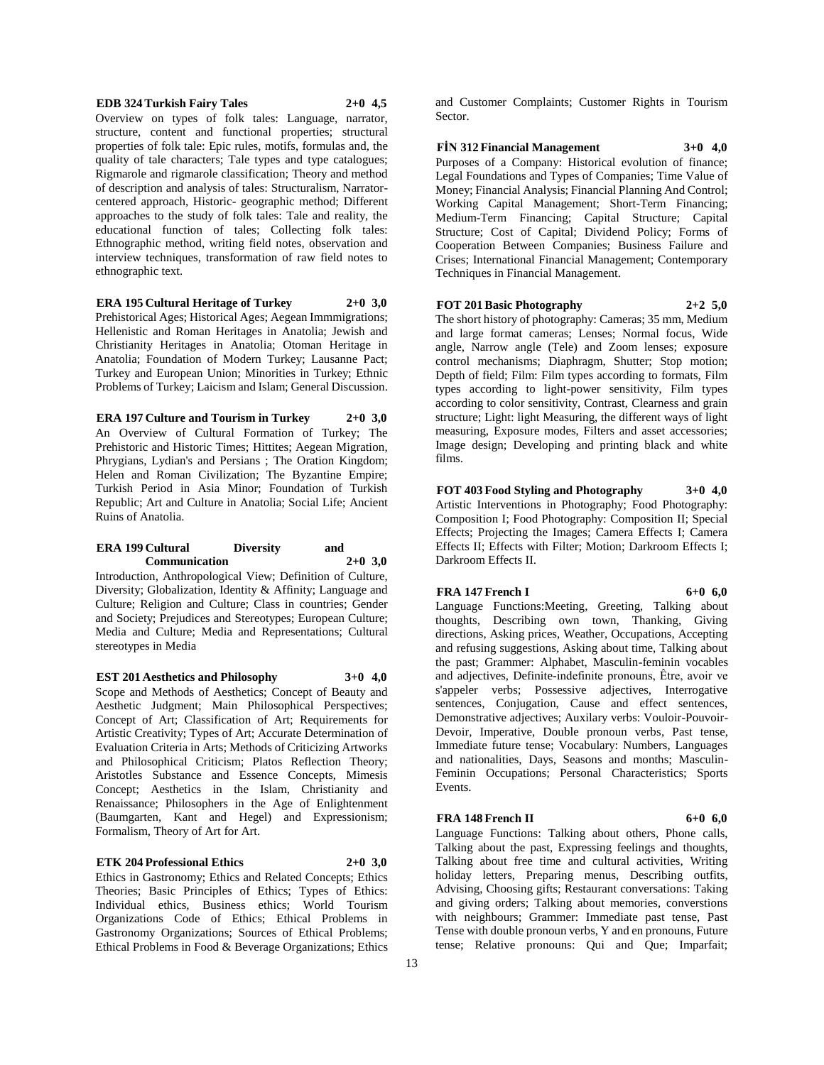#### **EDB 324 Turkish Fairy Tales 2+0 4,5**

Overview on types of folk tales: Language, narrator, structure, content and functional properties; structural properties of folk tale: Epic rules, motifs, formulas and, the quality of tale characters; Tale types and type catalogues; Rigmarole and rigmarole classification; Theory and method of description and analysis of tales: Structuralism, Narratorcentered approach, Historic- geographic method; Different approaches to the study of folk tales: Tale and reality, the educational function of tales; Collecting folk tales: Ethnographic method, writing field notes, observation and interview techniques, transformation of raw field notes to ethnographic text.

#### **ERA 195 Cultural Heritage of Turkey 2+0 3,0**

Prehistorical Ages; Historical Ages; Aegean Immmigrations; Hellenistic and Roman Heritages in Anatolia; Jewish and Christianity Heritages in Anatolia; Otoman Heritage in Anatolia; Foundation of Modern Turkey; Lausanne Pact; Turkey and European Union; Minorities in Turkey; Ethnic Problems of Turkey; Laicism and Islam; General Discussion.

**ERA 197 Culture and Tourism in Turkey 2+0 3,0** An Overview of Cultural Formation of Turkey; The Prehistoric and Historic Times; Hittites; Aegean Migration, Phrygians, Lydian's and Persians ; The Oration Kingdom; Helen and Roman Civilization; The Byzantine Empire; Turkish Period in Asia Minor; Foundation of Turkish Republic; Art and Culture in Anatolia; Social Life; Ancient Ruins of Anatolia.

#### **ERA 199 Cultural Diversity and Communication 2+0 3,0**

Introduction, Anthropological View; Definition of Culture, Diversity; Globalization, Identity & Affinity; Language and Culture; Religion and Culture; Class in countries; Gender and Society; Prejudices and Stereotypes; European Culture; Media and Culture; Media and Representations; Cultural stereotypes in Media

**EST 201 Aesthetics and Philosophy 3+0 4,0** Scope and Methods of Aesthetics; Concept of Beauty and Aesthetic Judgment; Main Philosophical Perspectives; Concept of Art; Classification of Art; Requirements for Artistic Creativity; Types of Art; Accurate Determination of Evaluation Criteria in Arts; Methods of Criticizing Artworks and Philosophical Criticism; Platos Reflection Theory; Aristotles Substance and Essence Concepts, Mimesis Concept; Aesthetics in the Islam, Christianity and Renaissance; Philosophers in the Age of Enlightenment (Baumgarten, Kant and Hegel) and Expressionism; Formalism, Theory of Art for Art.

#### **ETK 204 Professional Ethics 2+0 3,0**

Ethics in Gastronomy; Ethics and Related Concepts; Ethics Theories; Basic Principles of Ethics; Types of Ethics: Individual ethics, Business ethics; World Tourism Organizations Code of Ethics; Ethical Problems in Gastronomy Organizations; Sources of Ethical Problems; Ethical Problems in Food & Beverage Organizations; Ethics

and Customer Complaints; Customer Rights in Tourism Sector.

#### **FİN 312 Financial Management 3+0 4,0**

Purposes of a Company: Historical evolution of finance; Legal Foundations and Types of Companies; Time Value of Money; Financial Analysis; Financial Planning And Control; Working Capital Management; Short-Term Financing; Medium-Term Financing; Capital Structure; Capital Structure; Cost of Capital; Dividend Policy; Forms of Cooperation Between Companies; Business Failure and Crises; International Financial Management; Contemporary Techniques in Financial Management.

#### **FOT 201 Basic Photography 2+2 5,0**

The short history of photography: Cameras; 35 mm, Medium and large format cameras; Lenses; Normal focus, Wide angle, Narrow angle (Tele) and Zoom lenses; exposure control mechanisms; Diaphragm, Shutter; Stop motion; Depth of field; Film: Film types according to formats, Film types according to light-power sensitivity, Film types according to color sensitivity, Contrast, Clearness and grain structure; Light: light Measuring, the different ways of light measuring, Exposure modes, Filters and asset accessories; Image design; Developing and printing black and white films.

**FOT 403 Food Styling and Photography 3+0 4,0** Artistic Interventions in Photography; Food Photography: Composition I; Food Photography: Composition II; Special Effects; Projecting the Images; Camera Effects I; Camera Effects II; Effects with Filter; Motion; Darkroom Effects I; Darkroom Effects II.

#### **FRA 147 French I 6+0 6,0**

Language Functions:Meeting, Greeting, Talking about thoughts, Describing own town, Thanking, Giving directions, Asking prices, Weather, Occupations, Accepting and refusing suggestions, Asking about time, Talking about the past; Grammer: Alphabet, Masculin-feminin vocables and adjectives, Definite-indefinite pronouns, Être, avoir ve s'appeler verbs; Possessive adjectives, Interrogative sentences, Conjugation, Cause and effect sentences, Demonstrative adjectives; Auxilary verbs: Vouloir-Pouvoir-Devoir, Imperative, Double pronoun verbs, Past tense, Immediate future tense; Vocabulary: Numbers, Languages and nationalities, Days, Seasons and months; Masculin-Feminin Occupations; Personal Characteristics; Sports Events.

#### **FRA** 148 French II 6+0 6,0

Language Functions: Talking about others, Phone calls, Talking about the past, Expressing feelings and thoughts, Talking about free time and cultural activities, Writing holiday letters, Preparing menus, Describing outfits, Advising, Choosing gifts; Restaurant conversations: Taking and giving orders; Talking about memories, converstions with neighbours; Grammer: Immediate past tense, Past Tense with double pronoun verbs, Y and en pronouns, Future

tense; Relative pronouns: Qui and Que; Imparfait;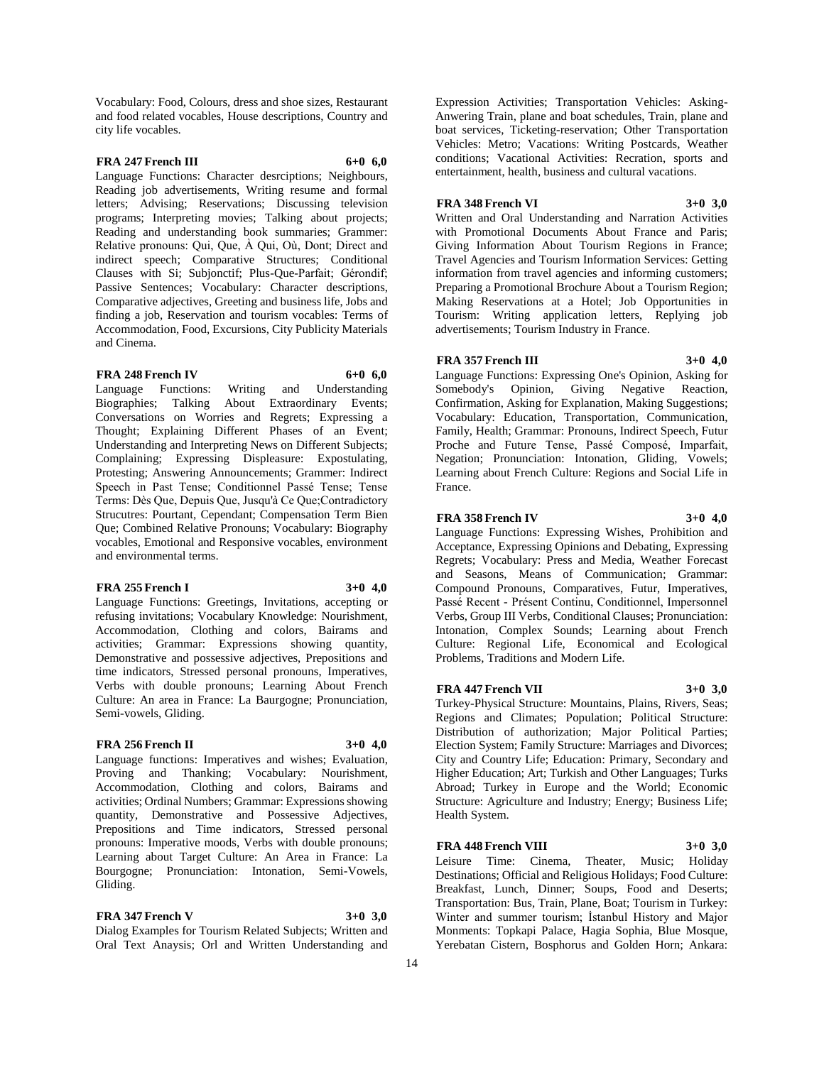Vocabulary: Food, Colours, dress and shoe sizes, Restaurant and food related vocables, House descriptions, Country and city life vocables.

### **FRA 247 French III 6+0 6,0**

Language Functions: Character desrciptions; Neighbours, Reading job advertisements, Writing resume and formal letters; Advising; Reservations; Discussing television programs; Interpreting movies; Talking about projects; Reading and understanding book summaries; Grammer: Relative pronouns: Qui, Que, À Qui, Où, Dont; Direct and indirect speech; Comparative Structures; Conditional Clauses with Si; Subjonctif; Plus-Que-Parfait; Gérondif; Passive Sentences; Vocabulary: Character descriptions, Comparative adjectives, Greeting and business life, Jobs and finding a job, Reservation and tourism vocables: Terms of Accommodation, Food, Excursions, City Publicity Materials and Cinema.

#### **FRA** 248 French IV 6+0 6.0

Language Functions: Writing and Understanding Biographies; Talking About Extraordinary Events; Conversations on Worries and Regrets; Expressing a Thought; Explaining Different Phases of an Event; Understanding and Interpreting News on Different Subjects; Complaining; Expressing Displeasure: Expostulating, Protesting; Answering Announcements; Grammer: Indirect Speech in Past Tense; Conditionnel Passé Tense; Tense Terms: Dès Que, Depuis Que, Jusqu'à Ce Que;Contradictory Strucutres: Pourtant, Cependant; Compensation Term Bien Que; Combined Relative Pronouns; Vocabulary: Biography vocables, Emotional and Responsive vocables, environment and environmental terms.

#### **FRA 255 French I 3+0 4,0**

Language Functions: Greetings, Invitations, accepting or refusing invitations; Vocabulary Knowledge: Nourishment, Accommodation, Clothing and colors, Bairams and activities; Grammar: Expressions showing quantity, Demonstrative and possessive adjectives, Prepositions and time indicators, Stressed personal pronouns, Imperatives, Verbs with double pronouns; Learning About French Culture: An area in France: La Baurgogne; Pronunciation, Semi-vowels, Gliding.

#### **FRA 256 French II 3+0 4,0**

Language functions: Imperatives and wishes; Evaluation, Proving and Thanking; Vocabulary: Nourishment, Accommodation, Clothing and colors, Bairams and activities; Ordinal Numbers; Grammar: Expressions showing quantity, Demonstrative and Possessive Adjectives, Prepositions and Time indicators, Stressed personal pronouns: Imperative moods, Verbs with double pronouns; Learning about Target Culture: An Area in France: La Bourgogne; Pronunciation: Intonation, Semi-Vowels, Gliding.

#### **FRA** 347 French V 3+0 3,0

Dialog Examples for Tourism Related Subjects; Written and Oral Text Anaysis; Orl and Written Understanding and

Expression Activities; Transportation Vehicles: Asking-Anwering Train, plane and boat schedules, Train, plane and boat services, Ticketing-reservation; Other Transportation Vehicles: Metro; Vacations: Writing Postcards, Weather conditions; Vacational Activities: Recration, sports and entertainment, health, business and cultural vacations.

#### **FRA 348 French VI 3+0 3,0**

Written and Oral Understanding and Narration Activities with Promotional Documents About France and Paris; Giving Information About Tourism Regions in France; Travel Agencies and Tourism Information Services: Getting information from travel agencies and informing customers; Preparing a Promotional Brochure About a Tourism Region; Making Reservations at a Hotel; Job Opportunities in Tourism: Writing application letters, Replying job advertisements; Tourism Industry in France.

#### **FRA 357 French III 3+0 4,0**

Language Functions: Expressing One's Opinion, Asking for Somebody's Opinion, Giving Negative Reaction, Confirmation, Asking for Explanation, Making Suggestions; Vocabulary: Education, Transportation, Communication, Family, Health; Grammar: Pronouns, Indirect Speech, Futur Proche and Future Tense, Passé Composé, Imparfait, Negation; Pronunciation: Intonation, Gliding, Vowels; Learning about French Culture: Regions and Social Life in France.

#### **FRA 358 French IV 3+0 4,0**

Language Functions: Expressing Wishes, Prohibition and Acceptance, Expressing Opinions and Debating, Expressing Regrets; Vocabulary: Press and Media, Weather Forecast and Seasons, Means of Communication; Grammar: Compound Pronouns, Comparatives, Futur, Imperatives, Passé Recent - Présent Continu, Conditionnel, Impersonnel Verbs, Group III Verbs, Conditional Clauses; Pronunciation: Intonation, Complex Sounds; Learning about French Culture: Regional Life, Economical and Ecological Problems, Traditions and Modern Life.

## **FRA** 447 French VII 3+0 3,0

Turkey-Physical Structure: Mountains, Plains, Rivers, Seas; Regions and Climates; Population; Political Structure: Distribution of authorization; Major Political Parties; Election System; Family Structure: Marriages and Divorces; City and Country Life; Education: Primary, Secondary and Higher Education; Art; Turkish and Other Languages; Turks Abroad; Turkey in Europe and the World; Economic Structure: Agriculture and Industry; Energy; Business Life; Health System.

## **FRA 448 French VIII 3+0 3,0**

Leisure Time: Cinema, Theater, Music; Holiday Destinations; Official and Religious Holidays; Food Culture: Breakfast, Lunch, Dinner; Soups, Food and Deserts; Transportation: Bus, Train, Plane, Boat; Tourism in Turkey: Winter and summer tourism; İstanbul History and Major Monments: Topkapi Palace, Hagia Sophia, Blue Mosque, Yerebatan Cistern, Bosphorus and Golden Horn; Ankara: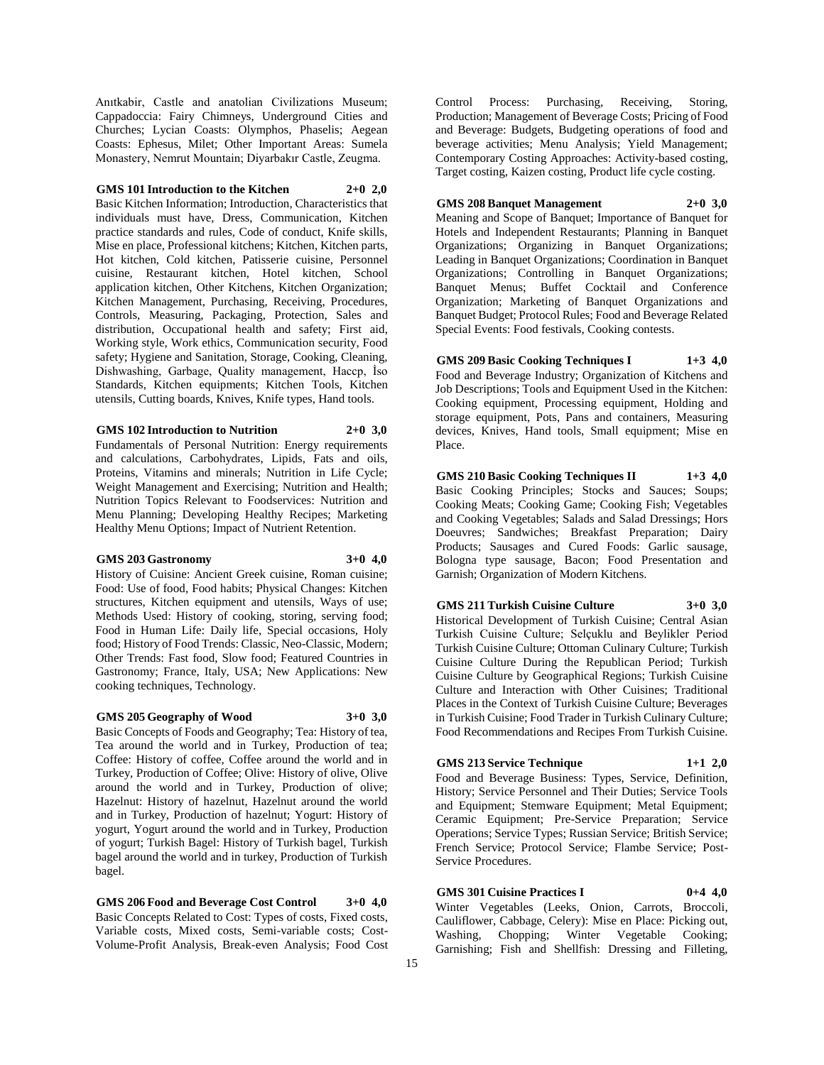Anıtkabir, Castle and anatolian Civilizations Museum; Cappadoccia: Fairy Chimneys, Underground Cities and Churches; Lycian Coasts: Olymphos, Phaselis; Aegean Coasts: Ephesus, Milet; Other Important Areas: Sumela Monastery, Nemrut Mountain; Diyarbakır Castle, Zeugma.

#### **GMS 101 Introduction to the Kitchen 2+0 2,0**

Basic Kitchen Information; Introduction, Characteristics that individuals must have, Dress, Communication, Kitchen practice standards and rules, Code of conduct, Knife skills, Mise en place, Professional kitchens; Kitchen, Kitchen parts, Hot kitchen, Cold kitchen, Patisserie cuisine, Personnel cuisine, Restaurant kitchen, Hotel kitchen, School application kitchen, Other Kitchens, Kitchen Organization; Kitchen Management, Purchasing, Receiving, Procedures, Controls, Measuring, Packaging, Protection, Sales and distribution, Occupational health and safety; First aid, Working style, Work ethics, Communication security, Food safety; Hygiene and Sanitation, Storage, Cooking, Cleaning, Dishwashing, Garbage, Quality management, Haccp, İso Standards, Kitchen equipments; Kitchen Tools, Kitchen utensils, Cutting boards, Knives, Knife types, Hand tools.

#### **GMS 102 Introduction to Nutrition 2+0 3,0**

Fundamentals of Personal Nutrition: Energy requirements and calculations, Carbohydrates, Lipids, Fats and oils, Proteins, Vitamins and minerals; Nutrition in Life Cycle; Weight Management and Exercising; Nutrition and Health; Nutrition Topics Relevant to Foodservices: Nutrition and Menu Planning; Developing Healthy Recipes; Marketing Healthy Menu Options; Impact of Nutrient Retention.

#### **GMS 203 Gastronomy 3+0 4,0**

History of Cuisine: Ancient Greek cuisine, Roman cuisine; Food: Use of food, Food habits; Physical Changes: Kitchen structures, Kitchen equipment and utensils, Ways of use; Methods Used: History of cooking, storing, serving food; Food in Human Life: Daily life, Special occasions, Holy food; History of Food Trends: Classic, Neo-Classic, Modern; Other Trends: Fast food, Slow food; Featured Countries in Gastronomy; France, Italy, USA; New Applications: New cooking techniques, Technology.

#### **GMS 205 Geography of Wood 3+0 3,0**

Basic Concepts of Foods and Geography; Tea: History of tea, Tea around the world and in Turkey, Production of tea; Coffee: History of coffee, Coffee around the world and in Turkey, Production of Coffee; Olive: History of olive, Olive around the world and in Turkey, Production of olive; Hazelnut: History of hazelnut, Hazelnut around the world and in Turkey, Production of hazelnut; Yogurt: History of yogurt, Yogurt around the world and in Turkey, Production of yogurt; Turkish Bagel: History of Turkish bagel, Turkish bagel around the world and in turkey, Production of Turkish bagel.

**GMS 206 Food and Beverage Cost Control 3+0 4,0** Basic Concepts Related to Cost: Types of costs, Fixed costs, Variable costs, Mixed costs, Semi-variable costs; Cost-Volume-Profit Analysis, Break-even Analysis; Food Cost

Control Process: Purchasing, Receiving, Storing, Production; Management of Beverage Costs; Pricing of Food and Beverage: Budgets, Budgeting operations of food and beverage activities; Menu Analysis; Yield Management; Contemporary Costing Approaches: Activity-based costing, Target costing, Kaizen costing, Product life cycle costing.

#### **GMS 208 Banquet Management 2+0 3,0**

Meaning and Scope of Banquet; Importance of Banquet for Hotels and Independent Restaurants; Planning in Banquet Organizations; Organizing in Banquet Organizations; Leading in Banquet Organizations; Coordination in Banquet Organizations; Controlling in Banquet Organizations; Banquet Menus; Buffet Cocktail and Conference Organization; Marketing of Banquet Organizations and Banquet Budget; Protocol Rules; Food and Beverage Related Special Events: Food festivals, Cooking contests.

**GMS 209 Basic Cooking Techniques I 1+3 4,0** Food and Beverage Industry; Organization of Kitchens and Job Descriptions; Tools and Equipment Used in the Kitchen: Cooking equipment, Processing equipment, Holding and storage equipment, Pots, Pans and containers, Measuring devices, Knives, Hand tools, Small equipment; Mise en Place.

**GMS 210 Basic Cooking Techniques II 1+3 4,0** Basic Cooking Principles; Stocks and Sauces; Soups; Cooking Meats; Cooking Game; Cooking Fish; Vegetables and Cooking Vegetables; Salads and Salad Dressings; Hors Doeuvres; Sandwiches; Breakfast Preparation; Dairy Products; Sausages and Cured Foods: Garlic sausage, Bologna type sausage, Bacon; Food Presentation and Garnish; Organization of Modern Kitchens.

#### **GMS 211 Turkish Cuisine Culture 3+0 3,0**

Historical Development of Turkish Cuisine; Central Asian Turkish Cuisine Culture; Selçuklu and Beylikler Period Turkish Cuisine Culture; Ottoman Culinary Culture; Turkish Cuisine Culture During the Republican Period; Turkish Cuisine Culture by Geographical Regions; Turkish Cuisine Culture and Interaction with Other Cuisines; Traditional Places in the Context of Turkish Cuisine Culture; Beverages in Turkish Cuisine; Food Trader in Turkish Culinary Culture; Food Recommendations and Recipes From Turkish Cuisine.

## **GMS 213 Service Technique 1+1 2,0**

Food and Beverage Business: Types, Service, Definition, History; Service Personnel and Their Duties; Service Tools and Equipment; Stemware Equipment; Metal Equipment; Ceramic Equipment; Pre-Service Preparation; Service Operations; Service Types; Russian Service; British Service; French Service; Protocol Service; Flambe Service; Post-Service Procedures.

## **GMS 301 Cuisine Practices I 0+4 4,0**

Winter Vegetables (Leeks, Onion, Carrots, Broccoli, Cauliflower, Cabbage, Celery): Mise en Place: Picking out, Washing, Chopping; Winter Vegetable Cooking; Garnishing; Fish and Shellfish: Dressing and Filleting,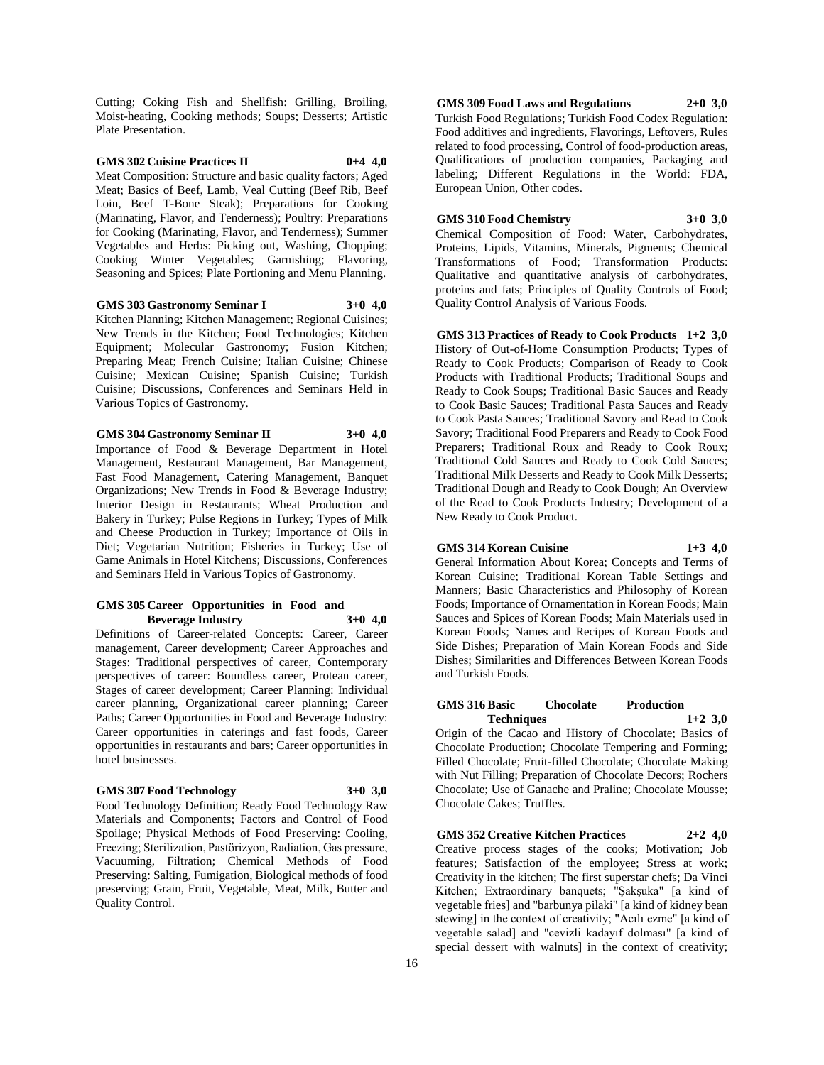Cutting; Coking Fish and Shellfish: Grilling, Broiling, Moist-heating, Cooking methods; Soups; Desserts; Artistic Plate Presentation.

#### **GMS 302 Cuisine Practices II 0+4 4,0**

Meat Composition: Structure and basic quality factors; Aged Meat; Basics of Beef, Lamb, Veal Cutting (Beef Rib, Beef Loin, Beef T-Bone Steak); Preparations for Cooking (Marinating, Flavor, and Tenderness); Poultry: Preparations for Cooking (Marinating, Flavor, and Tenderness); Summer Vegetables and Herbs: Picking out, Washing, Chopping; Cooking Winter Vegetables; Garnishing; Flavoring, Seasoning and Spices; Plate Portioning and Menu Planning.

#### **GMS 303 Gastronomy Seminar I 3+0 4,0**

Kitchen Planning; Kitchen Management; Regional Cuisines; New Trends in the Kitchen; Food Technologies; Kitchen Equipment; Molecular Gastronomy; Fusion Kitchen; Preparing Meat; French Cuisine; Italian Cuisine; Chinese Cuisine; Mexican Cuisine; Spanish Cuisine; Turkish Cuisine; Discussions, Conferences and Seminars Held in Various Topics of Gastronomy.

#### **GMS 304 Gastronomy Seminar II 3+0 4,0**

Importance of Food & Beverage Department in Hotel Management, Restaurant Management, Bar Management, Fast Food Management, Catering Management, Banquet Organizations; New Trends in Food & Beverage Industry; Interior Design in Restaurants; Wheat Production and Bakery in Turkey; Pulse Regions in Turkey; Types of Milk and Cheese Production in Turkey; Importance of Oils in Diet; Vegetarian Nutrition; Fisheries in Turkey; Use of Game Animals in Hotel Kitchens; Discussions, Conferences and Seminars Held in Various Topics of Gastronomy.

#### **GMS 305 Career Opportunities in Food and Beverage Industry 3+0 4,0**

Definitions of Career-related Concepts: Career, Career management, Career development; Career Approaches and Stages: Traditional perspectives of career, Contemporary perspectives of career: Boundless career, Protean career, Stages of career development; Career Planning: Individual career planning, Organizational career planning; Career Paths; Career Opportunities in Food and Beverage Industry: Career opportunities in caterings and fast foods, Career opportunities in restaurants and bars; Career opportunities in hotel businesses.

#### **GMS 307 Food Technology 3+0 3,0**

Food Technology Definition; Ready Food Technology Raw Materials and Components; Factors and Control of Food Spoilage; Physical Methods of Food Preserving: Cooling, Freezing; Sterilization, Pastörizyon, Radiation, Gas pressure, Vacuuming, Filtration; Chemical Methods of Food Preserving: Salting, Fumigation, Biological methods of food preserving; Grain, Fruit, Vegetable, Meat, Milk, Butter and Quality Control.

**GMS 309 Food Laws and Regulations 2+0 3,0** Turkish Food Regulations; Turkish Food Codex Regulation: Food additives and ingredients, Flavorings, Leftovers, Rules related to food processing, Control of food-production areas, Qualifications of production companies, Packaging and labeling; Different Regulations in the World: FDA, European Union, Other codes.

#### **GMS 310 Food Chemistry 3+0 3,0**

Chemical Composition of Food: Water, Carbohydrates, Proteins, Lipids, Vitamins, Minerals, Pigments; Chemical Transformations of Food; Transformation Products: Qualitative and quantitative analysis of carbohydrates, proteins and fats; Principles of Quality Controls of Food; Quality Control Analysis of Various Foods.

**GMS 313 Practices of Ready to Cook Products 1+2 3,0** History of Out-of-Home Consumption Products; Types of Ready to Cook Products; Comparison of Ready to Cook Products with Traditional Products; Traditional Soups and Ready to Cook Soups; Traditional Basic Sauces and Ready to Cook Basic Sauces; Traditional Pasta Sauces and Ready to Cook Pasta Sauces; Traditional Savory and Read to Cook Savory; Traditional Food Preparers and Ready to Cook Food Preparers; Traditional Roux and Ready to Cook Roux; Traditional Cold Sauces and Ready to Cook Cold Sauces; Traditional Milk Desserts and Ready to Cook Milk Desserts; Traditional Dough and Ready to Cook Dough; An Overview of the Read to Cook Products Industry; Development of a New Ready to Cook Product.

#### **GMS 314 Korean Cuisine 1+3 4,0**

General Information About Korea; Concepts and Terms of Korean Cuisine; Traditional Korean Table Settings and Manners; Basic Characteristics and Philosophy of Korean Foods; Importance of Ornamentation in Korean Foods; Main Sauces and Spices of Korean Foods; Main Materials used in Korean Foods; Names and Recipes of Korean Foods and Side Dishes; Preparation of Main Korean Foods and Side Dishes; Similarities and Differences Between Korean Foods and Turkish Foods.

#### **GMS 316 Basic Chocolate Production Techniques 1+2 3,0**

Origin of the Cacao and History of Chocolate; Basics of Chocolate Production; Chocolate Tempering and Forming; Filled Chocolate; Fruit-filled Chocolate; Chocolate Making with Nut Filling; Preparation of Chocolate Decors; Rochers Chocolate; Use of Ganache and Praline; Chocolate Mousse; Chocolate Cakes; Truffles.

**GMS 352 Creative Kitchen Practices 2+2 4,0** Creative process stages of the cooks; Motivation; Job features; Satisfaction of the employee; Stress at work; Creativity in the kitchen; The first superstar chefs; Da Vinci Kitchen; Extraordinary banquets; "Şakşuka" [a kind of vegetable fries] and "barbunya pilaki" [a kind of kidney bean stewing] in the context of creativity; "Acılı ezme" [a kind of vegetable salad] and "cevizli kadayıf dolması" [a kind of special dessert with walnuts] in the context of creativity;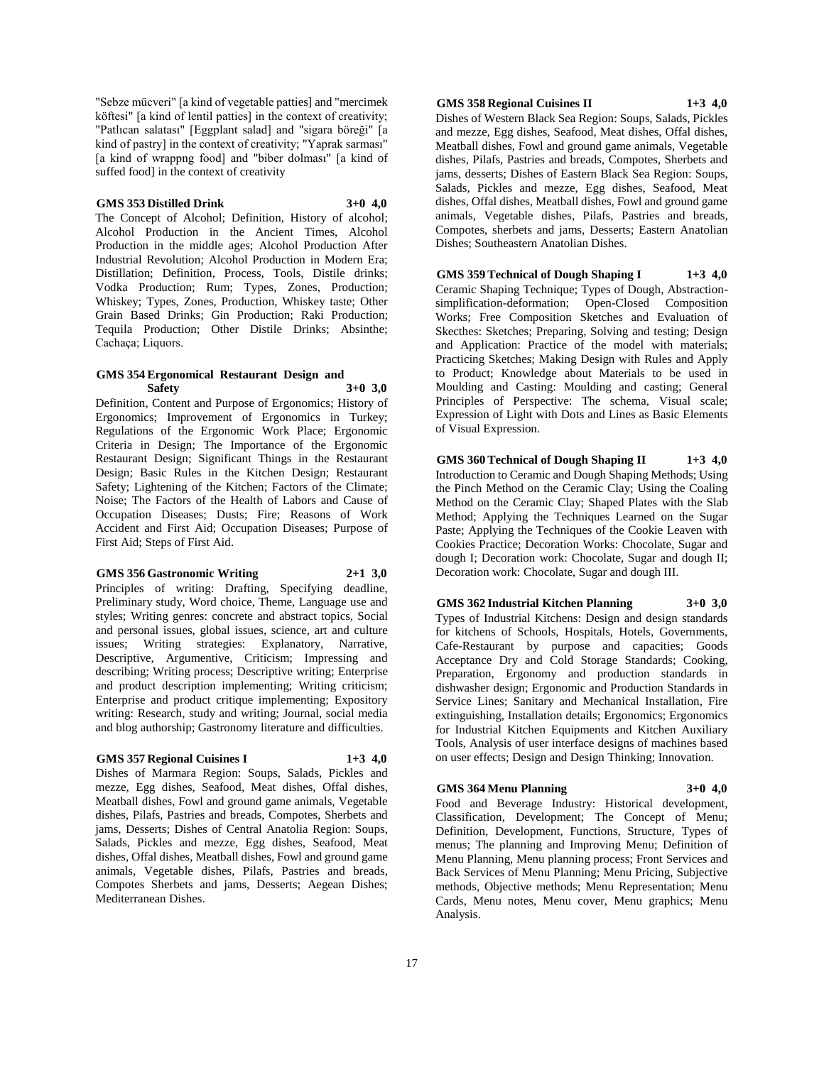"Sebze mücveri" [a kind of vegetable patties] and "mercimek köftesi" [a kind of lentil patties] in the context of creativity; "Patlıcan salatası" [Eggplant salad] and "sigara böreği" [a kind of pastry] in the context of creativity; "Yaprak sarması" [a kind of wrappng food] and "biber dolması" [a kind of suffed food] in the context of creativity

#### **GMS 353 Distilled Drink 3+0 4,0**

The Concept of Alcohol; Definition, History of alcohol; Alcohol Production in the Ancient Times, Alcohol Production in the middle ages; Alcohol Production After Industrial Revolution; Alcohol Production in Modern Era; Distillation; Definition, Process, Tools, Distile drinks; Vodka Production; Rum; Types, Zones, Production; Whiskey; Types, Zones, Production, Whiskey taste; Other Grain Based Drinks; Gin Production; Raki Production; Tequila Production; Other Distile Drinks; Absinthe; Cachaça; Liquors.

#### **GMS 354 Ergonomical Restaurant Design and Safety 3+0 3,0**

Definition, Content and Purpose of Ergonomics; History of Ergonomics; Improvement of Ergonomics in Turkey; Regulations of the Ergonomic Work Place; Ergonomic Criteria in Design; The Importance of the Ergonomic Restaurant Design; Significant Things in the Restaurant Design; Basic Rules in the Kitchen Design; Restaurant Safety; Lightening of the Kitchen; Factors of the Climate; Noise; The Factors of the Health of Labors and Cause of Occupation Diseases; Dusts; Fire; Reasons of Work Accident and First Aid; Occupation Diseases; Purpose of First Aid; Steps of First Aid.

#### **GMS 356 Gastronomic Writing 2+1 3,0**

Principles of writing: Drafting, Specifying deadline, Preliminary study, Word choice, Theme, Language use and styles; Writing genres: concrete and abstract topics, Social and personal issues, global issues, science, art and culture issues; Writing strategies: Explanatory, Narrative, Descriptive, Argumentive, Criticism; Impressing and describing; Writing process; Descriptive writing; Enterprise and product description implementing; Writing criticism; Enterprise and product critique implementing; Expository writing: Research, study and writing; Journal, social media and blog authorship; Gastronomy literature and difficulties.

#### **GMS 357 Regional Cuisines I 1+3 4,0**

Dishes of Marmara Region: Soups, Salads, Pickles and mezze, Egg dishes, Seafood, Meat dishes, Offal dishes, Meatball dishes, Fowl and ground game animals, Vegetable dishes, Pilafs, Pastries and breads, Compotes, Sherbets and jams, Desserts; Dishes of Central Anatolia Region: Soups, Salads, Pickles and mezze, Egg dishes, Seafood, Meat dishes, Offal dishes, Meatball dishes, Fowl and ground game animals, Vegetable dishes, Pilafs, Pastries and breads, Compotes Sherbets and jams, Desserts; Aegean Dishes; Mediterranean Dishes.

## **GMS 358 Regional Cuisines II 1+3 4,0**

Dishes of Western Black Sea Region: Soups, Salads, Pickles and mezze, Egg dishes, Seafood, Meat dishes, Offal dishes, Meatball dishes, Fowl and ground game animals, Vegetable dishes, Pilafs, Pastries and breads, Compotes, Sherbets and jams, desserts; Dishes of Eastern Black Sea Region: Soups, Salads, Pickles and mezze, Egg dishes, Seafood, Meat dishes, Offal dishes, Meatball dishes, Fowl and ground game animals, Vegetable dishes, Pilafs, Pastries and breads, Compotes, sherbets and jams, Desserts; Eastern Anatolian Dishes; Southeastern Anatolian Dishes.

**GMS 359 Technical of Dough Shaping I 1+3 4,0** Ceramic Shaping Technique; Types of Dough, Abstractionsimplification-deformation; Open-Closed Composition Works; Free Composition Sketches and Evaluation of Skecthes: Sketches; Preparing, Solving and testing; Design and Application: Practice of the model with materials; Practicing Sketches; Making Design with Rules and Apply to Product; Knowledge about Materials to be used in Moulding and Casting: Moulding and casting; General Principles of Perspective: The schema, Visual scale; Expression of Light with Dots and Lines as Basic Elements of Visual Expression.

**GMS 360 Technical of Dough Shaping II 1+3 4,0** Introduction to Ceramic and Dough Shaping Methods; Using the Pinch Method on the Ceramic Clay; Using the Coaling Method on the Ceramic Clay; Shaped Plates with the Slab Method; Applying the Techniques Learned on the Sugar Paste; Applying the Techniques of the Cookie Leaven with Cookies Practice; Decoration Works: Chocolate, Sugar and dough I; Decoration work: Chocolate, Sugar and dough II; Decoration work: Chocolate, Sugar and dough III.

#### **GMS 362 Industrial Kitchen Planning 3+0 3,0**

Types of Industrial Kitchens: Design and design standards for kitchens of Schools, Hospitals, Hotels, Governments, Cafe-Restaurant by purpose and capacities; Goods Acceptance Dry and Cold Storage Standards; Cooking, Preparation, Ergonomy and production standards in dishwasher design; Ergonomic and Production Standards in Service Lines; Sanitary and Mechanical Installation, Fire extinguishing, Installation details; Ergonomics; Ergonomics for Industrial Kitchen Equipments and Kitchen Auxiliary Tools, Analysis of user interface designs of machines based on user effects; Design and Design Thinking; Innovation.

#### **GMS 364 Menu Planning 3+0 4,0**

Food and Beverage Industry: Historical development, Classification, Development; The Concept of Menu; Definition, Development, Functions, Structure, Types of menus; The planning and Improving Menu; Definition of Menu Planning, Menu planning process; Front Services and Back Services of Menu Planning; Menu Pricing, Subjective methods, Objective methods; Menu Representation; Menu Cards, Menu notes, Menu cover, Menu graphics; Menu Analysis.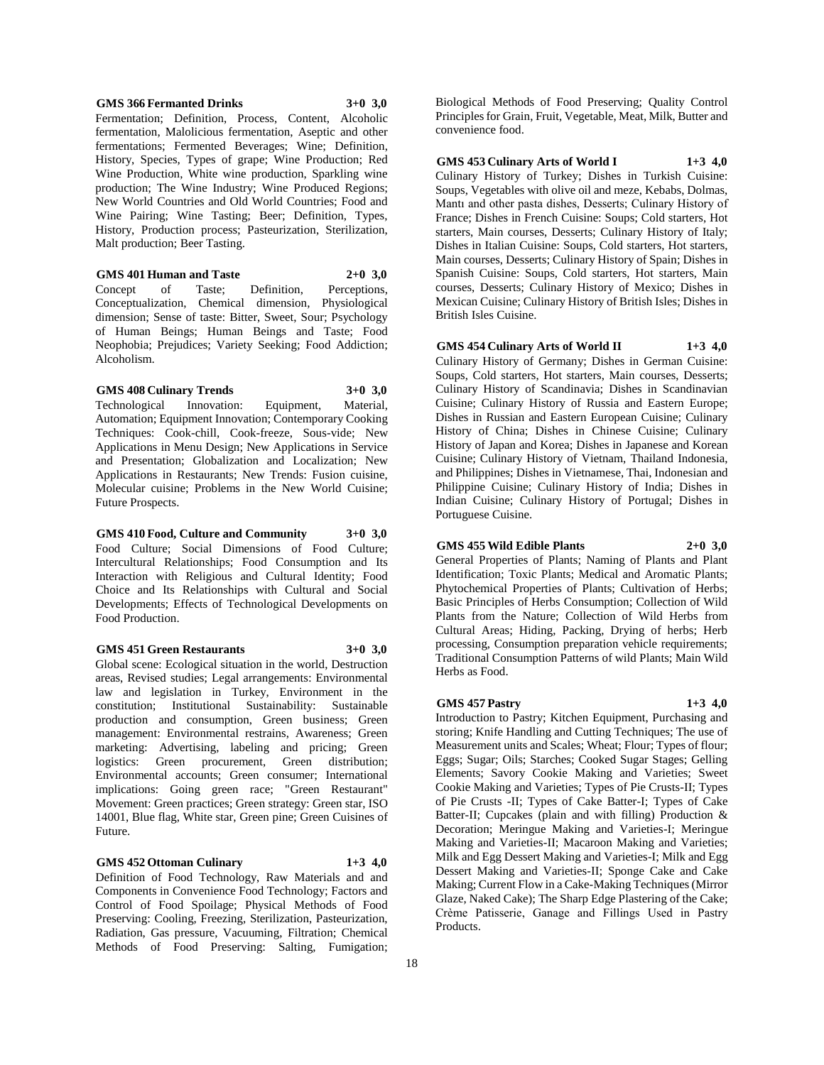#### **GMS 366 Fermanted Drinks 3+0 3,0** Fermentation; Definition, Process, Content, Alcoholic fermentation, Malolicious fermentation, Aseptic and other fermentations; Fermented Beverages; Wine; Definition, History, Species, Types of grape; Wine Production; Red Wine Production, White wine production, Sparkling wine production; The Wine Industry; Wine Produced Regions; New World Countries and Old World Countries; Food and Wine Pairing; Wine Tasting; Beer; Definition, Types, History, Production process; Pasteurization, Sterilization, Malt production; Beer Tasting.

**GMS 401 Human and Taste 2+0 3,0** Concept of Taste; Definition, Perceptions, Conceptualization, Chemical dimension, Physiological dimension; Sense of taste: Bitter, Sweet, Sour; Psychology of Human Beings; Human Beings and Taste; Food Neophobia; Prejudices; Variety Seeking; Food Addiction; Alcoholism.

#### **GMS 408 Culinary Trends 3+0 3,0**

Technological Innovation: Equipment, Material, Automation; Equipment Innovation; Contemporary Cooking Techniques: Cook-chill, Cook-freeze, Sous-vide; New Applications in Menu Design; New Applications in Service and Presentation; Globalization and Localization; New Applications in Restaurants; New Trends: Fusion cuisine, Molecular cuisine; Problems in the New World Cuisine; Future Prospects.

**GMS 410 Food, Culture and Community 3+0 3,0** Food Culture; Social Dimensions of Food Culture; Intercultural Relationships; Food Consumption and Its Interaction with Religious and Cultural Identity; Food Choice and Its Relationships with Cultural and Social Developments; Effects of Technological Developments on Food Production.

#### **GMS 451 Green Restaurants 3+0 3,0**

Global scene: Ecological situation in the world, Destruction areas, Revised studies; Legal arrangements: Environmental law and legislation in Turkey, Environment in the constitution; Institutional Sustainability: Sustainable production and consumption, Green business; Green management: Environmental restrains, Awareness; Green marketing: Advertising, labeling and pricing; Green logistics: Green procurement, Green distribution; Environmental accounts; Green consumer; International implications: Going green race; "Green Restaurant" Movement: Green practices; Green strategy: Green star, ISO 14001, Blue flag, White star, Green pine; Green Cuisines of Future.

### **GMS 452 Ottoman Culinary 1+3 4,0**

Definition of Food Technology, Raw Materials and and Components in Convenience Food Technology; Factors and Control of Food Spoilage; Physical Methods of Food Preserving: Cooling, Freezing, Sterilization, Pasteurization, Radiation, Gas pressure, Vacuuming, Filtration; Chemical Methods of Food Preserving: Salting, Fumigation;

Biological Methods of Food Preserving; Quality Control Principles for Grain, Fruit, Vegetable, Meat, Milk, Butter and convenience food.

**GMS 453 Culinary Arts of World I 1+3 4,0** Culinary History of Turkey; Dishes in Turkish Cuisine: Soups, Vegetables with olive oil and meze, Kebabs, Dolmas, Mantı and other pasta dishes, Desserts; Culinary History of France; Dishes in French Cuisine: Soups; Cold starters, Hot starters, Main courses, Desserts; Culinary History of Italy; Dishes in Italian Cuisine: Soups, Cold starters, Hot starters, Main courses, Desserts; Culinary History of Spain; Dishes in Spanish Cuisine: Soups, Cold starters, Hot starters, Main courses, Desserts; Culinary History of Mexico; Dishes in Mexican Cuisine; Culinary History of British Isles; Dishes in British Isles Cuisine.

**GMS 454 Culinary Arts of World II 1+3 4,0** Culinary History of Germany; Dishes in German Cuisine: Soups, Cold starters, Hot starters, Main courses, Desserts; Culinary History of Scandinavia; Dishes in Scandinavian Cuisine; Culinary History of Russia and Eastern Europe; Dishes in Russian and Eastern European Cuisine; Culinary History of China; Dishes in Chinese Cuisine; Culinary History of Japan and Korea; Dishes in Japanese and Korean Cuisine; Culinary History of Vietnam, Thailand Indonesia, and Philippines; Dishes in Vietnamese, Thai, Indonesian and Philippine Cuisine; Culinary History of India; Dishes in Indian Cuisine; Culinary History of Portugal; Dishes in Portuguese Cuisine.

## **GMS 455 Wild Edible Plants 2+0 3,0**

General Properties of Plants; Naming of Plants and Plant Identification; Toxic Plants; Medical and Aromatic Plants; Phytochemical Properties of Plants; Cultivation of Herbs; Basic Principles of Herbs Consumption; Collection of Wild Plants from the Nature; Collection of Wild Herbs from Cultural Areas; Hiding, Packing, Drying of herbs; Herb processing, Consumption preparation vehicle requirements; Traditional Consumption Patterns of wild Plants; Main Wild Herbs as Food.

### **GMS 457 Pastry 1+3 4,0**

Introduction to Pastry; Kitchen Equipment, Purchasing and storing; Knife Handling and Cutting Techniques; The use of Measurement units and Scales; Wheat; Flour; Types of flour; Eggs; Sugar; Oils; Starches; Cooked Sugar Stages; Gelling Elements; Savory Cookie Making and Varieties; Sweet Cookie Making and Varieties; Types of Pie Crusts-II; Types of Pie Crusts -II; Types of Cake Batter-I; Types of Cake Batter-II; Cupcakes (plain and with filling) Production & Decoration; Meringue Making and Varieties-I; Meringue Making and Varieties-II; Macaroon Making and Varieties; Milk and Egg Dessert Making and Varieties-I; Milk and Egg Dessert Making and Varieties-II; Sponge Cake and Cake Making; Current Flow in a Cake-Making Techniques (Mirror Glaze, Naked Cake); The Sharp Edge Plastering of the Cake; Crème Patisserie, Ganage and Fillings Used in Pastry Products.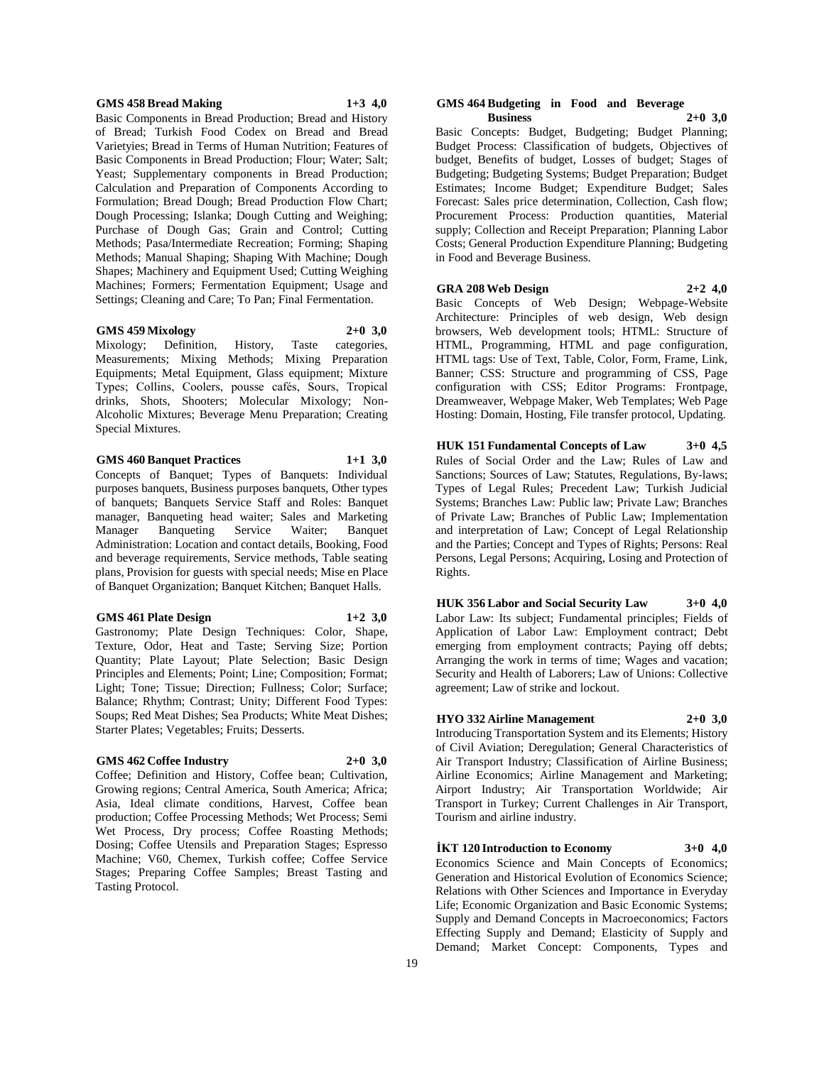#### **GMS 458 Bread Making 1+3 4,0**

Basic Components in Bread Production; Bread and History of Bread; Turkish Food Codex on Bread and Bread Varietyies; Bread in Terms of Human Nutrition; Features of Basic Components in Bread Production; Flour; Water; Salt; Yeast; Supplementary components in Bread Production; Calculation and Preparation of Components According to Formulation; Bread Dough; Bread Production Flow Chart; Dough Processing; Islanka; Dough Cutting and Weighing; Purchase of Dough Gas; Grain and Control; Cutting Methods; Pasa/Intermediate Recreation; Forming; Shaping Methods; Manual Shaping; Shaping With Machine; Dough Shapes; Machinery and Equipment Used; Cutting Weighing Machines; Formers; Fermentation Equipment; Usage and Settings; Cleaning and Care; To Pan; Final Fermentation.

#### **GMS 459 Mixology 2+0 3,0**

Mixology; Definition, History, Taste categories, Measurements; Mixing Methods; Mixing Preparation Equipments; Metal Equipment, Glass equipment; Mixture Types; Collins, Coolers, pousse cafés, Sours, Tropical drinks, Shots, Shooters; Molecular Mixology; Non-Alcoholic Mixtures; Beverage Menu Preparation; Creating Special Mixtures.

#### **GMS 460 Banquet Practices 1+1 3,0**

Concepts of Banquet; Types of Banquets: Individual purposes banquets, Business purposes banquets, Other types of banquets; Banquets Service Staff and Roles: Banquet manager, Banqueting head waiter; Sales and Marketing Manager Banqueting Service Waiter; Banquet Administration: Location and contact details, Booking, Food and beverage requirements, Service methods, Table seating plans, Provision for guests with special needs; Mise en Place of Banquet Organization; Banquet Kitchen; Banquet Halls.

#### **GMS 461 Plate Design 1+2 3,0**

Gastronomy; Plate Design Techniques: Color, Shape, Texture, Odor, Heat and Taste; Serving Size; Portion Quantity; Plate Layout; Plate Selection; Basic Design Principles and Elements; Point; Line; Composition; Format; Light; Tone; Tissue; Direction; Fullness; Color; Surface; Balance; Rhythm; Contrast; Unity; Different Food Types: Soups; Red Meat Dishes; Sea Products; White Meat Dishes; Starter Plates; Vegetables; Fruits; Desserts.

#### **GMS 462 Coffee Industry 2+0 3,0**

Coffee; Definition and History, Coffee bean; Cultivation, Growing regions; Central America, South America; Africa; Asia, Ideal climate conditions, Harvest, Coffee bean production; Coffee Processing Methods; Wet Process; Semi Wet Process, Dry process; Coffee Roasting Methods; Dosing; Coffee Utensils and Preparation Stages; Espresso Machine; V60, Chemex, Turkish coffee; Coffee Service Stages; Preparing Coffee Samples; Breast Tasting and Tasting Protocol.

#### **GMS 464 Budgeting in Food and Beverage Business 2+0 3,0**

Basic Concepts: Budget, Budgeting; Budget Planning; Budget Process: Classification of budgets, Objectives of budget, Benefits of budget, Losses of budget; Stages of Budgeting; Budgeting Systems; Budget Preparation; Budget Estimates; Income Budget; Expenditure Budget; Sales Forecast: Sales price determination, Collection, Cash flow; Procurement Process: Production quantities, Material supply; Collection and Receipt Preparation; Planning Labor Costs; General Production Expenditure Planning; Budgeting in Food and Beverage Business.

#### **GRA 208 Web Design 2+2 4,0**

Basic Concepts of Web Design; Webpage-Website Architecture: Principles of web design, Web design browsers, Web development tools; HTML: Structure of HTML, Programming, HTML and page configuration, HTML tags: Use of Text, Table, Color, Form, Frame, Link, Banner; CSS: Structure and programming of CSS, Page configuration with CSS; Editor Programs: Frontpage, Dreamweaver, Webpage Maker, Web Templates; Web Page Hosting: Domain, Hosting, File transfer protocol, Updating.

**HUK 151 Fundamental Concepts of Law 3+0 4,5** Rules of Social Order and the Law; Rules of Law and Sanctions; Sources of Law; Statutes, Regulations, By-laws; Types of Legal Rules; Precedent Law; Turkish Judicial Systems; Branches Law: Public law; Private Law; Branches of Private Law; Branches of Public Law; Implementation and interpretation of Law; Concept of Legal Relationship and the Parties; Concept and Types of Rights; Persons: Real Persons, Legal Persons; Acquiring, Losing and Protection of Rights.

**HUK 356 Labor and Social Security Law 3+0 4,0** Labor Law: Its subject; Fundamental principles; Fields of Application of Labor Law: Employment contract; Debt emerging from employment contracts; Paying off debts; Arranging the work in terms of time; Wages and vacation; Security and Health of Laborers; Law of Unions: Collective agreement; Law of strike and lockout.

#### **HYO 332 Airline Management 2+0 3,0**

Introducing Transportation System and its Elements; History of Civil Aviation; Deregulation; General Characteristics of Air Transport Industry; Classification of Airline Business; Airline Economics; Airline Management and Marketing; Airport Industry; Air Transportation Worldwide; Air Transport in Turkey; Current Challenges in Air Transport, Tourism and airline industry.

#### **İKT 120 Introduction to Economy 3+0 4,0**

Economics Science and Main Concepts of Economics; Generation and Historical Evolution of Economics Science; Relations with Other Sciences and Importance in Everyday Life; Economic Organization and Basic Economic Systems; Supply and Demand Concepts in Macroeconomics; Factors Effecting Supply and Demand; Elasticity of Supply and Demand; Market Concept: Components, Types and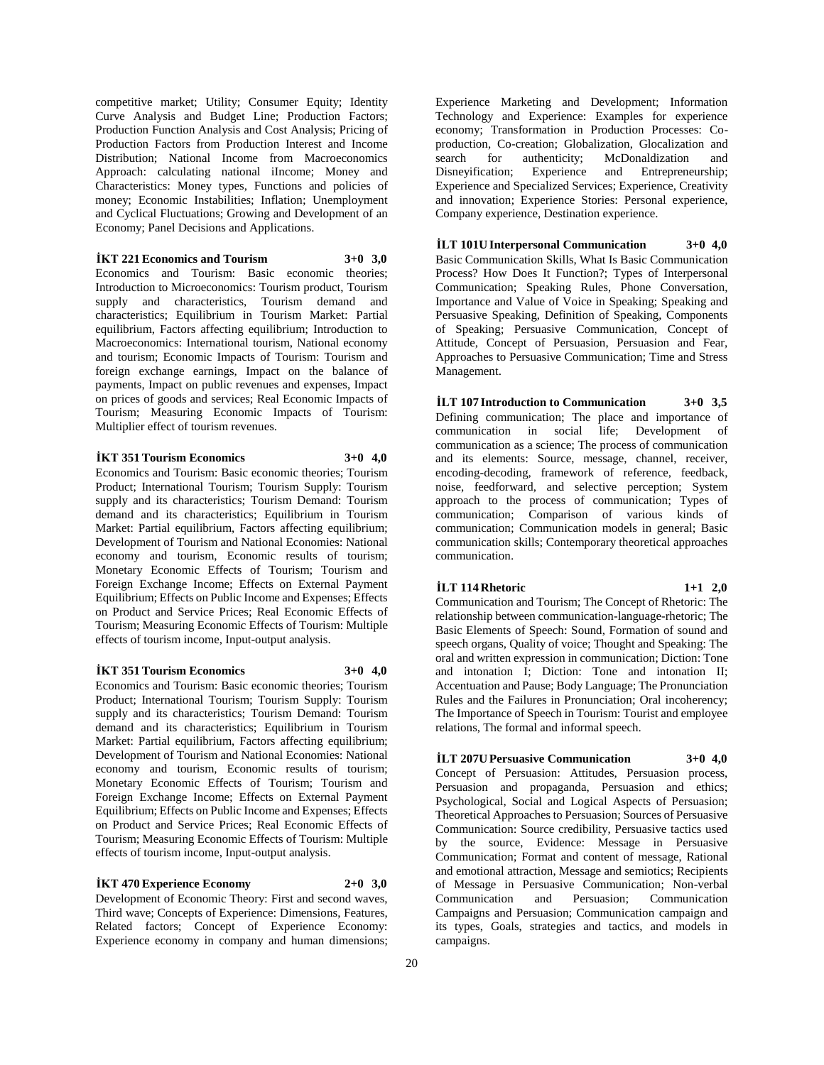competitive market; Utility; Consumer Equity; Identity Curve Analysis and Budget Line; Production Factors; Production Function Analysis and Cost Analysis; Pricing of Production Factors from Production Interest and Income Distribution; National Income from Macroeconomics Approach: calculating national iIncome; Money and Characteristics: Money types, Functions and policies of money; Economic Instabilities; Inflation; Unemployment and Cyclical Fluctuations; Growing and Development of an Economy; Panel Decisions and Applications.

 $\textbf{i}$ KT 221 Economics and Tourism  $3+0$  3.0 Economics and Tourism: Basic economic theories; Introduction to Microeconomics: Tourism product, Tourism supply and characteristics, Tourism demand and characteristics; Equilibrium in Tourism Market: Partial equilibrium, Factors affecting equilibrium; Introduction to Macroeconomics: International tourism, National economy and tourism; Economic Impacts of Tourism: Tourism and foreign exchange earnings, Impact on the balance of payments, Impact on public revenues and expenses, Impact on prices of goods and services; Real Economic Impacts of Tourism; Measuring Economic Impacts of Tourism: Multiplier effect of tourism revenues.

#### **İKT 351 Tourism Economics 3+0 4,0**

Economics and Tourism: Basic economic theories; Tourism Product; International Tourism; Tourism Supply: Tourism supply and its characteristics; Tourism Demand: Tourism demand and its characteristics; Equilibrium in Tourism Market: Partial equilibrium, Factors affecting equilibrium; Development of Tourism and National Economies: National economy and tourism, Economic results of tourism; Monetary Economic Effects of Tourism; Tourism and Foreign Exchange Income; Effects on External Payment Equilibrium; Effects on Public Income and Expenses; Effects on Product and Service Prices; Real Economic Effects of Tourism; Measuring Economic Effects of Tourism: Multiple effects of tourism income, Input-output analysis.

#### **İKT 351 Tourism Economics 3+0 4,0**

Economics and Tourism: Basic economic theories; Tourism Product; International Tourism; Tourism Supply: Tourism supply and its characteristics; Tourism Demand: Tourism demand and its characteristics; Equilibrium in Tourism Market: Partial equilibrium, Factors affecting equilibrium; Development of Tourism and National Economies: National economy and tourism, Economic results of tourism; Monetary Economic Effects of Tourism; Tourism and Foreign Exchange Income; Effects on External Payment Equilibrium; Effects on Public Income and Expenses; Effects on Product and Service Prices; Real Economic Effects of Tourism; Measuring Economic Effects of Tourism: Multiple effects of tourism income, Input-output analysis.

### **İKT 470 Experience Economy 2+0 3,0**

Development of Economic Theory: First and second waves, Third wave; Concepts of Experience: Dimensions, Features, Related factors; Concept of Experience Economy: Experience economy in company and human dimensions;

Experience Marketing and Development; Information Technology and Experience: Examples for experience economy; Transformation in Production Processes: Coproduction, Co-creation; Globalization, Glocalization and search for authenticity; McDonaldization and<br>Disneyification; Experience and Entrepreneurship; and Entrepreneurship; Experience and Specialized Services; Experience, Creativity and innovation; Experience Stories: Personal experience, Company experience, Destination experience.

**İLT 101U Interpersonal Communication 3+0 4,0** Basic Communication Skills, What Is Basic Communication Process? How Does It Function?; Types of Interpersonal Communication; Speaking Rules, Phone Conversation, Importance and Value of Voice in Speaking; Speaking and Persuasive Speaking, Definition of Speaking, Components of Speaking; Persuasive Communication, Concept of Attitude, Concept of Persuasion, Persuasion and Fear, Approaches to Persuasive Communication; Time and Stress Management.

**İLT 107 Introduction to Communication 3+0 3,5** Defining communication; The place and importance of communication in social life; Development of communication as a science; The process of communication and its elements: Source, message, channel, receiver, encoding-decoding, framework of reference, feedback, noise, feedforward, and selective perception; System approach to the process of communication; Types of communication; Comparison of various kinds of communication; Communication models in general; Basic communication skills; Contemporary theoretical approaches communication.

**İLT 114 Rhetoric 1+1 2,0** Communication and Tourism; The Concept of Rhetoric: The relationship between communication-language-rhetoric; The Basic Elements of Speech: Sound, Formation of sound and speech organs, Quality of voice; Thought and Speaking: The oral and written expression in communication; Diction: Tone and intonation I; Diction: Tone and intonation II; Accentuation and Pause; Body Language; The Pronunciation Rules and the Failures in Pronunciation; Oral incoherency; The Importance of Speech in Tourism: Tourist and employee

## **İLT 207U Persuasive Communication 3+0 4,0**

relations, The formal and informal speech.

Concept of Persuasion: Attitudes, Persuasion process, Persuasion and propaganda, Persuasion and ethics; Psychological, Social and Logical Aspects of Persuasion; Theoretical Approaches to Persuasion; Sources of Persuasive Communication: Source credibility, Persuasive tactics used by the source, Evidence: Message in Persuasive Communication; Format and content of message, Rational and emotional attraction, Message and semiotics; Recipients of Message in Persuasive Communication; Non-verbal Communication and Persuasion; Communication Campaigns and Persuasion; Communication campaign and its types, Goals, strategies and tactics, and models in campaigns.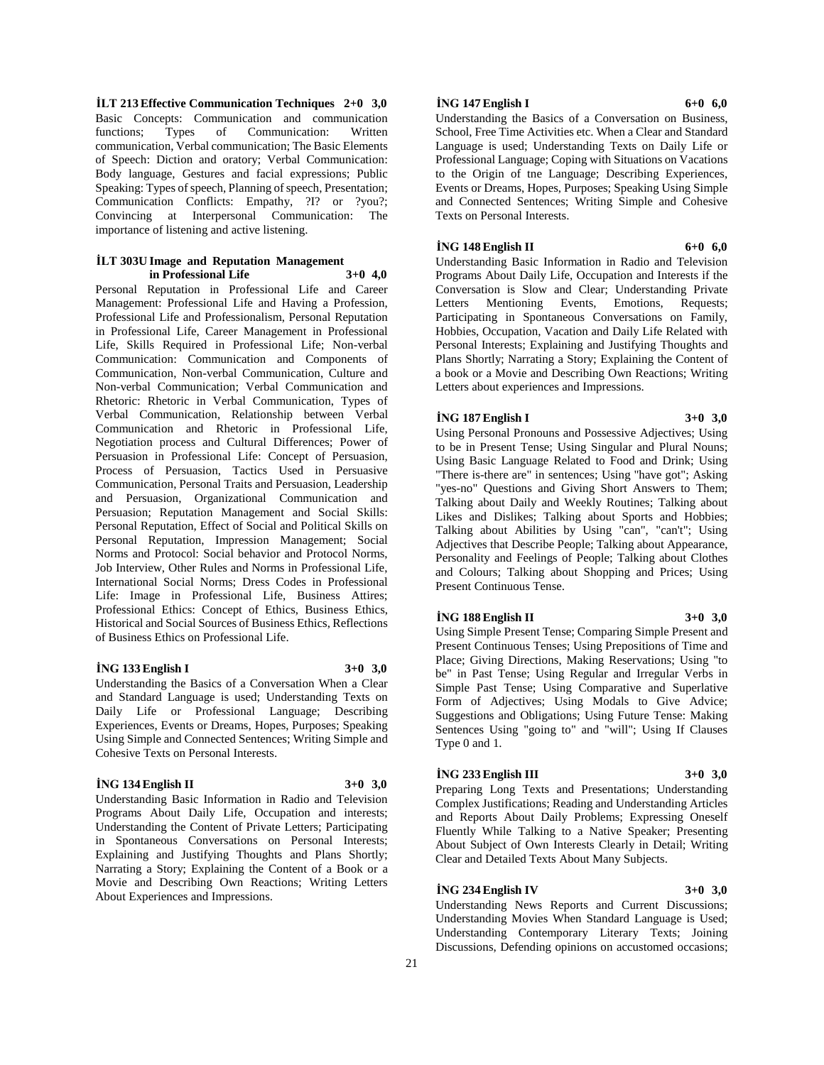**İLT 213 Effective Communication Techniques 2+0 3,0** Basic Concepts: Communication and communication functions; Types of Communication: Written communication, Verbal communication; The Basic Elements of Speech: Diction and oratory; Verbal Communication: Body language, Gestures and facial expressions; Public Speaking: Types of speech, Planning of speech, Presentation; Communication Conflicts: Empathy, ?I? or ?you?; Convincing at Interpersonal Communication: The importance of listening and active listening.

#### **İLT 303U Image and Reputation Management in Professional Life 3+0 4,0**

Personal Reputation in Professional Life and Career Management: Professional Life and Having a Profession, Professional Life and Professionalism, Personal Reputation in Professional Life, Career Management in Professional Life, Skills Required in Professional Life; Non-verbal Communication: Communication and Components of Communication, Non-verbal Communication, Culture and Non-verbal Communication; Verbal Communication and Rhetoric: Rhetoric in Verbal Communication, Types of Verbal Communication, Relationship between Verbal Communication and Rhetoric in Professional Life, Negotiation process and Cultural Differences; Power of Persuasion in Professional Life: Concept of Persuasion, Process of Persuasion, Tactics Used in Persuasive Communication, Personal Traits and Persuasion, Leadership and Persuasion, Organizational Communication and Persuasion; Reputation Management and Social Skills: Personal Reputation, Effect of Social and Political Skills on Personal Reputation, Impression Management; Social Norms and Protocol: Social behavior and Protocol Norms, Job Interview, Other Rules and Norms in Professional Life, International Social Norms; Dress Codes in Professional Life: Image in Professional Life, Business Attires; Professional Ethics: Concept of Ethics, Business Ethics, Historical and Social Sources of Business Ethics, Reflections of Business Ethics on Professional Life.

#### **İNG 133 English I 3+0 3,0**

Understanding the Basics of a Conversation When a Clear and Standard Language is used; Understanding Texts on Daily Life or Professional Language; Describing Experiences, Events or Dreams, Hopes, Purposes; Speaking Using Simple and Connected Sentences; Writing Simple and Cohesive Texts on Personal Interests.

### **İNG 134 English II 3+0 3,0**

Understanding Basic Information in Radio and Television Programs About Daily Life, Occupation and interests; Understanding the Content of Private Letters; Participating in Spontaneous Conversations on Personal Interests; Explaining and Justifying Thoughts and Plans Shortly; Narrating a Story; Explaining the Content of a Book or a Movie and Describing Own Reactions; Writing Letters About Experiences and Impressions.

#### **İNG 147 English I 6+0 6,0**

Understanding the Basics of a Conversation on Business, School, Free Time Activities etc. When a Clear and Standard Language is used; Understanding Texts on Daily Life or Professional Language; Coping with Situations on Vacations to the Origin of tne Language; Describing Experiences, Events or Dreams, Hopes, Purposes; Speaking Using Simple and Connected Sentences; Writing Simple and Cohesive Texts on Personal Interests.

#### **İNG 148 English II 6+0 6,0**

Understanding Basic Information in Radio and Television Programs About Daily Life, Occupation and Interests if the Conversation is Slow and Clear; Understanding Private Letters Mentioning Events, Emotions, Requests; Participating in Spontaneous Conversations on Family, Hobbies, Occupation, Vacation and Daily Life Related with Personal Interests; Explaining and Justifying Thoughts and Plans Shortly; Narrating a Story; Explaining the Content of a book or a Movie and Describing Own Reactions; Writing Letters about experiences and Impressions.

#### **İNG 187 English I 3+0 3,0**

Using Personal Pronouns and Possessive Adjectives; Using to be in Present Tense; Using Singular and Plural Nouns; Using Basic Language Related to Food and Drink; Using "There is-there are" in sentences; Using "have got"; Asking "yes-no" Questions and Giving Short Answers to Them; Talking about Daily and Weekly Routines; Talking about Likes and Dislikes; Talking about Sports and Hobbies; Talking about Abilities by Using "can", "can't"; Using Adjectives that Describe People; Talking about Appearance, Personality and Feelings of People; Talking about Clothes and Colours; Talking about Shopping and Prices; Using Present Continuous Tense.

#### **İNG 188 English II 3+0 3,0**

Using Simple Present Tense; Comparing Simple Present and Present Continuous Tenses; Using Prepositions of Time and Place; Giving Directions, Making Reservations; Using "to be" in Past Tense; Using Regular and Irregular Verbs in Simple Past Tense; Using Comparative and Superlative Form of Adjectives; Using Modals to Give Advice; Suggestions and Obligations; Using Future Tense: Making Sentences Using "going to" and "will"; Using If Clauses Type 0 and 1.

#### **İNG 233 English III 3+0 3,0**

Preparing Long Texts and Presentations; Understanding Complex Justifications; Reading and Understanding Articles and Reports About Daily Problems; Expressing Oneself Fluently While Talking to a Native Speaker; Presenting About Subject of Own Interests Clearly in Detail; Writing Clear and Detailed Texts About Many Subjects.

#### **İNG 234 English IV 3+0 3,0**

Understanding News Reports and Current Discussions; Understanding Movies When Standard Language is Used; Understanding Contemporary Literary Texts; Joining Discussions, Defending opinions on accustomed occasions;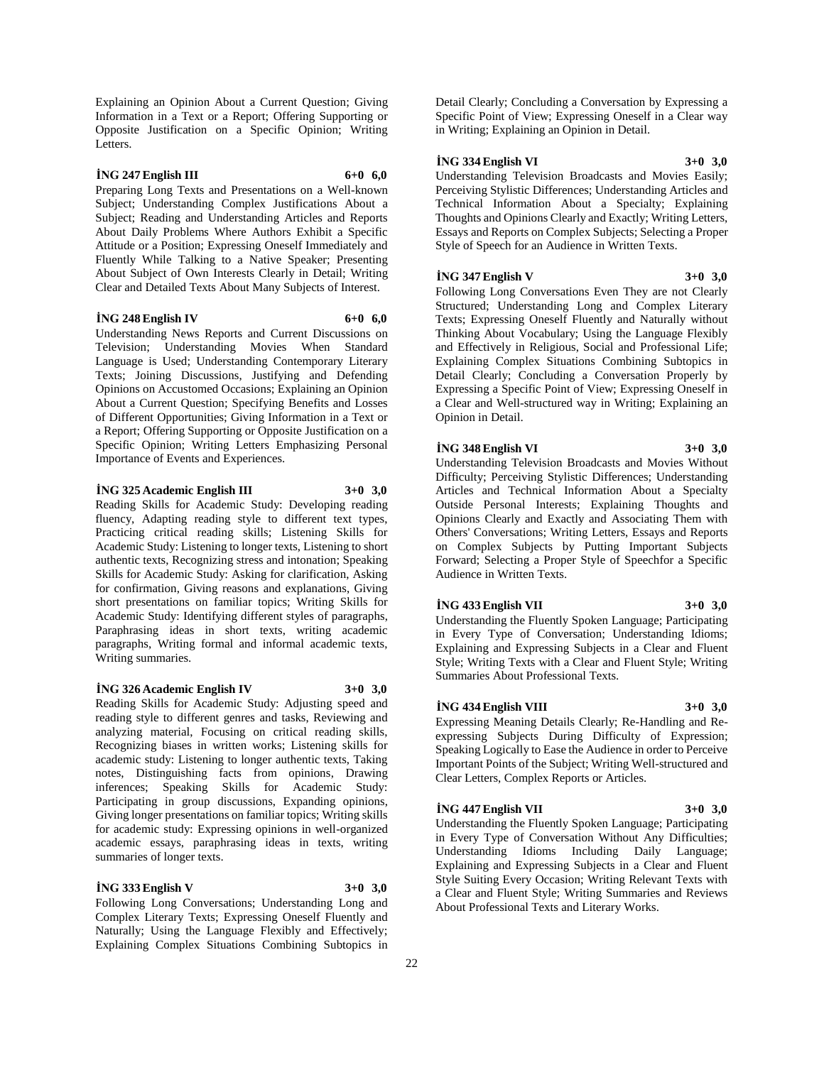Explaining an Opinion About a Current Question; Giving Information in a Text or a Report; Offering Supporting or Opposite Justification on a Specific Opinion; Writing Letters.

#### **İNG 247 English III 6+0 6,0**

Preparing Long Texts and Presentations on a Well-known Subject; Understanding Complex Justifications About a Subject; Reading and Understanding Articles and Reports About Daily Problems Where Authors Exhibit a Specific Attitude or a Position; Expressing Oneself Immediately and Fluently While Talking to a Native Speaker; Presenting About Subject of Own Interests Clearly in Detail; Writing Clear and Detailed Texts About Many Subjects of Interest.

#### **İNG 248 English IV 6+0 6,0**

Understanding News Reports and Current Discussions on Television; Understanding Movies When Standard Language is Used; Understanding Contemporary Literary Texts; Joining Discussions, Justifying and Defending Opinions on Accustomed Occasions; Explaining an Opinion About a Current Question; Specifying Benefits and Losses of Different Opportunities; Giving Information in a Text or a Report; Offering Supporting or Opposite Justification on a Specific Opinion; Writing Letters Emphasizing Personal Importance of Events and Experiences.

#### **İNG 325 Academic English III 3+0 3,0**

Reading Skills for Academic Study: Developing reading fluency, Adapting reading style to different text types, Practicing critical reading skills; Listening Skills for Academic Study: Listening to longer texts, Listening to short authentic texts, Recognizing stress and intonation; Speaking Skills for Academic Study: Asking for clarification, Asking for confirmation, Giving reasons and explanations, Giving short presentations on familiar topics; Writing Skills for Academic Study: Identifying different styles of paragraphs, Paraphrasing ideas in short texts, writing academic paragraphs, Writing formal and informal academic texts, Writing summaries.

#### **İNG 326 Academic English IV 3+0 3,0**

Reading Skills for Academic Study: Adjusting speed and reading style to different genres and tasks, Reviewing and analyzing material, Focusing on critical reading skills, Recognizing biases in written works; Listening skills for academic study: Listening to longer authentic texts, Taking notes, Distinguishing facts from opinions, Drawing inferences; Speaking Skills for Academic Study: Participating in group discussions, Expanding opinions, Giving longer presentations on familiar topics; Writing skills for academic study: Expressing opinions in well-organized academic essays, paraphrasing ideas in texts, writing summaries of longer texts.

#### **İNG 333 English V 3+0 3,0**

Following Long Conversations; Understanding Long and Complex Literary Texts; Expressing Oneself Fluently and Naturally; Using the Language Flexibly and Effectively; Explaining Complex Situations Combining Subtopics in Detail Clearly; Concluding a Conversation by Expressing a Specific Point of View; Expressing Oneself in a Clear way in Writing; Explaining an Opinion in Detail.

#### **İNG 334 English VI 3+0 3,0**

Understanding Television Broadcasts and Movies Easily; Perceiving Stylistic Differences; Understanding Articles and Technical Information About a Specialty; Explaining Thoughts and Opinions Clearly and Exactly; Writing Letters, Essays and Reports on Complex Subjects; Selecting a Proper Style of Speech for an Audience in Written Texts.

#### **İNG 347 English V 3+0 3,0**

Following Long Conversations Even They are not Clearly Structured; Understanding Long and Complex Literary Texts; Expressing Oneself Fluently and Naturally without Thinking About Vocabulary; Using the Language Flexibly and Effectively in Religious, Social and Professional Life; Explaining Complex Situations Combining Subtopics in Detail Clearly; Concluding a Conversation Properly by Expressing a Specific Point of View; Expressing Oneself in a Clear and Well-structured way in Writing; Explaining an Opinion in Detail.

#### **İNG 348 English VI 3+0 3,0**

Understanding Television Broadcasts and Movies Without Difficulty; Perceiving Stylistic Differences; Understanding Articles and Technical Information About a Specialty Outside Personal Interests; Explaining Thoughts and Opinions Clearly and Exactly and Associating Them with Others' Conversations; Writing Letters, Essays and Reports on Complex Subjects by Putting Important Subjects Forward; Selecting a Proper Style of Speechfor a Specific Audience in Written Texts.

#### **İNG 433 English VII 3+0 3,0**

Understanding the Fluently Spoken Language; Participating in Every Type of Conversation; Understanding Idioms; Explaining and Expressing Subjects in a Clear and Fluent Style; Writing Texts with a Clear and Fluent Style; Writing Summaries About Professional Texts.

#### **İNG 434 English VIII 3+0 3,0**

Expressing Meaning Details Clearly; Re-Handling and Reexpressing Subjects During Difficulty of Expression; Speaking Logically to Ease the Audience in order to Perceive Important Points of the Subject; Writing Well-structured and Clear Letters, Complex Reports or Articles.

#### **İNG 447 English VII 3+0 3,0**

Understanding the Fluently Spoken Language; Participating in Every Type of Conversation Without Any Difficulties; Understanding Idioms Including Daily Language; Explaining and Expressing Subjects in a Clear and Fluent Style Suiting Every Occasion; Writing Relevant Texts with a Clear and Fluent Style; Writing Summaries and Reviews About Professional Texts and Literary Works.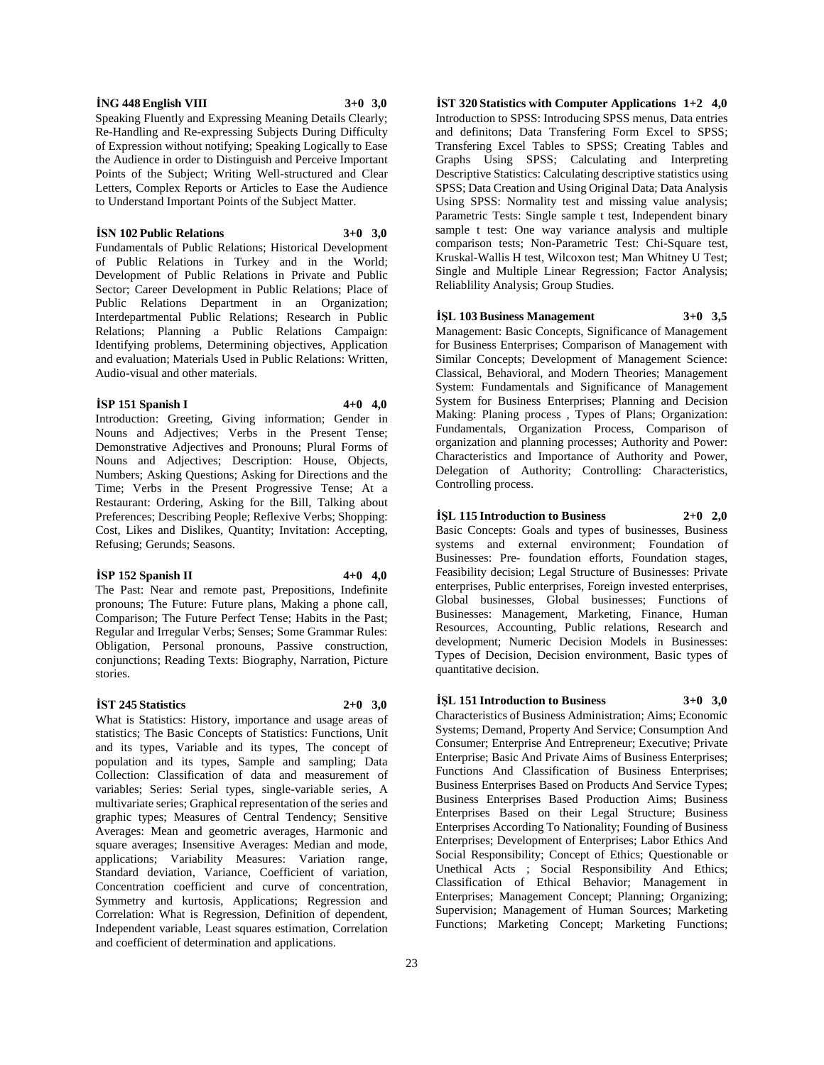#### **İNG 448 English VIII 3+0 3,0**

Speaking Fluently and Expressing Meaning Details Clearly; Re-Handling and Re-expressing Subjects During Difficulty of Expression without notifying; Speaking Logically to Ease the Audience in order to Distinguish and Perceive Important Points of the Subject; Writing Well-structured and Clear Letters, Complex Reports or Articles to Ease the Audience to Understand Important Points of the Subject Matter.

#### **İSN 102 Public Relations 3+0 3,0**

Fundamentals of Public Relations; Historical Development of Public Relations in Turkey and in the World; Development of Public Relations in Private and Public Sector; Career Development in Public Relations; Place of Public Relations Department in an Organization; Interdepartmental Public Relations; Research in Public Relations; Planning a Public Relations Campaign: Identifying problems, Determining objectives, Application and evaluation; Materials Used in Public Relations: Written, Audio-visual and other materials.

#### **İSP 151 Spanish I 4+0 4,0**

Introduction: Greeting, Giving information; Gender in Nouns and Adjectives; Verbs in the Present Tense; Demonstrative Adjectives and Pronouns; Plural Forms of Nouns and Adjectives; Description: House, Objects, Numbers; Asking Questions; Asking for Directions and the Time; Verbs in the Present Progressive Tense; At a Restaurant: Ordering, Asking for the Bill, Talking about Preferences; Describing People; Reflexive Verbs; Shopping: Cost, Likes and Dislikes, Quantity; Invitation: Accepting, Refusing; Gerunds; Seasons.

#### **İSP 152 Spanish II 4+0 4,0**

The Past: Near and remote past, Prepositions, Indefinite pronouns; The Future: Future plans, Making a phone call, Comparison; The Future Perfect Tense; Habits in the Past; Regular and Irregular Verbs; Senses; Some Grammar Rules: Obligation, Personal pronouns, Passive construction, conjunctions; Reading Texts: Biography, Narration, Picture stories.

#### **İST 245 Statistics 2+0 3,0**

What is Statistics: History, importance and usage areas of statistics; The Basic Concepts of Statistics: Functions, Unit and its types, Variable and its types, The concept of population and its types, Sample and sampling; Data Collection: Classification of data and measurement of variables; Series: Serial types, single-variable series, A multivariate series; Graphical representation of the series and graphic types; Measures of Central Tendency; Sensitive Averages: Mean and geometric averages, Harmonic and square averages; Insensitive Averages: Median and mode, applications; Variability Measures: Variation range, Standard deviation, Variance, Coefficient of variation, Concentration coefficient and curve of concentration, Symmetry and kurtosis, Applications; Regression and Correlation: What is Regression, Definition of dependent, Independent variable, Least squares estimation, Correlation and coefficient of determination and applications.

**İST 320 Statistics with Computer Applications 1+2 4,0** Introduction to SPSS: Introducing SPSS menus, Data entries and definitons; Data Transfering Form Excel to SPSS; Transfering Excel Tables to SPSS; Creating Tables and Graphs Using SPSS; Calculating and Interpreting Descriptive Statistics: Calculating descriptive statistics using SPSS; Data Creation and Using Original Data; Data Analysis Using SPSS: Normality test and missing value analysis; Parametric Tests: Single sample t test, Independent binary sample t test: One way variance analysis and multiple comparison tests; Non-Parametric Test: Chi-Square test, Kruskal-Wallis H test, Wilcoxon test; Man Whitney U Test; Single and Multiple Linear Regression; Factor Analysis; Reliablility Analysis; Group Studies.

#### **İŞL 103 Business Management 3+0 3,5**

Management: Basic Concepts, Significance of Management for Business Enterprises; Comparison of Management with Similar Concepts; Development of Management Science: Classical, Behavioral, and Modern Theories; Management System: Fundamentals and Significance of Management System for Business Enterprises; Planning and Decision Making: Planing process , Types of Plans; Organization: Fundamentals, Organization Process, Comparison of organization and planning processes; Authority and Power: Characteristics and Importance of Authority and Power, Delegation of Authority; Controlling: Characteristics, Controlling process.

#### **İŞL 115 Introduction to Business 2+0 2,0**

Basic Concepts: Goals and types of businesses, Business systems and external environment; Foundation of Businesses: Pre- foundation efforts, Foundation stages, Feasibility decision; Legal Structure of Businesses: Private enterprises, Public enterprises, Foreign invested enterprises, Global businesses, Global businesses; Functions of Businesses: Management, Marketing, Finance, Human Resources, Accounting, Public relations, Research and development; Numeric Decision Models in Businesses: Types of Decision, Decision environment, Basic types of quantitative decision.

#### **İŞL 151 Introduction to Business 3+0 3,0**

Characteristics of Business Administration; Aims; Economic Systems; Demand, Property And Service; Consumption And Consumer; Enterprise And Entrepreneur; Executive; Private Enterprise; Basic And Private Aims of Business Enterprises; Functions And Classification of Business Enterprises; Business Enterprises Based on Products And Service Types; Business Enterprises Based Production Aims; Business Enterprises Based on their Legal Structure; Business Enterprises According To Nationality; Founding of Business Enterprises; Development of Enterprises; Labor Ethics And Social Responsibility; Concept of Ethics; Questionable or Unethical Acts ; Social Responsibility And Ethics; Classification of Ethical Behavior; Management in Enterprises; Management Concept; Planning; Organizing; Supervision; Management of Human Sources; Marketing Functions; Marketing Concept; Marketing Functions;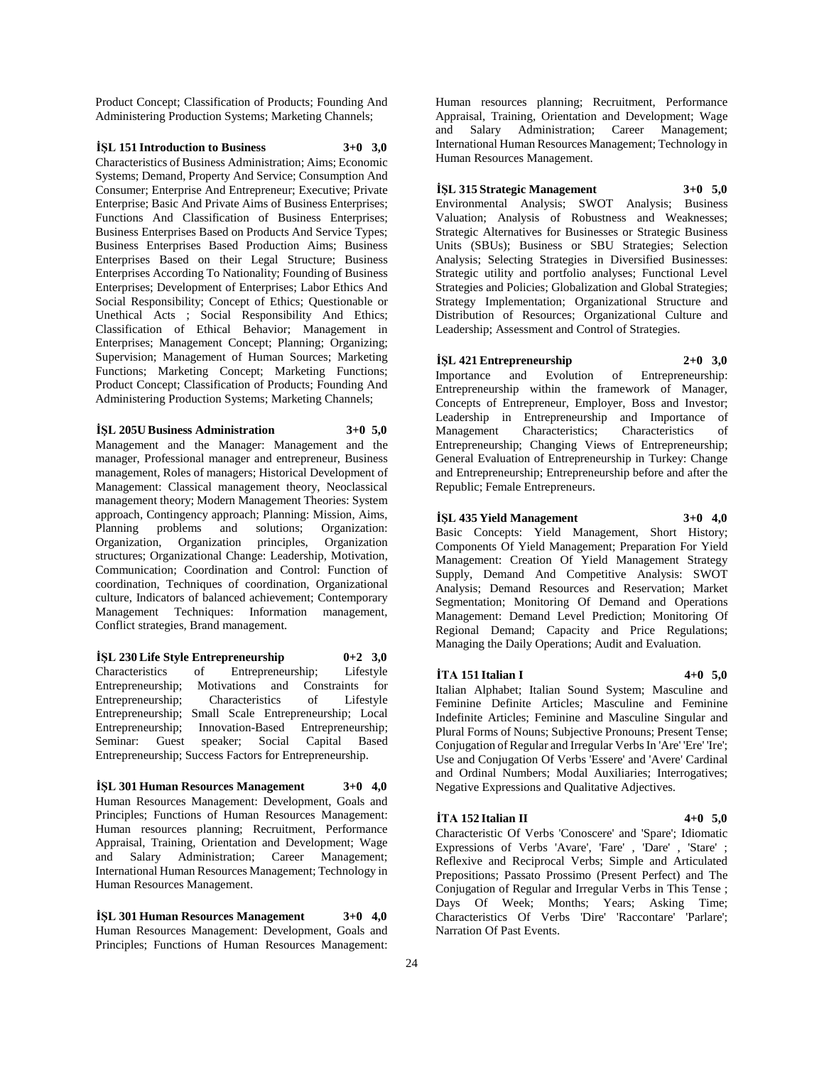Product Concept; Classification of Products; Founding And Administering Production Systems; Marketing Channels;

#### **İŞL 151 Introduction to Business 3+0 3,0**

Characteristics of Business Administration; Aims; Economic Systems; Demand, Property And Service; Consumption And Consumer; Enterprise And Entrepreneur; Executive; Private Enterprise; Basic And Private Aims of Business Enterprises; Functions And Classification of Business Enterprises; Business Enterprises Based on Products And Service Types; Business Enterprises Based Production Aims; Business Enterprises Based on their Legal Structure; Business Enterprises According To Nationality; Founding of Business Enterprises; Development of Enterprises; Labor Ethics And Social Responsibility; Concept of Ethics; Questionable or Unethical Acts ; Social Responsibility And Ethics; Classification of Ethical Behavior; Management in Enterprises; Management Concept; Planning; Organizing; Supervision; Management of Human Sources; Marketing Functions; Marketing Concept; Marketing Functions; Product Concept; Classification of Products; Founding And Administering Production Systems; Marketing Channels;

## **İŞL 205U Business Administration 3+0 5,0**

Management and the Manager: Management and the manager, Professional manager and entrepreneur, Business management, Roles of managers; Historical Development of Management: Classical management theory, Neoclassical management theory; Modern Management Theories: System approach, Contingency approach; Planning: Mission, Aims, Planning problems and solutions; Organization: Organization, Organization principles, Organization structures; Organizational Change: Leadership, Motivation, Communication; Coordination and Control: Function of coordination, Techniques of coordination, Organizational culture, Indicators of balanced achievement; Contemporary Management Techniques: Information management, Conflict strategies, Brand management.

**İŞL 230 Life Style Entrepreneurship 0+2 3,0** Characteristics of Entrepreneurship; Lifestyle Entrepreneurship; Motivations and Constraints for Entrepreneurship; Characteristics of Lifestyle Entrepreneurship; Small Scale Entrepreneurship; Local Entrepreneurship; Innovation-Based Entrepreneurship; Seminar: Guest speaker; Social Capital Based Entrepreneurship; Success Factors for Entrepreneurship.

**İŞL 301 Human Resources Management 3+0 4,0** Human Resources Management: Development, Goals and Principles; Functions of Human Resources Management: Human resources planning; Recruitment, Performance Appraisal, Training, Orientation and Development; Wage and Salary Administration; Career Management; International Human Resources Management; Technology in Human Resources Management.

**İŞL 301 Human Resources Management 3+0 4,0** Human Resources Management: Development, Goals and Principles; Functions of Human Resources Management: Human resources planning; Recruitment, Performance Appraisal, Training, Orientation and Development; Wage and Salary Administration; Career Management; International Human Resources Management; Technology in Human Resources Management.

## **İŞL 315 Strategic Management 3+0 5,0**

Environmental Analysis; SWOT Analysis; Business Valuation; Analysis of Robustness and Weaknesses; Strategic Alternatives for Businesses or Strategic Business Units (SBUs); Business or SBU Strategies; Selection Analysis; Selecting Strategies in Diversified Businesses: Strategic utility and portfolio analyses; Functional Level Strategies and Policies; Globalization and Global Strategies; Strategy Implementation; Organizational Structure and Distribution of Resources; Organizational Culture and Leadership; Assessment and Control of Strategies.

## **İŞL 421 Entrepreneurship 2+0 3,0**

Importance and Evolution of Entrepreneurship: Entrepreneurship within the framework of Manager, Concepts of Entrepreneur, Employer, Boss and Investor; Leadership in Entrepreneurship and Importance of Management Characteristics; Characteristics of Entrepreneurship; Changing Views of Entrepreneurship; General Evaluation of Entrepreneurship in Turkey: Change and Entrepreneurship; Entrepreneurship before and after the Republic; Female Entrepreneurs.

#### **İŞL 435 Yield Management 3+0 4,0**

Basic Concepts: Yield Management, Short History;

Components Of Yield Management; Preparation For Yield Management: Creation Of Yield Management Strategy Supply, Demand And Competitive Analysis: SWOT Analysis; Demand Resources and Reservation; Market Segmentation; Monitoring Of Demand and Operations Management: Demand Level Prediction; Monitoring Of Regional Demand; Capacity and Price Regulations; Managing the Daily Operations; Audit and Evaluation.

#### **İTA 151 Italian I 4+0 5,0**

Italian Alphabet; Italian Sound System; Masculine and Feminine Definite Articles; Masculine and Feminine Indefinite Articles; Feminine and Masculine Singular and Plural Forms of Nouns; Subjective Pronouns; Present Tense; Conjugation of Regular and Irregular Verbs In 'Are' 'Ere' 'Ire'; Use and Conjugation Of Verbs 'Essere' and 'Avere' Cardinal and Ordinal Numbers; Modal Auxiliaries; Interrogatives; Negative Expressions and Qualitative Adjectives.

#### **İTA 152 Italian II 4+0 5,0**

Characteristic Of Verbs 'Conoscere' and 'Spare'; Idiomatic Expressions of Verbs 'Avare', 'Fare' , 'Dare' , 'Stare' ; Reflexive and Reciprocal Verbs; Simple and Articulated Prepositions; Passato Prossimo (Present Perfect) and The Conjugation of Regular and Irregular Verbs in This Tense ; Days Of Week; Months; Years; Asking Time; Characteristics Of Verbs 'Dire' 'Raccontare' 'Parlare'; Narration Of Past Events.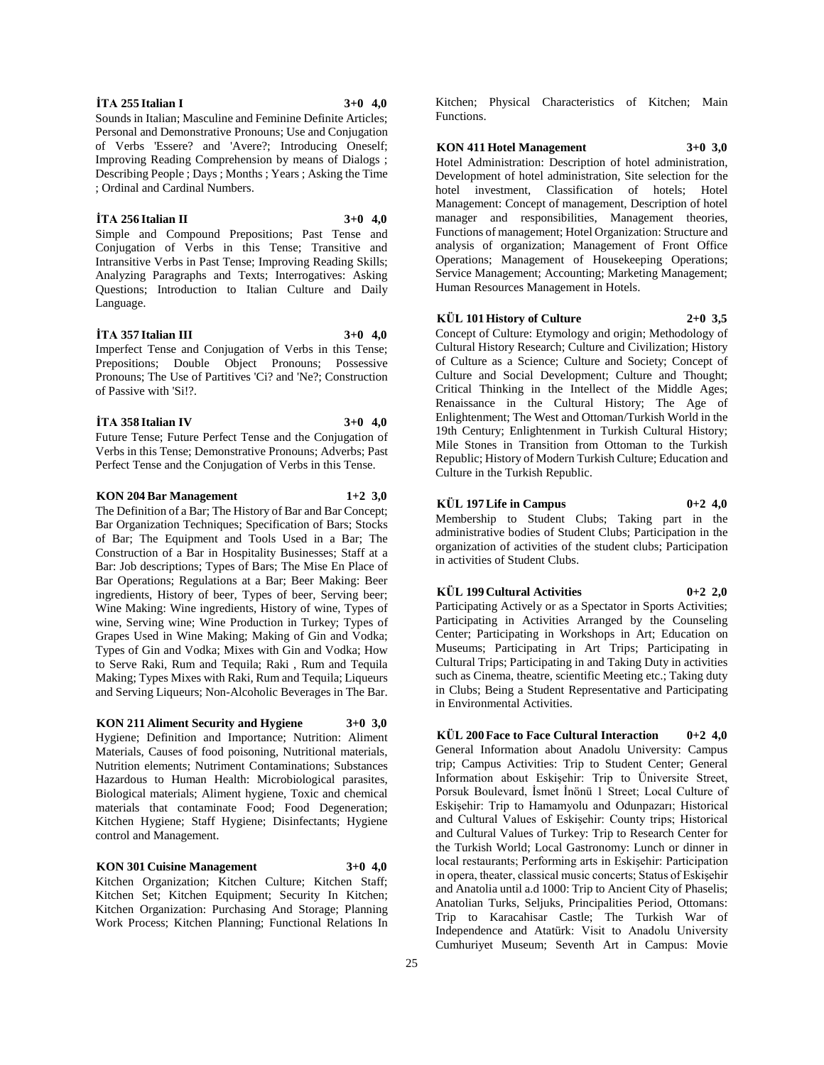Bar: Job descriptions; Types of Bars; The Mise En Place of Bar Operations; Regulations at a Bar; Beer Making: Beer ingredients, History of beer, Types of beer, Serving beer; Wine Making: Wine ingredients, History of wine, Types of wine, Serving wine; Wine Production in Turkey; Types of Grapes Used in Wine Making; Making of Gin and Vodka; Types of Gin and Vodka; Mixes with Gin and Vodka; How to Serve Raki, Rum and Tequila; Raki , Rum and Tequila Making; Types Mixes with Raki, Rum and Tequila; Liqueurs and Serving Liqueurs; Non-Alcoholic Beverages in The Bar.

**KON 211 Aliment Security and Hygiene 3+0 3,0**

Hygiene; Definition and Importance; Nutrition: Aliment Materials, Causes of food poisoning, Nutritional materials, Nutrition elements; Nutriment Contaminations; Substances Hazardous to Human Health: Microbiological parasites, Biological materials; Aliment hygiene, Toxic and chemical materials that contaminate Food; Food Degeneration; Kitchen Hygiene; Staff Hygiene; Disinfectants; Hygiene control and Management.

#### **KON 301 Cuisine Management 3+0 4,0**

Kitchen Organization; Kitchen Culture; Kitchen Staff; Kitchen Set; Kitchen Equipment; Security In Kitchen; Kitchen Organization: Purchasing And Storage; Planning Work Process; Kitchen Planning; Functional Relations In

Kitchen; Physical Characteristics of Kitchen; Main Functions.

#### **KON 411 Hotel Management 3+0 3,0**

Hotel Administration: Description of hotel administration, Development of hotel administration, Site selection for the hotel investment, Classification of hotels; Hotel Management: Concept of management, Description of hotel manager and responsibilities, Management theories, Functions of management; Hotel Organization: Structure and analysis of organization; Management of Front Office Operations; Management of Housekeeping Operations; Service Management; Accounting; Marketing Management; Human Resources Management in Hotels.

## **KÜL 101 History of Culture 2+0 3,5**

Concept of Culture: Etymology and origin; Methodology of Cultural History Research; Culture and Civilization; History of Culture as a Science; Culture and Society; Concept of Culture and Social Development; Culture and Thought; Critical Thinking in the Intellect of the Middle Ages; Renaissance in the Cultural History; The Age of Enlightenment; The West and Ottoman/Turkish World in the 19th Century; Enlightenment in Turkish Cultural History; Mile Stones in Transition from Ottoman to the Turkish Republic; History of Modern Turkish Culture; Education and Culture in the Turkish Republic.

#### **KÜL 197 Life in Campus 0+2 4,0**

Membership to Student Clubs; Taking part in the administrative bodies of Student Clubs; Participation in the organization of activities of the student clubs; Participation in activities of Student Clubs.

## **KÜL 199 Cultural Activities 0+2 2,0**

Participating Actively or as a Spectator in Sports Activities; Participating in Activities Arranged by the Counseling Center; Participating in Workshops in Art; Education on Museums; Participating in Art Trips; Participating in Cultural Trips; Participating in and Taking Duty in activities such as Cinema, theatre, scientific Meeting etc.; Taking duty in Clubs; Being a Student Representative and Participating in Environmental Activities.

**KÜL 200 Face to Face Cultural Interaction 0+2 4,0** General Information about Anadolu University: Campus trip; Campus Activities: Trip to Student Center; General Information about Eskişehir: Trip to Üniversite Street, Porsuk Boulevard, İsmet İnönü 1 Street; Local Culture of Eskişehir: Trip to Hamamyolu and Odunpazarı; Historical and Cultural Values of Eskişehir: County trips; Historical and Cultural Values of Turkey: Trip to Research Center for the Turkish World; Local Gastronomy: Lunch or dinner in local restaurants; Performing arts in Eskişehir: Participation in opera, theater, classical music concerts; Status of Eskişehir and Anatolia until a.d 1000: Trip to Ancient City of Phaselis; Anatolian Turks, Seljuks, Principalities Period, Ottomans: Trip to Karacahisar Castle; The Turkish War of Independence and Atatürk: Visit to Anadolu University Cumhuriyet Museum; Seventh Art in Campus: Movie

#### **İTA 255 Italian I 3+0 4,0**

Language.

of Passive with 'Si!?.

; Ordinal and Cardinal Numbers.

Personal and Demonstrative Pronouns; Use and Conjugation of Verbs 'Essere? and 'Avere?; Introducing Oneself; Improving Reading Comprehension by means of Dialogs ; Describing People ; Days ; Months ; Years ; Asking the Time

**İTA 256 Italian II 3+0 4,0** Simple and Compound Prepositions; Past Tense and Conjugation of Verbs in this Tense; Transitive and Intransitive Verbs in Past Tense; Improving Reading Skills; Analyzing Paragraphs and Texts; Interrogatives: Asking Questions; Introduction to Italian Culture and Daily

**İTA 357 Italian III 3+0 4,0** Imperfect Tense and Conjugation of Verbs in this Tense; Prepositions; Double Object Pronouns; Possessive Pronouns; The Use of Partitives 'Ci? and 'Ne?; Construction

**İTA 358 Italian IV 3+0 4,0** Future Tense; Future Perfect Tense and the Conjugation of Verbs in this Tense; Demonstrative Pronouns; Adverbs; Past Perfect Tense and the Conjugation of Verbs in this Tense.

**KON 204 Bar Management 1+2 3,0** The Definition of a Bar; The History of Bar and Bar Concept; Bar Organization Techniques; Specification of Bars; Stocks of Bar; The Equipment and Tools Used in a Bar; The Construction of a Bar in Hospitality Businesses; Staff at a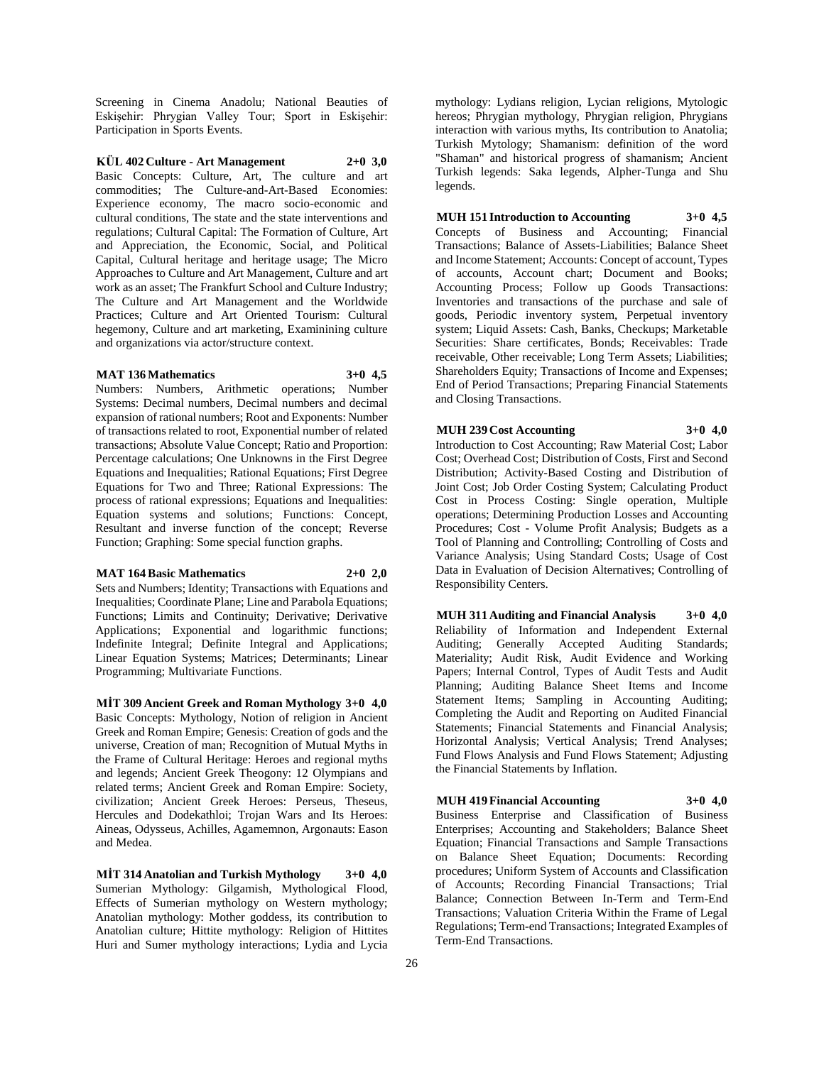Screening in Cinema Anadolu; National Beauties of Eskişehir: Phrygian Valley Tour; Sport in Eskişehir: Participation in Sports Events.

## **KÜL 402 Culture - Art Management 2+0 3,0**

Basic Concepts: Culture, Art, The culture and art commodities; The Culture-and-Art-Based Economies: Experience economy, The macro socio-economic and cultural conditions, The state and the state interventions and regulations; Cultural Capital: The Formation of Culture, Art and Appreciation, the Economic, Social, and Political Capital, Cultural heritage and heritage usage; The Micro Approaches to Culture and Art Management, Culture and art work as an asset; The Frankfurt School and Culture Industry; The Culture and Art Management and the Worldwide Practices; Culture and Art Oriented Tourism: Cultural hegemony, Culture and art marketing, Examinining culture and organizations via actor/structure context.

#### **MAT 136 Mathematics 3+0 4,5**

Numbers: Numbers, Arithmetic operations; Number Systems: Decimal numbers, Decimal numbers and decimal expansion of rational numbers; Root and Exponents: Number of transactions related to root, Exponential number of related transactions; Absolute Value Concept; Ratio and Proportion: Percentage calculations; One Unknowns in the First Degree Equations and Inequalities; Rational Equations; First Degree Equations for Two and Three; Rational Expressions: The process of rational expressions; Equations and Inequalities: Equation systems and solutions; Functions: Concept, Resultant and inverse function of the concept; Reverse Function; Graphing: Some special function graphs.

#### **MAT 164 Basic Mathematics 2+0 2,0**

Sets and Numbers; Identity; Transactions with Equations and Inequalities; Coordinate Plane; Line and Parabola Equations; Functions; Limits and Continuity; Derivative; Derivative Applications; Exponential and logarithmic functions; Indefinite Integral; Definite Integral and Applications; Linear Equation Systems; Matrices; Determinants; Linear Programming; Multivariate Functions.

**MİT 309 Ancient Greek and Roman Mythology 3+0 4,0** Basic Concepts: Mythology, Notion of religion in Ancient Greek and Roman Empire; Genesis: Creation of gods and the universe, Creation of man; Recognition of Mutual Myths in the Frame of Cultural Heritage: Heroes and regional myths and legends; Ancient Greek Theogony: 12 Olympians and related terms; Ancient Greek and Roman Empire: Society, civilization; Ancient Greek Heroes: Perseus, Theseus, Hercules and Dodekathloi; Trojan Wars and Its Heroes: Aineas, Odysseus, Achilles, Agamemnon, Argonauts: Eason and Medea.

**MİT 314 Anatolian and Turkish Mythology 3+0 4,0** Sumerian Mythology: Gilgamish, Mythological Flood, Effects of Sumerian mythology on Western mythology; Anatolian mythology: Mother goddess, its contribution to Anatolian culture; Hittite mythology: Religion of Hittites Huri and Sumer mythology interactions; Lydia and Lycia

mythology: Lydians religion, Lycian religions, Mytologic hereos; Phrygian mythology, Phrygian religion, Phrygians interaction with various myths, Its contribution to Anatolia; Turkish Mytology; Shamanism: definition of the word "Shaman" and historical progress of shamanism; Ancient Turkish legends: Saka legends, Alpher-Tunga and Shu legends.

## **MUH 151 Introduction to Accounting 3+0 4,5**

Concepts of Business and Accounting; Financial Transactions; Balance of Assets-Liabilities; Balance Sheet and Income Statement; Accounts: Concept of account, Types of accounts, Account chart; Document and Books; Accounting Process; Follow up Goods Transactions: Inventories and transactions of the purchase and sale of goods, Periodic inventory system, Perpetual inventory system; Liquid Assets: Cash, Banks, Checkups; Marketable Securities: Share certificates, Bonds; Receivables: Trade receivable, Other receivable; Long Term Assets; Liabilities; Shareholders Equity; Transactions of Income and Expenses; End of Period Transactions; Preparing Financial Statements and Closing Transactions.

## **MUH 239 Cost Accounting 3+0 4,0**

Introduction to Cost Accounting; Raw Material Cost; Labor Cost; Overhead Cost; Distribution of Costs, First and Second Distribution; Activity-Based Costing and Distribution of Joint Cost; Job Order Costing System; Calculating Product Cost in Process Costing: Single operation, Multiple operations; Determining Production Losses and Accounting Procedures; Cost - Volume Profit Analysis; Budgets as a Tool of Planning and Controlling; Controlling of Costs and Variance Analysis; Using Standard Costs; Usage of Cost Data in Evaluation of Decision Alternatives; Controlling of Responsibility Centers.

**MUH 311 Auditing and Financial Analysis 3+0 4,0** Reliability of Information and Independent External Auditing; Generally Accepted Auditing Standards; Materiality; Audit Risk, Audit Evidence and Working Papers; Internal Control, Types of Audit Tests and Audit Planning; Auditing Balance Sheet Items and Income Statement Items; Sampling in Accounting Auditing; Completing the Audit and Reporting on Audited Financial Statements; Financial Statements and Financial Analysis; Horizontal Analysis; Vertical Analysis; Trend Analyses; Fund Flows Analysis and Fund Flows Statement; Adjusting the Financial Statements by Inflation.

### **MUH 419 Financial Accounting 3+0 4,0**

Business Enterprise and Classification of Business Enterprises; Accounting and Stakeholders; Balance Sheet Equation; Financial Transactions and Sample Transactions on Balance Sheet Equation; Documents: Recording procedures; Uniform System of Accounts and Classification of Accounts; Recording Financial Transactions; Trial Balance; Connection Between In-Term and Term-End Transactions; Valuation Criteria Within the Frame of Legal Regulations; Term-end Transactions; Integrated Examples of Term-End Transactions.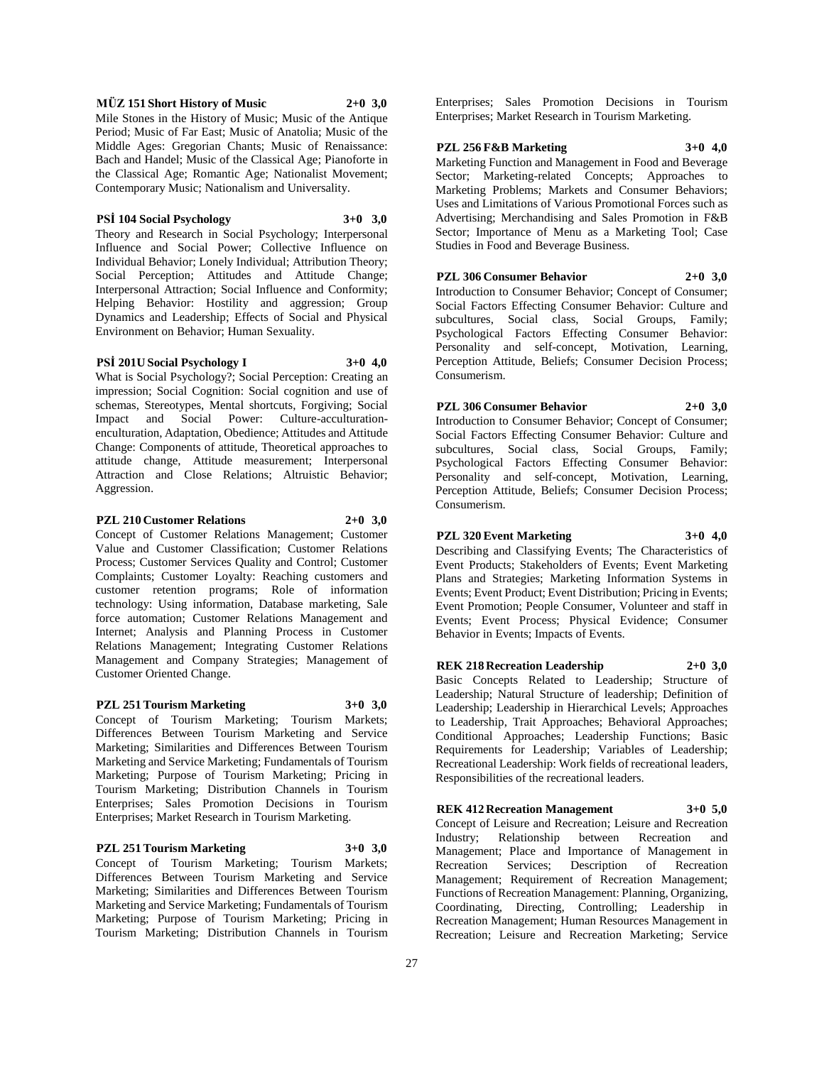#### **MÜZ 151 Short History of Music 2+0 3,0**

Mile Stones in the History of Music; Music of the Antique Period; Music of Far East; Music of Anatolia; Music of the Middle Ages: Gregorian Chants; Music of Renaissance: Bach and Handel; Music of the Classical Age; Pianoforte in the Classical Age; Romantic Age; Nationalist Movement; Contemporary Music; Nationalism and Universality.

#### **PSİ 104 Social Psychology 3+0 3,0**

Theory and Research in Social Psychology; Interpersonal Influence and Social Power; Collective Influence on Individual Behavior; Lonely Individual; Attribution Theory; Social Perception; Attitudes and Attitude Change; Interpersonal Attraction; Social Influence and Conformity; Helping Behavior: Hostility and aggression; Group Dynamics and Leadership; Effects of Social and Physical Environment on Behavior; Human Sexuality.

### **PSİ 201U Social Psychology I 3+0 4,0**

What is Social Psychology?; Social Perception: Creating an impression; Social Cognition: Social cognition and use of schemas, Stereotypes, Mental shortcuts, Forgiving; Social Impact and Social Power: Culture-acculturationenculturation, Adaptation, Obedience; Attitudes and Attitude Change: Components of attitude, Theoretical approaches to attitude change, Attitude measurement; Interpersonal Attraction and Close Relations; Altruistic Behavior; Aggression.

### **PZL 210 Customer Relations 2+0 3,0**

Concept of Customer Relations Management; Customer Value and Customer Classification; Customer Relations Process; Customer Services Quality and Control; Customer Complaints; Customer Loyalty: Reaching customers and customer retention programs; Role of information technology: Using information, Database marketing, Sale force automation; Customer Relations Management and Internet; Analysis and Planning Process in Customer Relations Management; Integrating Customer Relations Management and Company Strategies; Management of Customer Oriented Change.

#### **PZL 251 Tourism Marketing 3+0 3,0**

Concept of Tourism Marketing; Tourism Markets; Differences Between Tourism Marketing and Service Marketing; Similarities and Differences Between Tourism

Marketing and Service Marketing; Fundamentals of Tourism Marketing; Purpose of Tourism Marketing; Pricing in Tourism Marketing; Distribution Channels in Tourism Enterprises; Sales Promotion Decisions in Tourism Enterprises; Market Research in Tourism Marketing.

#### **PZL 251 Tourism Marketing 3+0 3,0**

Concept of Tourism Marketing; Tourism Markets; Differences Between Tourism Marketing and Service Marketing; Similarities and Differences Between Tourism Marketing and Service Marketing; Fundamentals of Tourism Marketing; Purpose of Tourism Marketing; Pricing in Tourism Marketing; Distribution Channels in Tourism

Enterprises; Sales Promotion Decisions in Tourism Enterprises; Market Research in Tourism Marketing.

#### **PZL 256 F&B Marketing 3+0 4,0**

Marketing Function and Management in Food and Beverage Sector; Marketing-related Concepts; Approaches to Marketing Problems; Markets and Consumer Behaviors; Uses and Limitations of Various Promotional Forces such as Advertising; Merchandising and Sales Promotion in F&B Sector; Importance of Menu as a Marketing Tool; Case Studies in Food and Beverage Business.

#### **PZL 306 Consumer Behavior 2+0 3,0**

Introduction to Consumer Behavior; Concept of Consumer; Social Factors Effecting Consumer Behavior: Culture and subcultures, Social class, Social Groups, Family; Psychological Factors Effecting Consumer Behavior: Personality and self-concept, Motivation, Learning, Perception Attitude, Beliefs; Consumer Decision Process; Consumerism.

## **PZL 306 Consumer Behavior 2+0 3,0**

Introduction to Consumer Behavior; Concept of Consumer; Social Factors Effecting Consumer Behavior: Culture and subcultures, Social class, Social Groups, Family; Psychological Factors Effecting Consumer Behavior: Personality and self-concept, Motivation, Learning, Perception Attitude, Beliefs; Consumer Decision Process; Consumerism.

#### **PZL 320 Event Marketing 3+0 4,0**

Describing and Classifying Events; The Characteristics of Event Products; Stakeholders of Events; Event Marketing Plans and Strategies; Marketing Information Systems in Events; Event Product; Event Distribution; Pricing in Events; Event Promotion; People Consumer, Volunteer and staff in Events; Event Process; Physical Evidence; Consumer Behavior in Events; Impacts of Events.

#### **REK 218 Recreation Leadership 2+0 3,0**

Basic Concepts Related to Leadership; Structure of Leadership; Natural Structure of leadership; Definition of Leadership; Leadership in Hierarchical Levels; Approaches to Leadership, Trait Approaches; Behavioral Approaches; Conditional Approaches; Leadership Functions; Basic Requirements for Leadership; Variables of Leadership; Recreational Leadership: Work fields of recreational leaders, Responsibilities of the recreational leaders.

#### **REK 412 Recreation Management 3+0 5,0**

Concept of Leisure and Recreation; Leisure and Recreation Industry; Relationship between Recreation and Management; Place and Importance of Management in Recreation Services; Description of Recreation Management; Requirement of Recreation Management; Functions of Recreation Management: Planning, Organizing, Coordinating, Directing, Controlling; Leadership in Recreation Management; Human Resources Management in Recreation; Leisure and Recreation Marketing; Service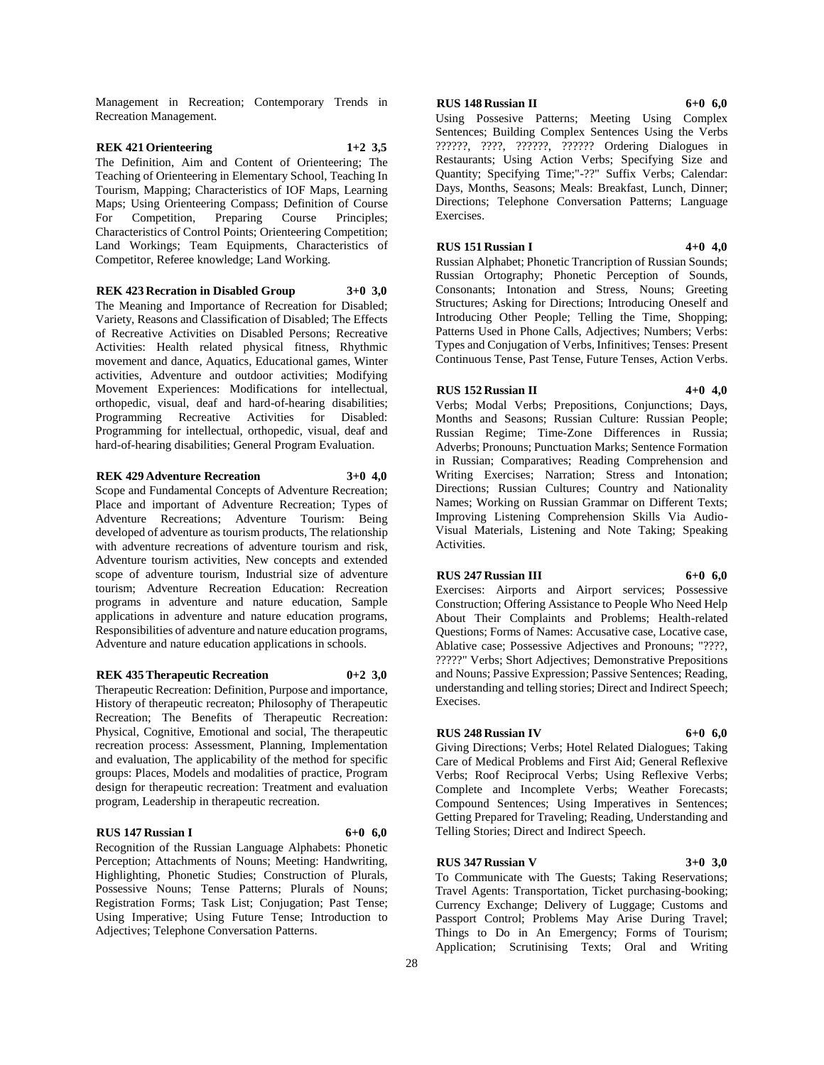Management in Recreation; Contemporary Trends in Recreation Management.

## **REK 421 Orienteering 1+2 3,5**

The Definition, Aim and Content of Orienteering; The Teaching of Orienteering in Elementary School, Teaching In Tourism, Mapping; Characteristics of IOF Maps, Learning Maps; Using Orienteering Compass; Definition of Course For Competition, Preparing Course Principles; Characteristics of Control Points; Orienteering Competition; Land Workings; Team Equipments, Characteristics of Competitor, Referee knowledge; Land Working.

**REK 423 Recration in Disabled Group 3+0 3,0**

The Meaning and Importance of Recreation for Disabled; Variety, Reasons and Classification of Disabled; The Effects of Recreative Activities on Disabled Persons; Recreative Activities: Health related physical fitness, Rhythmic movement and dance, Aquatics, Educational games, Winter activities, Adventure and outdoor activities; Modifying Movement Experiences: Modifications for intellectual, orthopedic, visual, deaf and hard-of-hearing disabilities; Programming Recreative Activities for Disabled: Programming for intellectual, orthopedic, visual, deaf and hard-of-hearing disabilities; General Program Evaluation.

#### **REK 429 Adventure Recreation 3+0 4,0**

Scope and Fundamental Concepts of Adventure Recreation; Place and important of Adventure Recreation; Types of Adventure Recreations; Adventure Tourism: Being developed of adventure as tourism products, The relationship with adventure recreations of adventure tourism and risk, Adventure tourism activities, New concepts and extended scope of adventure tourism, Industrial size of adventure tourism; Adventure Recreation Education: Recreation programs in adventure and nature education, Sample applications in adventure and nature education programs, Responsibilities of adventure and nature education programs, Adventure and nature education applications in schools.

#### **REK 435 Therapeutic Recreation 0+2 3,0**

Therapeutic Recreation: Definition, Purpose and importance, History of therapeutic recreaton; Philosophy of Therapeutic Recreation; The Benefits of Therapeutic Recreation: Physical, Cognitive, Emotional and social, The therapeutic recreation process: Assessment, Planning, Implementation and evaluation, The applicability of the method for specific groups: Places, Models and modalities of practice, Program design for therapeutic recreation: Treatment and evaluation program, Leadership in therapeutic recreation.

#### **RUS 147 Russian I 6+0 6,0**

Recognition of the Russian Language Alphabets: Phonetic Perception; Attachments of Nouns; Meeting: Handwriting, Highlighting, Phonetic Studies; Construction of Plurals, Possessive Nouns; Tense Patterns; Plurals of Nouns; Registration Forms; Task List; Conjugation; Past Tense; Using Imperative; Using Future Tense; Introduction to Adjectives; Telephone Conversation Patterns.

#### **RUS 148 Russian II 6+0 6,0**

Using Possesive Patterns; Meeting Using Complex Sentences; Building Complex Sentences Using the Verbs ??????, ????, ??????, ?????? Ordering Dialogues in Restaurants; Using Action Verbs; Specifying Size and Quantity; Specifying Time;"-??" Suffix Verbs; Calendar: Days, Months, Seasons; Meals: Breakfast, Lunch, Dinner; Directions; Telephone Conversation Patterns; Language Exercises.

## **RUS 151 Russian I 4+0 4,0**

Russian Alphabet; Phonetic Trancription of Russian Sounds; Russian Ortography; Phonetic Perception of Sounds, Consonants; Intonation and Stress, Nouns; Greeting Structures; Asking for Directions; Introducing Oneself and Introducing Other People; Telling the Time, Shopping; Patterns Used in Phone Calls, Adjectives; Numbers; Verbs: Types and Conjugation of Verbs, Infinitives; Tenses: Present Continuous Tense, Past Tense, Future Tenses, Action Verbs.

#### **RUS 152 Russian II 4+0 4,0**

Verbs; Modal Verbs; Prepositions, Conjunctions; Days, Months and Seasons; Russian Culture: Russian People; Russian Regime; Time-Zone Differences in Russia; Adverbs; Pronouns; Punctuation Marks; Sentence Formation in Russian; Comparatives; Reading Comprehension and Writing Exercises; Narration; Stress and Intonation; Directions; Russian Cultures; Country and Nationality Names; Working on Russian Grammar on Different Texts; Improving Listening Comprehension Skills Via Audio-Visual Materials, Listening and Note Taking; Speaking Activities.

#### **RUS 247 Russian III 6+0 6,0**

Exercises: Airports and Airport services; Possessive Construction; Offering Assistance to People Who Need Help About Their Complaints and Problems; Health-related Questions; Forms of Names: Accusative case, Locative case, Ablative case; Possessive Adjectives and Pronouns; "????, ?????" Verbs; Short Adjectives; Demonstrative Prepositions and Nouns; Passive Expression; Passive Sentences; Reading, understanding and telling stories; Direct and Indirect Speech; Execises.

#### **RUS 248 Russian IV 6+0 6,0**

Giving Directions; Verbs; Hotel Related Dialogues; Taking Care of Medical Problems and First Aid; General Reflexive Verbs; Roof Reciprocal Verbs; Using Reflexive Verbs; Complete and Incomplete Verbs; Weather Forecasts; Compound Sentences; Using Imperatives in Sentences; Getting Prepared for Traveling; Reading, Understanding and Telling Stories; Direct and Indirect Speech.

#### **RUS 347 Russian V 3+0 3,0**

To Communicate with The Guests; Taking Reservations; Travel Agents: Transportation, Ticket purchasing-booking; Currency Exchange; Delivery of Luggage; Customs and Passport Control; Problems May Arise During Travel; Things to Do in An Emergency; Forms of Tourism; Application; Scrutinising Texts; Oral and Writing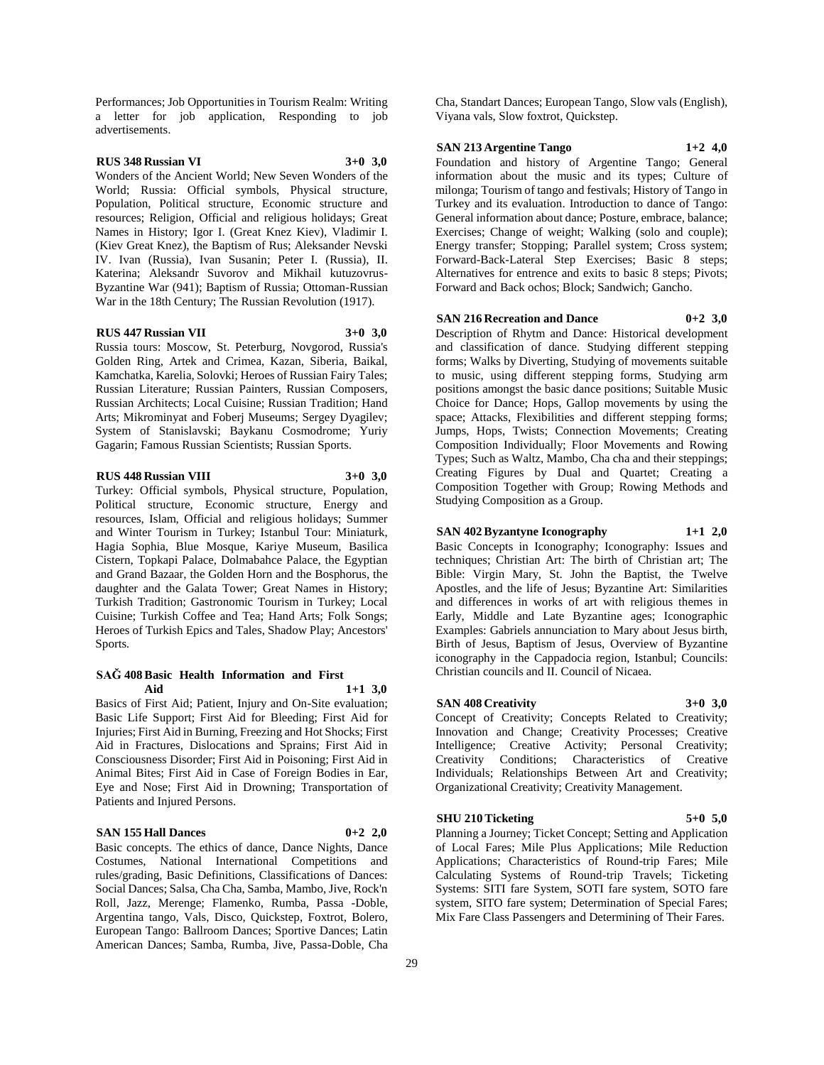Performances; Job Opportunities in Tourism Realm: Writing a letter for job application, Responding to job advertisements.

### **RUS 348 Russian VI 3+0 3,0**

Wonders of the Ancient World; New Seven Wonders of the World; Russia: Official symbols, Physical structure, Population, Political structure, Economic structure and resources; Religion, Official and religious holidays; Great Names in History; Igor I. (Great Knez Kiev), Vladimir I. (Kiev Great Knez), the Baptism of Rus; Aleksander Nevski IV. Ivan (Russia), Ivan Susanin; Peter I. (Russia), II. Katerina; Aleksandr Suvorov and Mikhail kutuzovrus-Byzantine War (941); Baptism of Russia; Ottoman-Russian War in the 18th Century; The Russian Revolution (1917).

#### **RUS 447 Russian VII 3+0 3,0**

Russia tours: Moscow, St. Peterburg, Novgorod, Russia's Golden Ring, Artek and Crimea, Kazan, Siberia, Baikal, Kamchatka, Karelia, Solovki; Heroes of Russian Fairy Tales; Russian Literature; Russian Painters, Russian Composers, Russian Architects; Local Cuisine; Russian Tradition; Hand Arts; Mikrominyat and Foberj Museums; Sergey Dyagilev; System of Stanislavski; Baykanu Cosmodrome; Yuriy Gagarin; Famous Russian Scientists; Russian Sports.

#### **RUS 448 Russian VIII 3+0 3,0**

Turkey: Official symbols, Physical structure, Population, Political structure, Economic structure, Energy and resources, Islam, Official and religious holidays; Summer and Winter Tourism in Turkey; Istanbul Tour: Miniaturk, Hagia Sophia, Blue Mosque, Kariye Museum, Basilica Cistern, Topkapi Palace, Dolmabahce Palace, the Egyptian and Grand Bazaar, the Golden Horn and the Bosphorus, the daughter and the Galata Tower; Great Names in History; Turkish Tradition; Gastronomic Tourism in Turkey; Local Cuisine; Turkish Coffee and Tea; Hand Arts; Folk Songs; Heroes of Turkish Epics and Tales, Shadow Play; Ancestors' Sports.

#### **SAĞ 408 Basic Health Information and First Aid 1+1 3,0**

Basics of First Aid; Patient, Injury and On-Site evaluation; Basic Life Support; First Aid for Bleeding; First Aid for Injuries; First Aid in Burning, Freezing and Hot Shocks; First Aid in Fractures, Dislocations and Sprains; First Aid in Consciousness Disorder; First Aid in Poisoning; First Aid in Animal Bites; First Aid in Case of Foreign Bodies in Ear, Eye and Nose; First Aid in Drowning; Transportation of Patients and Injured Persons.

#### **SAN 155 Hall Dances 0+2 2,0**

Basic concepts. The ethics of dance, Dance Nights, Dance Costumes, National International Competitions and rules/grading, Basic Definitions, Classifications of Dances: Social Dances; Salsa, Cha Cha, Samba, Mambo, Jive, Rock'n Roll, Jazz, Merenge; Flamenko, Rumba, Passa -Doble, Argentina tango, Vals, Disco, Quickstep, Foxtrot, Bolero, European Tango: Ballroom Dances; Sportive Dances; Latin American Dances; Samba, Rumba, Jive, Passa-Doble, Cha

Cha, Standart Dances; European Tango, Slow vals (English), Viyana vals, Slow foxtrot, Quickstep.

#### **SAN 213 Argentine Tango 1+2 4,0**

Foundation and history of Argentine Tango; General information about the music and its types; Culture of milonga; Tourism of tango and festivals; History of Tango in Turkey and its evaluation. Introduction to dance of Tango: General information about dance; Posture, embrace, balance; Exercises; Change of weight; Walking (solo and couple); Energy transfer; Stopping; Parallel system; Cross system; Forward-Back-Lateral Step Exercises; Basic 8 steps; Alternatives for entrence and exits to basic 8 steps; Pivots; Forward and Back ochos; Block; Sandwich; Gancho.

#### **SAN 216 Recreation and Dance 0+2 3,0**

Description of Rhytm and Dance: Historical development and classification of dance. Studying different stepping forms; Walks by Diverting, Studying of movements suitable to music, using different stepping forms, Studying arm positions amongst the basic dance positions; Suitable Music Choice for Dance; Hops, Gallop movements by using the space; Attacks, Flexibilities and different stepping forms; Jumps, Hops, Twists; Connection Movements; Creating Composition Individually; Floor Movements and Rowing Types; Such as Waltz, Mambo, Cha cha and their steppings; Creating Figures by Dual and Quartet; Creating a Composition Together with Group; Rowing Methods and Studying Composition as a Group.

## **SAN 402 Byzantyne Iconography 1+1 2,0**

Basic Concepts in Iconography; Iconography: Issues and techniques; Christian Art: The birth of Christian art; The Bible: Virgin Mary, St. John the Baptist, the Twelve Apostles, and the life of Jesus; Byzantine Art: Similarities and differences in works of art with religious themes in Early, Middle and Late Byzantine ages; Iconographic Examples: Gabriels annunciation to Mary about Jesus birth, Birth of Jesus, Baptism of Jesus, Overview of Byzantine iconography in the Cappadocia region, Istanbul; Councils: Christian councils and II. Council of Nicaea.

#### **SAN 408 Creativity 3+0 3,0**

Concept of Creativity; Concepts Related to Creativity; Innovation and Change; Creativity Processes; Creative Intelligence; Creative Activity; Personal Creativity; Creativity Conditions; Characteristics of Creative Individuals; Relationships Between Art and Creativity; Organizational Creativity; Creativity Management.

#### **SHU 210 Ticketing 5+0 5,0**

Planning a Journey; Ticket Concept; Setting and Application of Local Fares; Mile Plus Applications; Mile Reduction Applications; Characteristics of Round-trip Fares; Mile Calculating Systems of Round-trip Travels; Ticketing Systems: SITI fare System, SOTI fare system, SOTO fare system, SITO fare system; Determination of Special Fares; Mix Fare Class Passengers and Determining of Their Fares.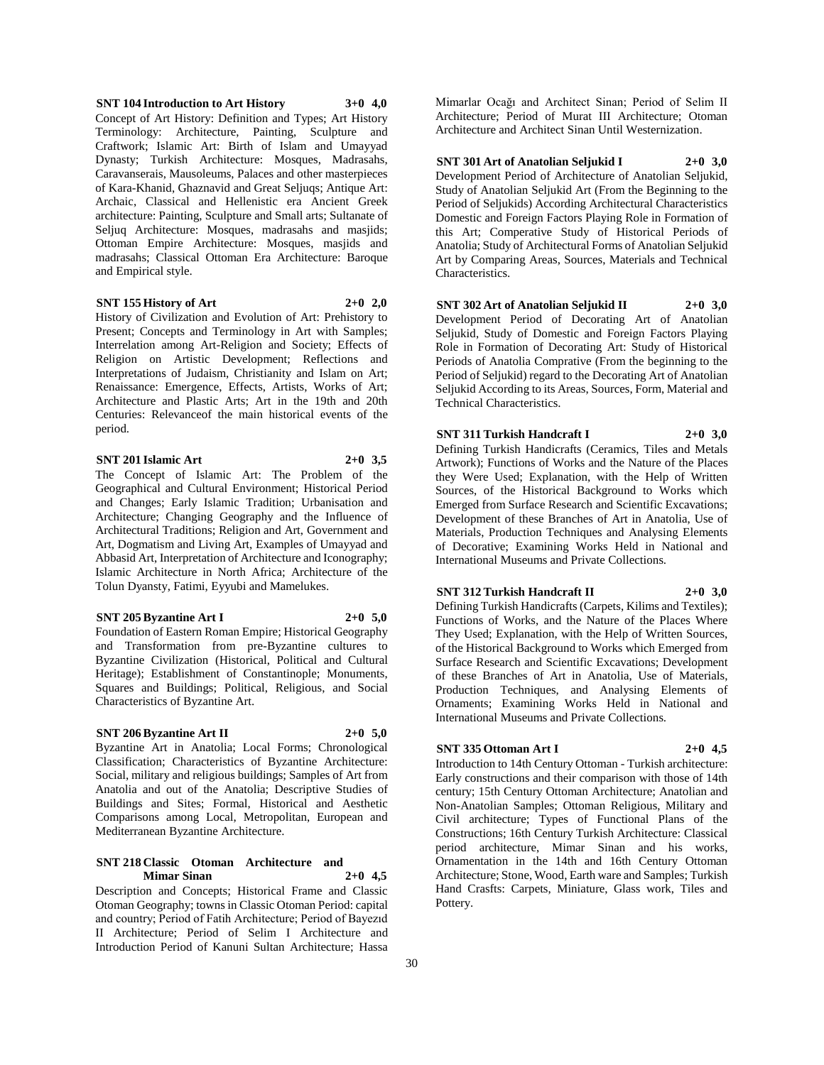#### **SNT 104 Introduction to Art History 3+0 4,0** Concept of Art History: Definition and Types; Art History Terminology: Architecture, Painting, Sculpture and Craftwork; Islamic Art: Birth of Islam and Umayyad Dynasty; Turkish Architecture: Mosques, Madrasahs, Caravanserais, Mausoleums, Palaces and other masterpieces of Kara-Khanid, Ghaznavid and Great Seljuqs; Antique Art: Archaic, Classical and Hellenistic era Ancient Greek architecture: Painting, Sculpture and Small arts; Sultanate of Seljuq Architecture: Mosques, madrasahs and masjids; Ottoman Empire Architecture: Mosques, masjids and madrasahs; Classical Ottoman Era Architecture: Baroque and Empirical style.

#### **SNT 155 History of Art 2+0 2,0**

History of Civilization and Evolution of Art: Prehistory to Present; Concepts and Terminology in Art with Samples; Interrelation among Art-Religion and Society; Effects of Religion on Artistic Development; Reflections and Interpretations of Judaism, Christianity and Islam on Art; Renaissance: Emergence, Effects, Artists, Works of Art; Architecture and Plastic Arts; Art in the 19th and 20th Centuries: Relevanceof the main historical events of the period.

**SNT 201 Islamic Art 2+0 3,5**

The Concept of Islamic Art: The Problem of the Geographical and Cultural Environment; Historical Period and Changes; Early Islamic Tradition; Urbanisation and Architecture; Changing Geography and the Influence of Architectural Traditions; Religion and Art, Government and Art, Dogmatism and Living Art, Examples of Umayyad and Abbasid Art, Interpretation of Architecture and Iconography; Islamic Architecture in North Africa; Architecture of the Tolun Dyansty, Fatimi, Eyyubi and Mamelukes.

#### **SNT 205 Byzantine Art I 2+0 5,0**

Foundation of Eastern Roman Empire; Historical Geography and Transformation from pre-Byzantine cultures to Byzantine Civilization (Historical, Political and Cultural Heritage); Establishment of Constantinople; Monuments, Squares and Buildings; Political, Religious, and Social Characteristics of Byzantine Art.

#### **SNT 206 Byzantine Art II 2+0 5,0**

Byzantine Art in Anatolia; Local Forms; Chronological Classification; Characteristics of Byzantine Architecture: Social, military and religious buildings; Samples of Art from Anatolia and out of the Anatolia; Descriptive Studies of Buildings and Sites; Formal, Historical and Aesthetic Comparisons among Local, Metropolitan, European and Mediterranean Byzantine Architecture.

#### **SNT 218 Classic Otoman Architecture and Mimar Sinan 2+0 4,5**

Description and Concepts; Historical Frame and Classic Otoman Geography; towns in Classic Otoman Period: capital and country; Period of Fatih Architecture; Period of Bayezıd II Architecture; Period of Selim I Architecture and Introduction Period of Kanuni Sultan Architecture; Hassa

Mimarlar Ocağı and Architect Sinan; Period of Selim II Architecture; Period of Murat III Architecture; Otoman Architecture and Architect Sinan Until Westernization.

#### **SNT 301 Art of Anatolian Seljukid I 2+0 3,0**

Development Period of Architecture of Anatolian Seljukid, Study of Anatolian Seljukid Art (From the Beginning to the Period of Seljukids) According Architectural Characteristics Domestic and Foreign Factors Playing Role in Formation of this Art; Comperative Study of Historical Periods of Anatolia; Study of Architectural Forms of Anatolian Seljukid Art by Comparing Areas, Sources, Materials and Technical Characteristics.

#### **SNT 302 Art of Anatolian Seljukid II 2+0 3,0**

Development Period of Decorating Art of Anatolian Seljukid, Study of Domestic and Foreign Factors Playing Role in Formation of Decorating Art: Study of Historical Periods of Anatolia Comprative (From the beginning to the Period of Seljukid) regard to the Decorating Art of Anatolian Seljukid According to its Areas, Sources, Form, Material and Technical Characteristics.

## **SNT 311 Turkish Handcraft I 2+0 3,0**

Defining Turkish Handicrafts (Ceramics, Tiles and Metals Artwork); Functions of Works and the Nature of the Places they Were Used; Explanation, with the Help of Written Sources, of the Historical Background to Works which Emerged from Surface Research and Scientific Excavations; Development of these Branches of Art in Anatolia, Use of Materials, Production Techniques and Analysing Elements of Decorative; Examining Works Held in National and International Museums and Private Collections.

#### **SNT 312 Turkish Handcraft II 2+0 3,0**

Defining Turkish Handicrafts (Carpets, Kilims and Textiles); Functions of Works, and the Nature of the Places Where They Used; Explanation, with the Help of Written Sources, of the Historical Background to Works which Emerged from Surface Research and Scientific Excavations; Development of these Branches of Art in Anatolia, Use of Materials, Production Techniques, and Analysing Elements of Ornaments; Examining Works Held in National and International Museums and Private Collections.

## **SNT 335 Ottoman Art I 2+0 4,5**

Introduction to 14th Century Ottoman - Turkish architecture: Early constructions and their comparison with those of 14th century; 15th Century Ottoman Architecture; Anatolian and Non-Anatolian Samples; Ottoman Religious, Military and Civil architecture; Types of Functional Plans of the Constructions; 16th Century Turkish Architecture: Classical period architecture, Mimar Sinan and his works, Ornamentation in the 14th and 16th Century Ottoman Architecture; Stone, Wood, Earth ware and Samples; Turkish Hand Crasfts: Carpets, Miniature, Glass work, Tiles and Pottery.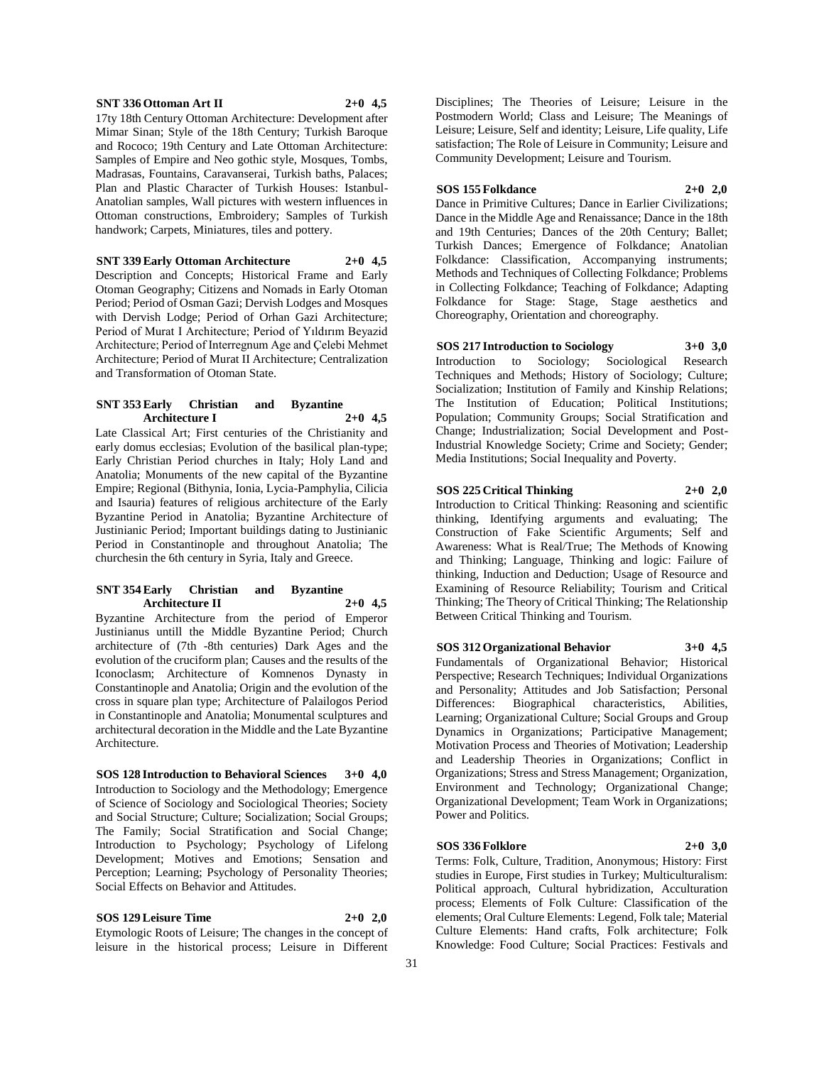#### **SNT 336 Ottoman Art II 2+0 4,5**

17ty 18th Century Ottoman Architecture: Development after Mimar Sinan; Style of the 18th Century; Turkish Baroque and Rococo; 19th Century and Late Ottoman Architecture: Samples of Empire and Neo gothic style, Mosques, Tombs, Madrasas, Fountains, Caravanserai, Turkish baths, Palaces; Plan and Plastic Character of Turkish Houses: Istanbul-Anatolian samples, Wall pictures with western influences in Ottoman constructions, Embroidery; Samples of Turkish handwork; Carpets, Miniatures, tiles and pottery.

**SNT 339 Early Ottoman Architecture 2+0 4,5**

Description and Concepts; Historical Frame and Early Otoman Geography; Citizens and Nomads in Early Otoman Period; Period of Osman Gazi; Dervish Lodges and Mosques with Dervish Lodge; Period of Orhan Gazi Architecture; Period of Murat I Architecture; Period of Yıldırım Beyazid Architecture; Period of Interregnum Age and Çelebi Mehmet Architecture; Period of Murat II Architecture; Centralization and Transformation of Otoman State.

#### **SNT 353 Early Christian and Byzantine Architecture I 2+0 4,5**

Late Classical Art; First centuries of the Christianity and early domus ecclesias; Evolution of the basilical plan-type; Early Christian Period churches in Italy; Holy Land and Anatolia; Monuments of the new capital of the Byzantine Empire; Regional (Bithynia, Ionia, Lycia-Pamphylia, Cilicia and Isauria) features of religious architecture of the Early Byzantine Period in Anatolia; Byzantine Architecture of Justinianic Period; Important buildings dating to Justinianic Period in Constantinople and throughout Anatolia; The churchesin the 6th century in Syria, Italy and Greece.

#### **SNT 354 Early Christian and Byzantine Architecture II 2+0 4,5**

Byzantine Architecture from the period of Emperor Justinianus untill the Middle Byzantine Period; Church architecture of (7th -8th centuries) Dark Ages and the evolution of the cruciform plan; Causes and the results of the Iconoclasm; Architecture of Komnenos Dynasty in Constantinople and Anatolia; Origin and the evolution of the cross in square plan type; Architecture of Palailogos Period in Constantinople and Anatolia; Monumental sculptures and architectural decoration in the Middle and the Late Byzantine Architecture.

**SOS 128 Introduction to Behavioral Sciences 3+0 4,0** Introduction to Sociology and the Methodology; Emergence of Science of Sociology and Sociological Theories; Society and Social Structure; Culture; Socialization; Social Groups; The Family; Social Stratification and Social Change; Introduction to Psychology; Psychology of Lifelong Development; Motives and Emotions; Sensation and Perception; Learning; Psychology of Personality Theories; Social Effects on Behavior and Attitudes.

## **SOS 129 Leisure Time 2+0 2,0**

Etymologic Roots of Leisure; The changes in the concept of leisure in the historical process; Leisure in Different

Disciplines; The Theories of Leisure; Leisure in the Postmodern World; Class and Leisure; The Meanings of Leisure; Leisure, Self and identity; Leisure, Life quality, Life satisfaction; The Role of Leisure in Community; Leisure and Community Development; Leisure and Tourism.

#### **SOS 155 Folkdance 2+0 2,0**

Dance in Primitive Cultures; Dance in Earlier Civilizations; Dance in the Middle Age and Renaissance; Dance in the 18th and 19th Centuries; Dances of the 20th Century; Ballet; Turkish Dances; Emergence of Folkdance; Anatolian Folkdance: Classification, Accompanying instruments; Methods and Techniques of Collecting Folkdance; Problems in Collecting Folkdance; Teaching of Folkdance; Adapting Folkdance for Stage: Stage, Stage aesthetics and Choreography, Orientation and choreography.

#### **SOS 217 Introduction to Sociology 3+0 3,0**

Introduction to Sociology; Sociological Research Techniques and Methods; History of Sociology; Culture; Socialization; Institution of Family and Kinship Relations; The Institution of Education; Political Institutions; Population; Community Groups; Social Stratification and Change; Industrialization; Social Development and Post-Industrial Knowledge Society; Crime and Society; Gender; Media Institutions; Social Inequality and Poverty.

#### **SOS 225 Critical Thinking 2+0 2,0**

Introduction to Critical Thinking: Reasoning and scientific thinking, Identifying arguments and evaluating; The Construction of Fake Scientific Arguments; Self and Awareness: What is Real/True; The Methods of Knowing and Thinking; Language, Thinking and logic: Failure of thinking, Induction and Deduction; Usage of Resource and Examining of Resource Reliability; Tourism and Critical Thinking; The Theory of Critical Thinking; The Relationship Between Critical Thinking and Tourism.

**SOS 312 Organizational Behavior 3+0 4,5**

Fundamentals of Organizational Behavior; Historical Perspective; Research Techniques; Individual Organizations and Personality; Attitudes and Job Satisfaction; Personal Differences: Biographical characteristics, Abilities, Learning; Organizational Culture; Social Groups and Group Dynamics in Organizations; Participative Management; Motivation Process and Theories of Motivation; Leadership and Leadership Theories in Organizations; Conflict in Organizations; Stress and Stress Management; Organization, Environment and Technology; Organizational Change; Organizational Development; Team Work in Organizations; Power and Politics.

#### **SOS 336 Folklore 2+0 3,0**

Terms: Folk, Culture, Tradition, Anonymous; History: First studies in Europe, First studies in Turkey; Multiculturalism: Political approach, Cultural hybridization, Acculturation process; Elements of Folk Culture: Classification of the elements; Oral Culture Elements: Legend, Folk tale; Material Culture Elements: Hand crafts, Folk architecture; Folk Knowledge: Food Culture; Social Practices: Festivals and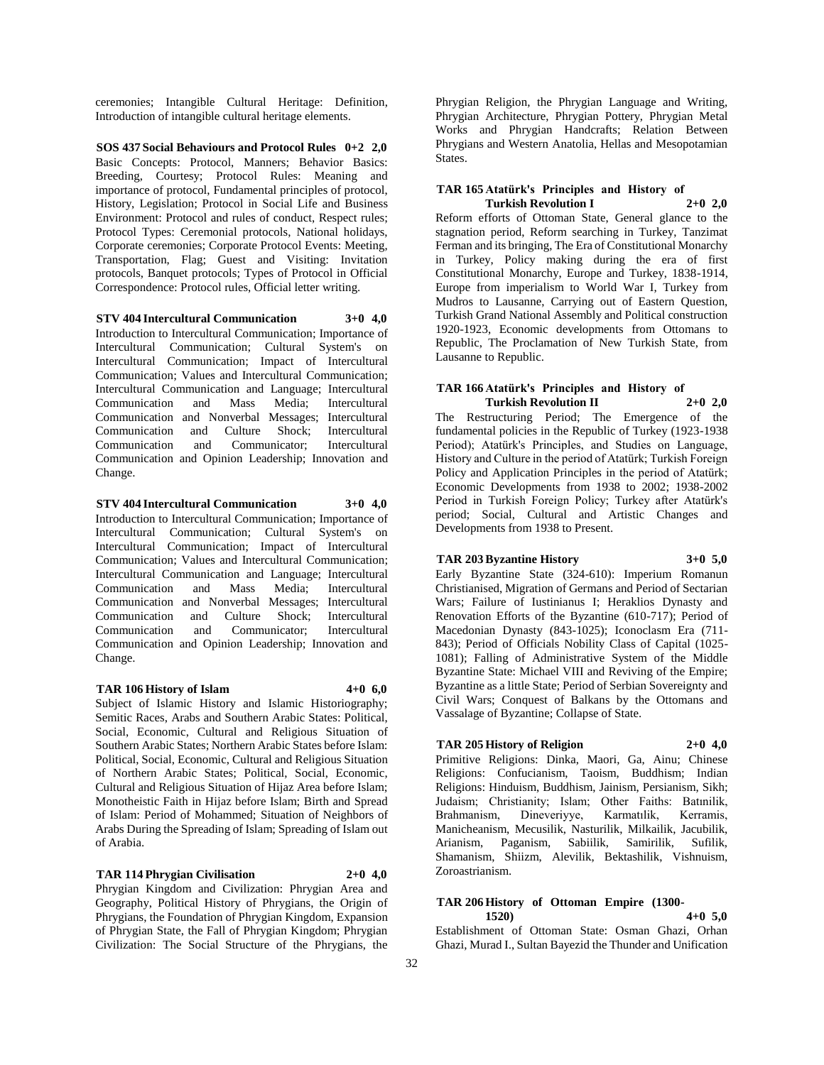ceremonies; Intangible Cultural Heritage: Definition, Introduction of intangible cultural heritage elements.

**SOS 437 Social Behaviours and Protocol Rules 0+2 2,0** Basic Concepts: Protocol, Manners; Behavior Basics: Breeding, Courtesy; Protocol Rules: Meaning and importance of protocol, Fundamental principles of protocol, History, Legislation; Protocol in Social Life and Business Environment: Protocol and rules of conduct, Respect rules; Protocol Types: Ceremonial protocols, National holidays, Corporate ceremonies; Corporate Protocol Events: Meeting, Transportation, Flag; Guest and Visiting: Invitation protocols, Banquet protocols; Types of Protocol in Official Correspondence: Protocol rules, Official letter writing.

**STV 404 Intercultural Communication 3+0 4,0** Introduction to Intercultural Communication; Importance of Intercultural Communication; Cultural System's on Intercultural Communication; Impact of Intercultural Communication; Values and Intercultural Communication; Intercultural Communication and Language; Intercultural Communication and Mass Media; Intercultural Communication and Nonverbal Messages; Intercultural Communication and Culture Shock; Intercultural Communication and Communicator; Intercultural Communication and Opinion Leadership; Innovation and Change.

**STV 404 Intercultural Communication 3+0 4,0** Introduction to Intercultural Communication; Importance of Intercultural Communication; Cultural System's on Intercultural Communication; Impact of Intercultural Communication; Values and Intercultural Communication; Intercultural Communication and Language; Intercultural Communication and Mass Media; Intercultural Communication and Nonverbal Messages; Intercultural Communication and Culture Shock; Intercultural Communication and Communicator; Intercultural Communication and Opinion Leadership; Innovation and Change.

#### **TAR 106 History of Islam 4+0 6,0**

Subject of Islamic History and Islamic Historiography; Semitic Races, Arabs and Southern Arabic States: Political, Social, Economic, Cultural and Religious Situation of Southern Arabic States; Northern Arabic States before Islam: Political, Social, Economic, Cultural and Religious Situation of Northern Arabic States; Political, Social, Economic, Cultural and Religious Situation of Hijaz Area before Islam; Monotheistic Faith in Hijaz before Islam; Birth and Spread of Islam: Period of Mohammed; Situation of Neighbors of Arabs During the Spreading of Islam; Spreading of Islam out of Arabia.

## **TAR 114 Phrygian Civilisation 2+0 4,0**

Phrygian Kingdom and Civilization: Phrygian Area and Geography, Political History of Phrygians, the Origin of Phrygians, the Foundation of Phrygian Kingdom, Expansion of Phrygian State, the Fall of Phrygian Kingdom; Phrygian Civilization: The Social Structure of the Phrygians, the

Phrygian Religion, the Phrygian Language and Writing, Phrygian Architecture, Phrygian Pottery, Phrygian Metal Works and Phrygian Handcrafts; Relation Between Phrygians and Western Anatolia, Hellas and Mesopotamian States.

#### **TAR 165 Atatürk's Principles and History of Turkish Revolution I 2+0 2,0**

Reform efforts of Ottoman State, General glance to the stagnation period, Reform searching in Turkey, Tanzimat Ferman and its bringing, The Era of Constitutional Monarchy in Turkey, Policy making during the era of first Constitutional Monarchy, Europe and Turkey, 1838-1914, Europe from imperialism to World War I, Turkey from Mudros to Lausanne, Carrying out of Eastern Question, Turkish Grand National Assembly and Political construction 1920-1923, Economic developments from Ottomans to Republic, The Proclamation of New Turkish State, from Lausanne to Republic.

#### **TAR 166 Atatürk's Principles and History of Turkish Revolution II 2+0 2,0**

The Restructuring Period; The Emergence of the fundamental policies in the Republic of Turkey (1923-1938 Period); Atatürk's Principles, and Studies on Language, History and Culture in the period of Atatürk; Turkish Foreign Policy and Application Principles in the period of Atatürk; Economic Developments from 1938 to 2002; 1938-2002 Period in Turkish Foreign Policy; Turkey after Atatürk's period; Social, Cultural and Artistic Changes and Developments from 1938 to Present.

#### **TAR 203 Byzantine History 3+0 5,0**

Early Byzantine State (324-610): Imperium Romanun Christianised, Migration of Germans and Period of Sectarian Wars; Failure of Iustinianus I; Heraklios Dynasty and Renovation Efforts of the Byzantine (610-717); Period of Macedonian Dynasty (843-1025); Iconoclasm Era (711- 843); Period of Officials Nobility Class of Capital (1025- 1081); Falling of Administrative System of the Middle Byzantine State: Michael VIII and Reviving of the Empire; Byzantine as a little State; Period of Serbian Sovereignty and Civil Wars; Conquest of Balkans by the Ottomans and Vassalage of Byzantine; Collapse of State.

#### **TAR 205 History of Religion 2+0 4,0**

Primitive Religions: Dinka, Maori, Ga, Ainu; Chinese Religions: Confucianism, Taoism, Buddhism; Indian Religions: Hinduism, Buddhism, Jainism, Persianism, Sikh; Judaism; Christianity; Islam; Other Faiths: Batınilik, Brahmanism, Dineveriyye, Karmatılik, Kerramis, Manicheanism, Mecusilik, Nasturilik, Milkailik, Jacubilik, Arianism, Paganism, Sabiilik, Samirilik, Sufilik, Shamanism, Shiizm, Alevilik, Bektashilik, Vishnuism, Zoroastrianism.

## **TAR 206 History of Ottoman Empire (1300-**

**1520) 4+0 5,0** Establishment of Ottoman State: Osman Ghazi, Orhan Ghazi, Murad I., Sultan Bayezid the Thunder and Unification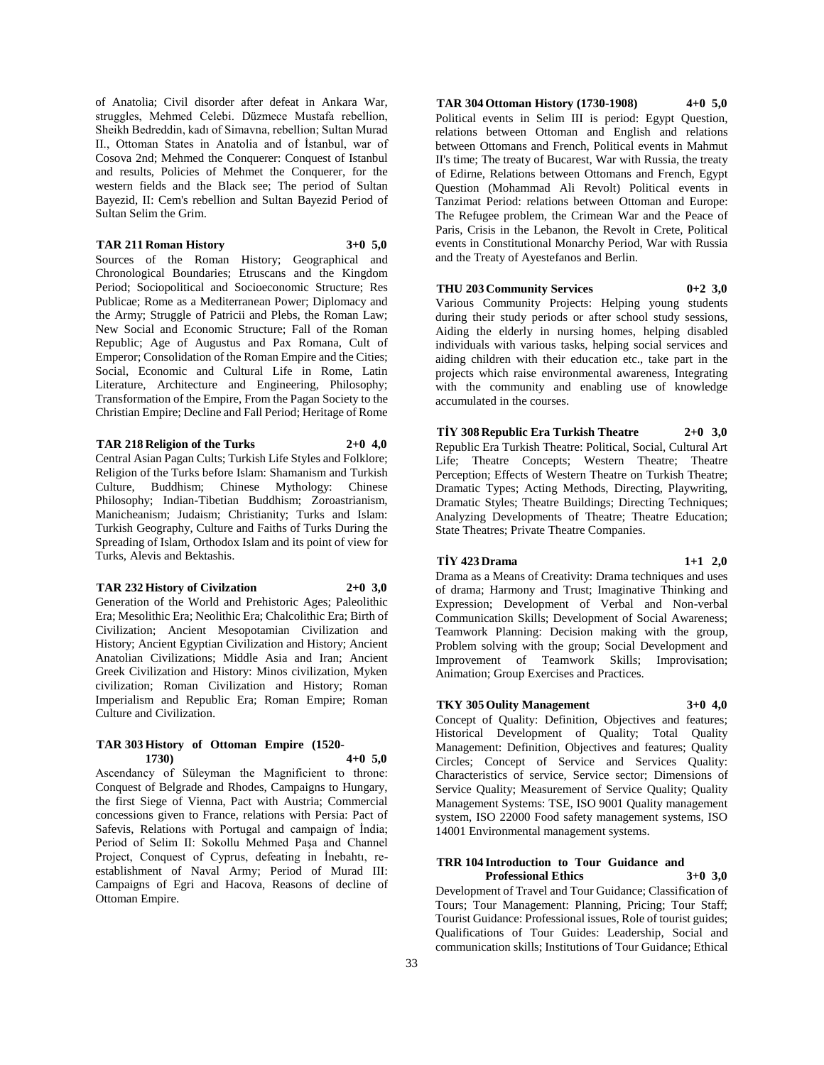of Anatolia; Civil disorder after defeat in Ankara War, struggles, Mehmed Celebi. Düzmece Mustafa rebellion, Sheikh Bedreddin, kadı of Simavna, rebellion; Sultan Murad II., Ottoman States in Anatolia and of İstanbul, war of Cosova 2nd; Mehmed the Conquerer: Conquest of Istanbul and results, Policies of Mehmet the Conquerer, for the western fields and the Black see; The period of Sultan Bayezid, II: Cem's rebellion and Sultan Bayezid Period of Sultan Selim the Grim.

#### **TAR 211 Roman History 3+0 5,0**

Sources of the Roman History; Geographical and Chronological Boundaries; Etruscans and the Kingdom Period; Sociopolitical and Socioeconomic Structure; Res Publicae; Rome as a Mediterranean Power; Diplomacy and the Army; Struggle of Patricii and Plebs, the Roman Law; New Social and Economic Structure; Fall of the Roman Republic; Age of Augustus and Pax Romana, Cult of Emperor; Consolidation of the Roman Empire and the Cities; Social, Economic and Cultural Life in Rome, Latin Literature, Architecture and Engineering, Philosophy; Transformation of the Empire, From the Pagan Society to the Christian Empire; Decline and Fall Period; Heritage of Rome

#### **TAR 218 Religion of the Turks 2+0 4,0**

Central Asian Pagan Cults; Turkish Life Styles and Folklore; Religion of the Turks before Islam: Shamanism and Turkish Culture, Buddhism; Chinese Mythology: Chinese Philosophy; Indian-Tibetian Buddhism; Zoroastrianism, Manicheanism; Judaism; Christianity; Turks and Islam: Turkish Geography, Culture and Faiths of Turks During the Spreading of Islam, Orthodox Islam and its point of view for Turks, Alevis and Bektashis.

### **TAR 232 History of Civilzation 2+0 3,0**

Generation of the World and Prehistoric Ages; Paleolithic Era; Mesolithic Era; Neolithic Era; Chalcolithic Era; Birth of Civilization; Ancient Mesopotamian Civilization and History; Ancient Egyptian Civilization and History; Ancient Anatolian Civilizations; Middle Asia and Iran; Ancient Greek Civilization and History: Minos civilization, Myken civilization; Roman Civilization and History; Roman Imperialism and Republic Era; Roman Empire; Roman Culture and Civilization.

### **TAR 303 History of Ottoman Empire (1520- 1730) 4+0 5,0**

Ascendancy of Süleyman the Magnificient to throne: Conquest of Belgrade and Rhodes, Campaigns to Hungary, the first Siege of Vienna, Pact with Austria; Commercial concessions given to France, relations with Persia: Pact of Safevis, Relations with Portugal and campaign of İndia; Period of Selim II: Sokollu Mehmed Paşa and Channel Project, Conquest of Cyprus, defeating in İnebahtı, reestablishment of Naval Army; Period of Murad III: Campaigns of Egri and Hacova, Reasons of decline of Ottoman Empire.

**TAR 304 Ottoman History (1730-1908) 4+0 5,0** Political events in Selim III is period: Egypt Question, relations between Ottoman and English and relations between Ottomans and French, Political events in Mahmut II's time; The treaty of Bucarest, War with Russia, the treaty of Edirne, Relations between Ottomans and French, Egypt Question (Mohammad Ali Revolt) Political events in Tanzimat Period: relations between Ottoman and Europe: The Refugee problem, the Crimean War and the Peace of Paris, Crisis in the Lebanon, the Revolt in Crete, Political events in Constitutional Monarchy Period, War with Russia and the Treaty of Ayestefanos and Berlin.

## **THU 203 Community Services 0+2 3,0**

Various Community Projects: Helping young students during their study periods or after school study sessions, Aiding the elderly in nursing homes, helping disabled individuals with various tasks, helping social services and aiding children with their education etc., take part in the projects which raise environmental awareness, Integrating with the community and enabling use of knowledge accumulated in the courses.

**TİY 308 Republic Era Turkish Theatre 2+0 3,0** Republic Era Turkish Theatre: Political, Social, Cultural Art Life; Theatre Concepts; Western Theatre; Theatre Perception; Effects of Western Theatre on Turkish Theatre; Dramatic Types; Acting Methods, Directing, Playwriting, Dramatic Styles; Theatre Buildings; Directing Techniques; Analyzing Developments of Theatre; Theatre Education; State Theatres; Private Theatre Companies.

#### **TİY 423 Drama 1+1 2,0**

Drama as a Means of Creativity: Drama techniques and uses of drama; Harmony and Trust; Imaginative Thinking and Expression; Development of Verbal and Non-verbal Communication Skills; Development of Social Awareness; Teamwork Planning: Decision making with the group, Problem solving with the group; Social Development and Improvement of Teamwork Skills; Improvisation; Animation; Group Exercises and Practices.

## **TKY 305 Oulity Management 3+0 4,0**

Concept of Quality: Definition, Objectives and features; Historical Development of Quality; Total Quality Management: Definition, Objectives and features; Quality Circles; Concept of Service and Services Quality: Characteristics of service, Service sector; Dimensions of Service Quality; Measurement of Service Quality; Quality Management Systems: TSE, ISO 9001 Quality management system, ISO 22000 Food safety management systems, ISO 14001 Environmental management systems.

#### **TRR 104 Introduction to Tour Guidance and Professional Ethics 3+0 3,0**

Development of Travel and Tour Guidance; Classification of Tours; Tour Management: Planning, Pricing; Tour Staff; Tourist Guidance: Professional issues, Role of tourist guides; Qualifications of Tour Guides: Leadership, Social and communication skills; Institutions of Tour Guidance; Ethical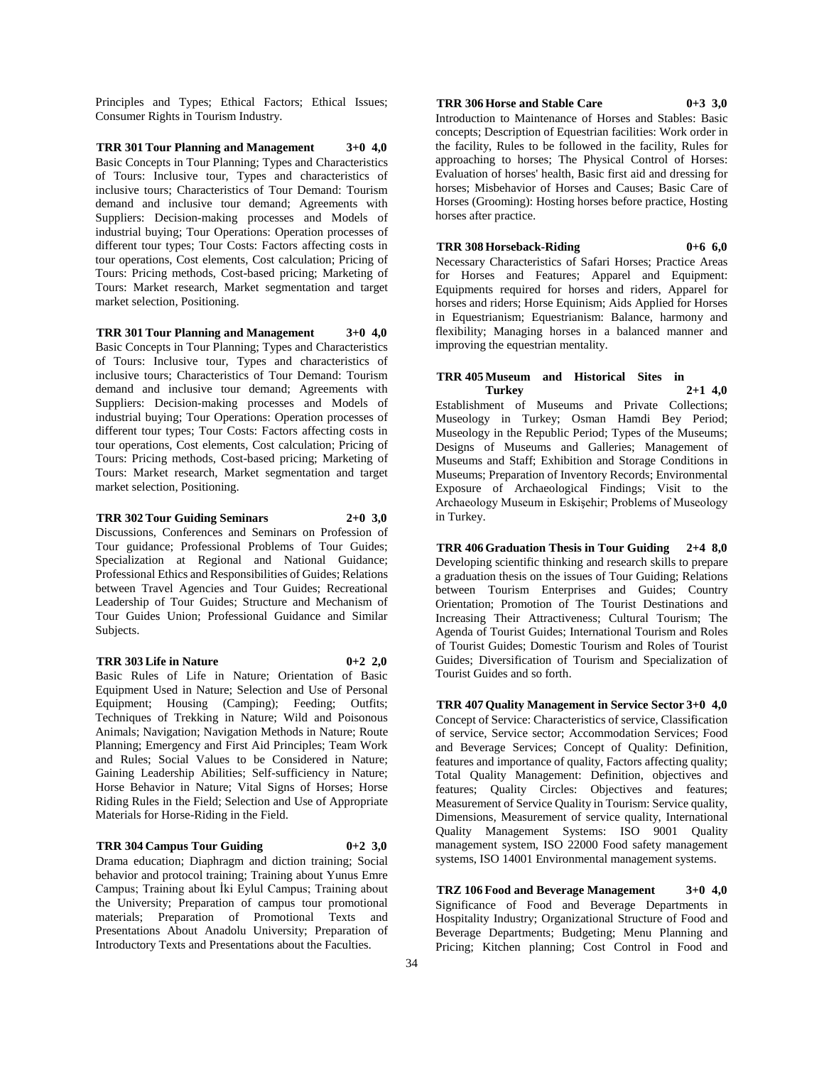Principles and Types; Ethical Factors; Ethical Issues; Consumer Rights in Tourism Industry.

**TRR 301 Tour Planning and Management 3+0 4,0** Basic Concepts in Tour Planning; Types and Characteristics of Tours: Inclusive tour, Types and characteristics of inclusive tours; Characteristics of Tour Demand: Tourism demand and inclusive tour demand; Agreements with Suppliers: Decision-making processes and Models of industrial buying; Tour Operations: Operation processes of different tour types; Tour Costs: Factors affecting costs in tour operations, Cost elements, Cost calculation; Pricing of Tours: Pricing methods, Cost-based pricing; Marketing of Tours: Market research, Market segmentation and target market selection, Positioning.

**TRR 301 Tour Planning and Management 3+0 4,0** Basic Concepts in Tour Planning; Types and Characteristics of Tours: Inclusive tour, Types and characteristics of inclusive tours; Characteristics of Tour Demand: Tourism demand and inclusive tour demand; Agreements with Suppliers: Decision-making processes and Models of industrial buying; Tour Operations: Operation processes of different tour types; Tour Costs: Factors affecting costs in tour operations, Cost elements, Cost calculation; Pricing of Tours: Pricing methods, Cost-based pricing; Marketing of Tours: Market research, Market segmentation and target market selection, Positioning.

## **TRR 302 Tour Guiding Seminars 2+0 3,0**

Discussions, Conferences and Seminars on Profession of Tour guidance; Professional Problems of Tour Guides; Specialization at Regional and National Guidance; Professional Ethics and Responsibilities of Guides; Relations between Travel Agencies and Tour Guides; Recreational Leadership of Tour Guides; Structure and Mechanism of

Tour Guides Union; Professional Guidance and Similar

#### **TRR 303 Life in Nature 0+2 2,0**

Subjects.

Basic Rules of Life in Nature; Orientation of Basic Equipment Used in Nature; Selection and Use of Personal Equipment; Housing (Camping); Feeding; Outfits; Techniques of Trekking in Nature; Wild and Poisonous Animals; Navigation; Navigation Methods in Nature; Route Planning; Emergency and First Aid Principles; Team Work and Rules; Social Values to be Considered in Nature; Gaining Leadership Abilities; Self-sufficiency in Nature; Horse Behavior in Nature; Vital Signs of Horses; Horse Riding Rules in the Field; Selection and Use of Appropriate Materials for Horse-Riding in the Field.

#### **TRR 304 Campus Tour Guiding 0+2 3,0**

Drama education; Diaphragm and diction training; Social behavior and protocol training; Training about Yunus Emre Campus; Training about İki Eylul Campus; Training about the University; Preparation of campus tour promotional materials; Preparation of Promotional Texts and Presentations About Anadolu University; Preparation of Introductory Texts and Presentations about the Faculties.

#### **TRR 306 Horse and Stable Care 0+3 3,0**

Introduction to Maintenance of Horses and Stables: Basic concepts; Description of Equestrian facilities: Work order in the facility, Rules to be followed in the facility, Rules for approaching to horses; The Physical Control of Horses: Evaluation of horses' health, Basic first aid and dressing for horses; Misbehavior of Horses and Causes; Basic Care of Horses (Grooming): Hosting horses before practice, Hosting horses after practice.

#### **TRR 308 Horseback-Riding 0+6 6,0**

Necessary Characteristics of Safari Horses; Practice Areas for Horses and Features; Apparel and Equipment: Equipments required for horses and riders, Apparel for horses and riders; Horse Equinism; Aids Applied for Horses in Equestrianism; Equestrianism: Balance, harmony and flexibility; Managing horses in a balanced manner and improving the equestrian mentality.

#### **TRR 405 Museum and Historical Sites in Turkey 2+1 4,0**

Establishment of Museums and Private Collections; Museology in Turkey; Osman Hamdi Bey Period; Museology in the Republic Period; Types of the Museums; Designs of Museums and Galleries; Management of Museums and Staff; Exhibition and Storage Conditions in Museums; Preparation of Inventory Records; Environmental Exposure of Archaeological Findings; Visit to the Archaeology Museum in Eskişehir; Problems of Museology in Turkey.

**TRR 406 Graduation Thesis in Tour Guiding 2+4 8,0** Developing scientific thinking and research skills to prepare a graduation thesis on the issues of Tour Guiding; Relations between Tourism Enterprises and Guides; Country Orientation; Promotion of The Tourist Destinations and Increasing Their Attractiveness; Cultural Tourism; The Agenda of Tourist Guides; International Tourism and Roles of Tourist Guides; Domestic Tourism and Roles of Tourist Guides; Diversification of Tourism and Specialization of Tourist Guides and so forth.

**TRR 407 Quality Management in Service Sector 3+0 4,0** Concept of Service: Characteristics of service, Classification of service, Service sector; Accommodation Services; Food and Beverage Services; Concept of Quality: Definition, features and importance of quality, Factors affecting quality; Total Quality Management: Definition, objectives and features; Quality Circles: Objectives and features; Measurement of Service Quality in Tourism: Service quality, Dimensions, Measurement of service quality, International Quality Management Systems: ISO 9001 Quality management system, ISO 22000 Food safety management systems, ISO 14001 Environmental management systems.

**TRZ 106 Food and Beverage Management 3+0 4,0** Significance of Food and Beverage Departments in Hospitality Industry; Organizational Structure of Food and Beverage Departments; Budgeting; Menu Planning and Pricing; Kitchen planning; Cost Control in Food and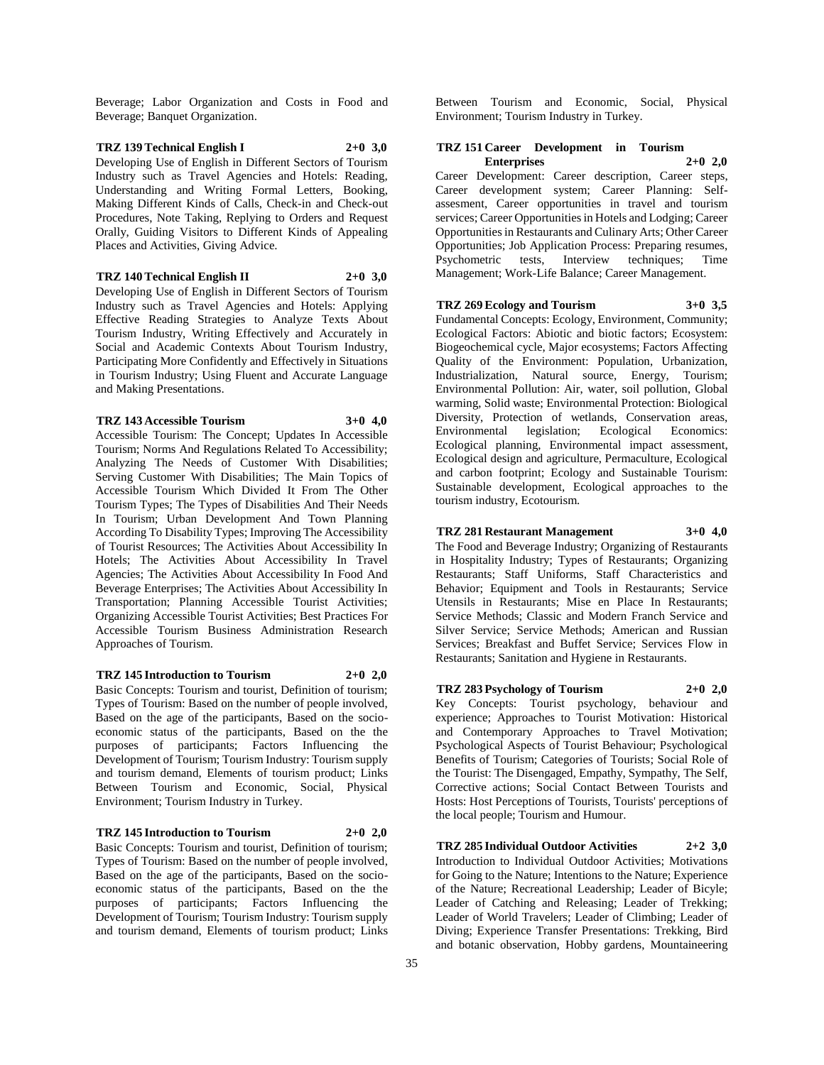Beverage; Labor Organization and Costs in Food and Beverage; Banquet Organization.

#### **TRZ 139 Technical English I 2+0 3,0** Developing Use of English in Different Sectors of Tourism Industry such as Travel Agencies and Hotels: Reading, Understanding and Writing Formal Letters, Booking, Making Different Kinds of Calls, Check-in and Check-out Procedures, Note Taking, Replying to Orders and Request Orally, Guiding Visitors to Different Kinds of Appealing Places and Activities, Giving Advice.

**TRZ 140 Technical English II 2+0 3,0** Developing Use of English in Different Sectors of Tourism Industry such as Travel Agencies and Hotels: Applying Effective Reading Strategies to Analyze Texts About Tourism Industry, Writing Effectively and Accurately in Social and Academic Contexts About Tourism Industry, Participating More Confidently and Effectively in Situations in Tourism Industry; Using Fluent and Accurate Language and Making Presentations.

**TRZ 143 Accessible Tourism 3+0 4,0** Accessible Tourism: The Concept; Updates In Accessible Tourism; Norms And Regulations Related To Accessibility; Analyzing The Needs of Customer With Disabilities; Serving Customer With Disabilities; The Main Topics of Accessible Tourism Which Divided It From The Other Tourism Types; The Types of Disabilities And Their Needs In Tourism; Urban Development And Town Planning According To Disability Types; Improving The Accessibility of Tourist Resources; The Activities About Accessibility In Hotels; The Activities About Accessibility In Travel Agencies; The Activities About Accessibility In Food And Beverage Enterprises; The Activities About Accessibility In Transportation; Planning Accessible Tourist Activities; Organizing Accessible Tourist Activities; Best Practices For Accessible Tourism Business Administration Research Approaches of Tourism.

## **TRZ 145 Introduction to Tourism 2+0 2,0** Basic Concepts: Tourism and tourist, Definition of tourism; Types of Tourism: Based on the number of people involved, Based on the age of the participants, Based on the socioeconomic status of the participants, Based on the the purposes of participants; Factors Influencing the Development of Tourism; Tourism Industry: Tourism supply

and tourism demand, Elements of tourism product; Links Between Tourism and Economic, Social, Physical

#### **TRZ 145 Introduction to Tourism 2+0 2,0**

Environment; Tourism Industry in Turkey.

Basic Concepts: Tourism and tourist, Definition of tourism; Types of Tourism: Based on the number of people involved, Based on the age of the participants, Based on the socioeconomic status of the participants, Based on the the purposes of participants; Factors Influencing the Development of Tourism; Tourism Industry: Tourism supply and tourism demand, Elements of tourism product; Links

Between Tourism and Economic, Social, Physical Environment; Tourism Industry in Turkey.

#### **TRZ 151 Career Development in Tourism Enterprises 2+0 2,0**

Career Development: Career description, Career steps, Career development system; Career Planning: Selfassesment, Career opportunities in travel and tourism services; Career Opportunities in Hotels and Lodging; Career Opportunities in Restaurants and Culinary Arts; Other Career Opportunities; Job Application Process: Preparing resumes, Psychometric tests, Interview techniques; Time Management; Work-Life Balance; Career Management.

#### **TRZ 269 Ecology and Tourism 3+0 3,5**

Fundamental Concepts: Ecology, Environment, Community; Ecological Factors: Abiotic and biotic factors; Ecosystem: Biogeochemical cycle, Major ecosystems; Factors Affecting Quality of the Environment: Population, Urbanization, Industrialization, Natural source, Energy, Tourism; Environmental Pollution: Air, water, soil pollution, Global warming, Solid waste; Environmental Protection: Biological Diversity, Protection of wetlands, Conservation areas, Environmental legislation; Ecological Economics: Ecological planning, Environmental impact assessment, Ecological design and agriculture, Permaculture, Ecological and carbon footprint; Ecology and Sustainable Tourism: Sustainable development, Ecological approaches to the tourism industry, Ecotourism.

#### **TRZ 281 Restaurant Management 3+0 4,0**

The Food and Beverage Industry; Organizing of Restaurants in Hospitality Industry; Types of Restaurants; Organizing Restaurants; Staff Uniforms, Staff Characteristics and Behavior; Equipment and Tools in Restaurants; Service Utensils in Restaurants; Mise en Place In Restaurants; Service Methods; Classic and Modern Franch Service and Silver Service; Service Methods; American and Russian Services; Breakfast and Buffet Service; Services Flow in Restaurants; Sanitation and Hygiene in Restaurants.

#### **TRZ 283 Psychology of Tourism 2+0 2,0**

Key Concepts: Tourist psychology, behaviour and experience; Approaches to Tourist Motivation: Historical and Contemporary Approaches to Travel Motivation; Psychological Aspects of Tourist Behaviour; Psychological Benefits of Tourism; Categories of Tourists; Social Role of the Tourist: The Disengaged, Empathy, Sympathy, The Self, Corrective actions; Social Contact Between Tourists and Hosts: Host Perceptions of Tourists, Tourists' perceptions of the local people; Tourism and Humour.

**TRZ 285 Individual Outdoor Activities 2+2 3,0** Introduction to Individual Outdoor Activities; Motivations for Going to the Nature; Intentions to the Nature; Experience of the Nature; Recreational Leadership; Leader of Bicyle; Leader of Catching and Releasing; Leader of Trekking; Leader of World Travelers; Leader of Climbing; Leader of Diving; Experience Transfer Presentations: Trekking, Bird and botanic observation, Hobby gardens, Mountaineering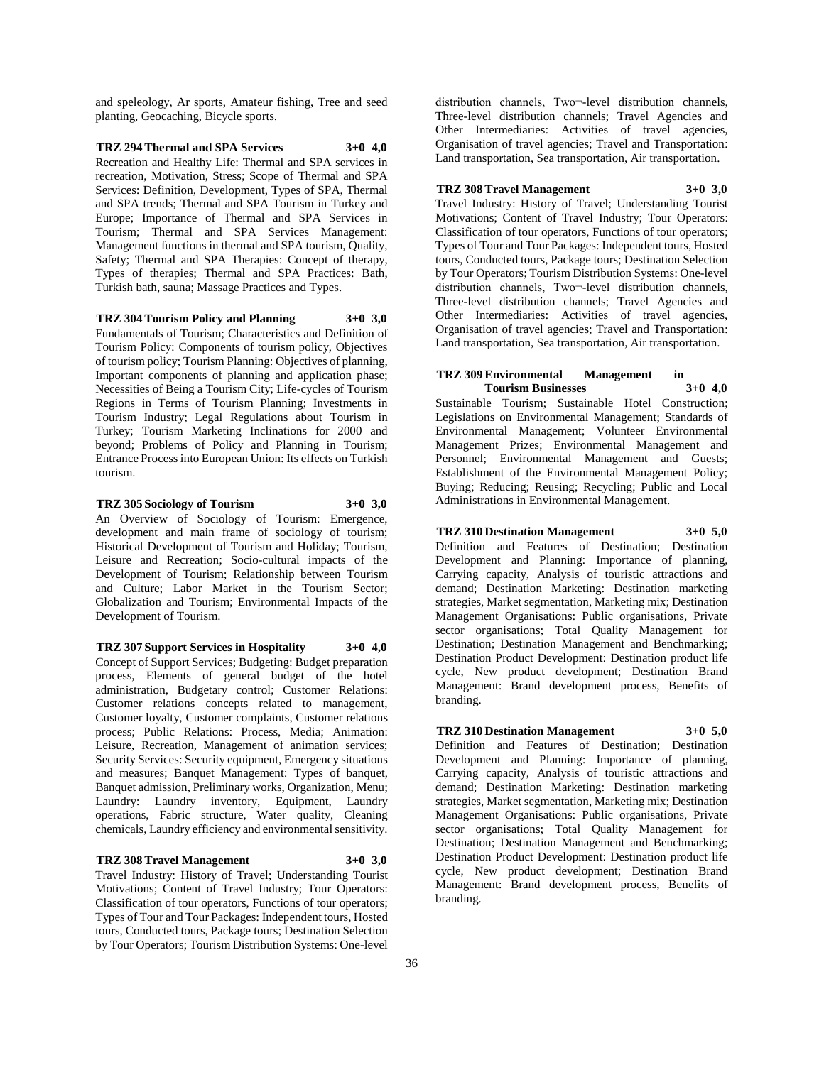and speleology, Ar sports, Amateur fishing, Tree and seed planting, Geocaching, Bicycle sports.

**TRZ 294 Thermal and SPA Services 3+0 4,0** Recreation and Healthy Life: Thermal and SPA services in recreation, Motivation, Stress; Scope of Thermal and SPA Services: Definition, Development, Types of SPA, Thermal and SPA trends; Thermal and SPA Tourism in Turkey and Europe; Importance of Thermal and SPA Services in Tourism; Thermal and SPA Services Management: Management functions in thermal and SPA tourism, Quality, Safety; Thermal and SPA Therapies: Concept of therapy, Types of therapies; Thermal and SPA Practices: Bath, Turkish bath, sauna; Massage Practices and Types.

#### **TRZ 304 Tourism Policy and Planning 3+0 3,0**

Fundamentals of Tourism; Characteristics and Definition of Tourism Policy: Components of tourism policy, Objectives of tourism policy; Tourism Planning: Objectives of planning, Important components of planning and application phase; Necessities of Being a Tourism City; Life-cycles of Tourism Regions in Terms of Tourism Planning; Investments in Tourism Industry; Legal Regulations about Tourism in Turkey; Tourism Marketing Inclinations for 2000 and beyond; Problems of Policy and Planning in Tourism; Entrance Process into European Union: Its effects on Turkish tourism.

## **TRZ 305 Sociology of Tourism 3+0 3,0**

An Overview of Sociology of Tourism: Emergence, development and main frame of sociology of tourism; Historical Development of Tourism and Holiday; Tourism, Leisure and Recreation; Socio-cultural impacts of the Development of Tourism; Relationship between Tourism and Culture; Labor Market in the Tourism Sector; Globalization and Tourism; Environmental Impacts of the Development of Tourism.

**TRZ 307 Support Services in Hospitality 3+0 4,0** Concept of Support Services; Budgeting: Budget preparation process, Elements of general budget of the hotel administration, Budgetary control; Customer Relations: Customer relations concepts related to management, Customer loyalty, Customer complaints, Customer relations process; Public Relations: Process, Media; Animation: Leisure, Recreation, Management of animation services; Security Services: Security equipment, Emergency situations and measures; Banquet Management: Types of banquet, Banquet admission, Preliminary works, Organization, Menu; Laundry: Laundry inventory, Equipment, Laundry operations, Fabric structure, Water quality, Cleaning chemicals, Laundry efficiency and environmental sensitivity.

**TRZ 308 Travel Management 3+0 3,0** Travel Industry: History of Travel; Understanding Tourist Motivations; Content of Travel Industry; Tour Operators: Classification of tour operators, Functions of tour operators; Types of Tour and Tour Packages: Independent tours, Hosted tours, Conducted tours, Package tours; Destination Selection by Tour Operators; Tourism Distribution Systems: One-level

distribution channels, Two¬-level distribution channels, Three-level distribution channels; Travel Agencies and Other Intermediaries: Activities of travel agencies, Organisation of travel agencies; Travel and Transportation: Land transportation, Sea transportation, Air transportation.

**TRZ 308 Travel Management 3+0 3,0**

Travel Industry: History of Travel; Understanding Tourist Motivations; Content of Travel Industry; Tour Operators: Classification of tour operators, Functions of tour operators; Types of Tour and Tour Packages: Independent tours, Hosted tours, Conducted tours, Package tours; Destination Selection by Tour Operators; Tourism Distribution Systems: One-level distribution channels, Two¬-level distribution channels, Three-level distribution channels; Travel Agencies and Other Intermediaries: Activities of travel agencies, Organisation of travel agencies; Travel and Transportation: Land transportation, Sea transportation, Air transportation.

#### **TRZ 309 Environmental Management in Tourism Businesses 3+0 4,0**

Sustainable Tourism; Sustainable Hotel Construction; Legislations on Environmental Management; Standards of Environmental Management; Volunteer Environmental Management Prizes; Environmental Management and Personnel; Environmental Management and Guests; Establishment of the Environmental Management Policy; Buying; Reducing; Reusing; Recycling; Public and Local Administrations in Environmental Management.

**TRZ 310 Destination Management 3+0 5,0** Definition and Features of Destination; Destination Development and Planning: Importance of planning, Carrying capacity, Analysis of touristic attractions and demand; Destination Marketing: Destination marketing strategies, Market segmentation, Marketing mix; Destination Management Organisations: Public organisations, Private sector organisations; Total Quality Management for Destination; Destination Management and Benchmarking; Destination Product Development: Destination product life cycle, New product development; Destination Brand Management: Brand development process, Benefits of branding.

#### **TRZ 310 Destination Management 3+0 5,0**

Definition and Features of Destination; Destination Development and Planning: Importance of planning, Carrying capacity, Analysis of touristic attractions and demand; Destination Marketing: Destination marketing strategies, Market segmentation, Marketing mix; Destination Management Organisations: Public organisations, Private sector organisations; Total Quality Management for Destination; Destination Management and Benchmarking; Destination Product Development: Destination product life cycle, New product development; Destination Brand Management: Brand development process, Benefits of branding.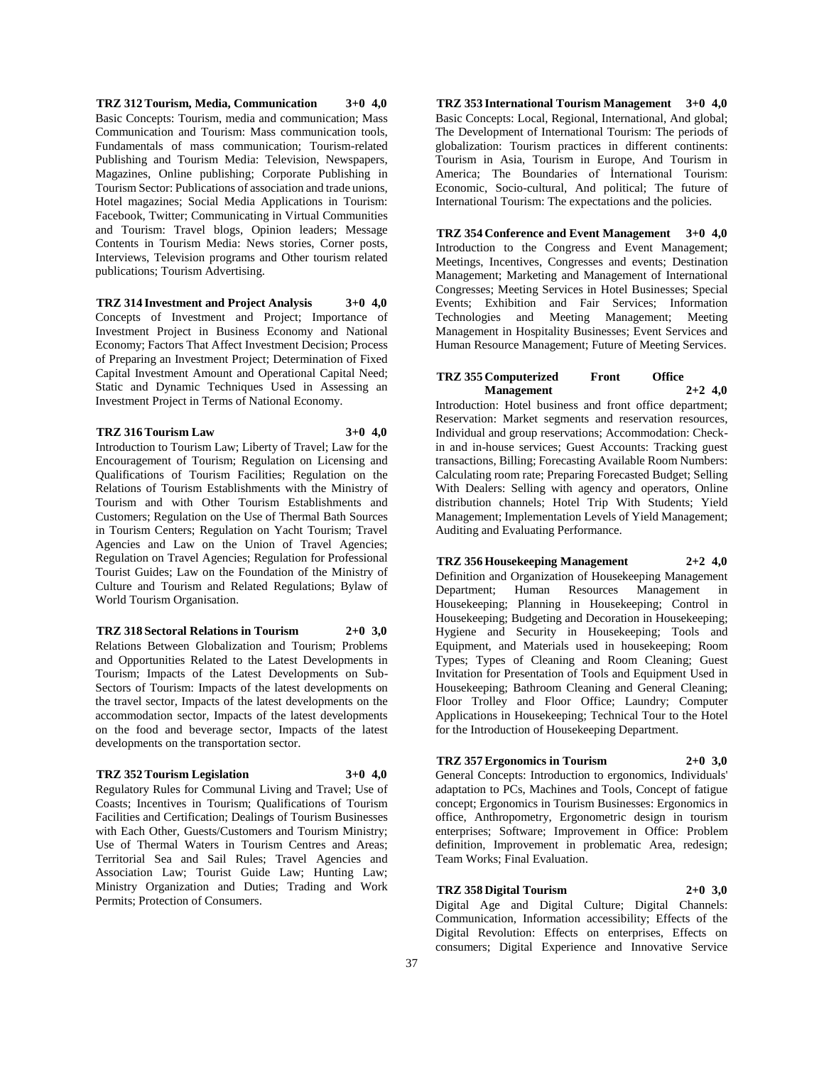**TRZ 312 Tourism, Media, Communication 3+0 4,0** Basic Concepts: Tourism, media and communication; Mass Communication and Tourism: Mass communication tools, Fundamentals of mass communication; Tourism-related Publishing and Tourism Media: Television, Newspapers, Magazines, Online publishing; Corporate Publishing in Tourism Sector: Publications of association and trade unions, Hotel magazines; Social Media Applications in Tourism: Facebook, Twitter; Communicating in Virtual Communities and Tourism: Travel blogs, Opinion leaders; Message Contents in Tourism Media: News stories, Corner posts, Interviews, Television programs and Other tourism related publications; Tourism Advertising.

#### **TRZ 314 Investment and Project Analysis 3+0 4,0**

Concepts of Investment and Project; Importance of Investment Project in Business Economy and National Economy; Factors That Affect Investment Decision; Process of Preparing an Investment Project; Determination of Fixed Capital Investment Amount and Operational Capital Need; Static and Dynamic Techniques Used in Assessing an Investment Project in Terms of National Economy.

#### **TRZ 316 Tourism Law 3+0 4,0**

Introduction to Tourism Law; Liberty of Travel; Law for the Encouragement of Tourism; Regulation on Licensing and Qualifications of Tourism Facilities; Regulation on the Relations of Tourism Establishments with the Ministry of Tourism and with Other Tourism Establishments and Customers; Regulation on the Use of Thermal Bath Sources in Tourism Centers; Regulation on Yacht Tourism; Travel Agencies and Law on the Union of Travel Agencies; Regulation on Travel Agencies; Regulation for Professional Tourist Guides; Law on the Foundation of the Ministry of Culture and Tourism and Related Regulations; Bylaw of World Tourism Organisation.

#### **TRZ 318 Sectoral Relations in Tourism 2+0 3,0**

Relations Between Globalization and Tourism; Problems and Opportunities Related to the Latest Developments in Tourism; Impacts of the Latest Developments on Sub-Sectors of Tourism: Impacts of the latest developments on the travel sector, Impacts of the latest developments on the accommodation sector, Impacts of the latest developments on the food and beverage sector, Impacts of the latest developments on the transportation sector.

#### **TRZ 352 Tourism Legislation 3+0 4,0**

Regulatory Rules for Communal Living and Travel; Use of Coasts; Incentives in Tourism; Qualifications of Tourism Facilities and Certification; Dealings of Tourism Businesses with Each Other, Guests/Customers and Tourism Ministry; Use of Thermal Waters in Tourism Centres and Areas; Territorial Sea and Sail Rules; Travel Agencies and Association Law; Tourist Guide Law; Hunting Law; Ministry Organization and Duties; Trading and Work Permits; Protection of Consumers.

**TRZ 353 International Tourism Management 3+0 4,0** Basic Concepts: Local, Regional, International, And global; The Development of International Tourism: The periods of globalization: Tourism practices in different continents: Tourism in Asia, Tourism in Europe, And Tourism in America; The Boundaries of İnternational Tourism: Economic, Socio-cultural, And political; The future of International Tourism: The expectations and the policies.

#### **TRZ 354 Conference and Event Management 3+0 4,0**

Introduction to the Congress and Event Management; Meetings, Incentives, Congresses and events; Destination Management; Marketing and Management of International Congresses; Meeting Services in Hotel Businesses; Special Events; Exhibition and Fair Services; Information Technologies and Meeting Management; Meeting Management in Hospitality Businesses; Event Services and Human Resource Management; Future of Meeting Services.

#### **TRZ 355 Computerized Front Office Management 2+2 4,0**

Introduction: Hotel business and front office department; Reservation: Market segments and reservation resources, Individual and group reservations; Accommodation: Checkin and in-house services; Guest Accounts: Tracking guest transactions, Billing; Forecasting Available Room Numbers: Calculating room rate; Preparing Forecasted Budget; Selling With Dealers: Selling with agency and operators, Online distribution channels; Hotel Trip With Students; Yield Management; Implementation Levels of Yield Management; Auditing and Evaluating Performance.

#### **TRZ 356 Housekeeping Management 2+2 4,0**

Definition and Organization of Housekeeping Management Department; Human Resources Management in Housekeeping; Planning in Housekeeping; Control in Housekeeping; Budgeting and Decoration in Housekeeping; Hygiene and Security in Housekeeping; Tools and Equipment, and Materials used in housekeeping; Room Types; Types of Cleaning and Room Cleaning; Guest Invitation for Presentation of Tools and Equipment Used in Housekeeping; Bathroom Cleaning and General Cleaning; Floor Trolley and Floor Office; Laundry; Computer Applications in Housekeeping; Technical Tour to the Hotel for the Introduction of Housekeeping Department.

#### **TRZ 357 Ergonomics in Tourism 2+0 3,0**

General Concepts: Introduction to ergonomics, Individuals' adaptation to PCs, Machines and Tools, Concept of fatigue concept; Ergonomics in Tourism Businesses: Ergonomics in office, Anthropometry, Ergonometric design in tourism enterprises; Software; Improvement in Office: Problem definition, Improvement in problematic Area, redesign; Team Works; Final Evaluation.

#### **TRZ 358 Digital Tourism 2+0 3,0**

Digital Age and Digital Culture; Digital Channels: Communication, Information accessibility; Effects of the Digital Revolution: Effects on enterprises, Effects on consumers; Digital Experience and Innovative Service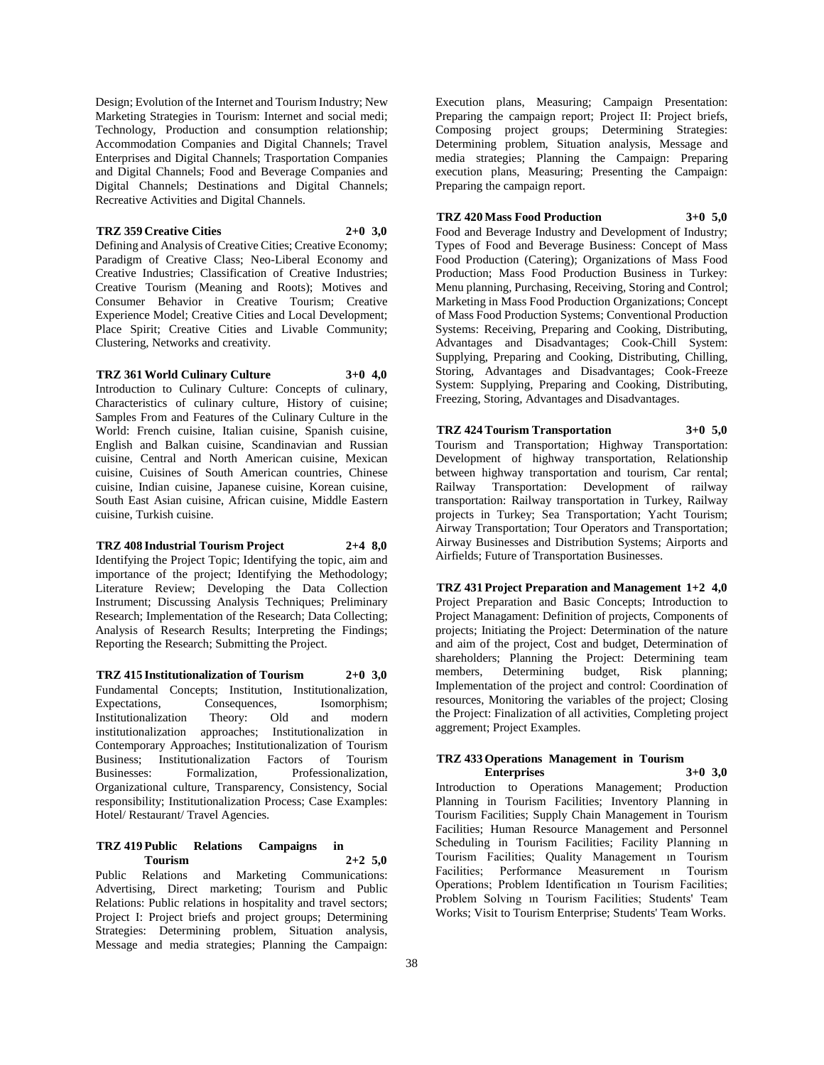Design; Evolution of the Internet and Tourism Industry; New Marketing Strategies in Tourism: Internet and social medi; Technology, Production and consumption relationship; Accommodation Companies and Digital Channels; Travel Enterprises and Digital Channels; Trasportation Companies and Digital Channels; Food and Beverage Companies and Digital Channels; Destinations and Digital Channels; Recreative Activities and Digital Channels.

#### **TRZ 359 Creative Cities 2+0 3,0**

Defining and Analysis of Creative Cities; Creative Economy; Paradigm of Creative Class; Neo-Liberal Economy and Creative Industries; Classification of Creative Industries; Creative Tourism (Meaning and Roots); Motives and Consumer Behavior in Creative Tourism; Creative Experience Model; Creative Cities and Local Development; Place Spirit; Creative Cities and Livable Community; Clustering, Networks and creativity.

**TRZ 361 World Culinary Culture 3+0 4,0**

Introduction to Culinary Culture: Concepts of culinary, Characteristics of culinary culture, History of cuisine; Samples From and Features of the Culinary Culture in the World: French cuisine, Italian cuisine, Spanish cuisine, English and Balkan cuisine, Scandinavian and Russian cuisine, Central and North American cuisine, Mexican cuisine, Cuisines of South American countries, Chinese cuisine, Indian cuisine, Japanese cuisine, Korean cuisine, South East Asian cuisine, African cuisine, Middle Eastern cuisine, Turkish cuisine.

**TRZ 408 Industrial Tourism Project 2+4 8,0** Identifying the Project Topic; Identifying the topic, aim and importance of the project; Identifying the Methodology; Literature Review; Developing the Data Collection Instrument; Discussing Analysis Techniques; Preliminary Research; Implementation of the Research; Data Collecting; Analysis of Research Results; Interpreting the Findings; Reporting the Research; Submitting the Project.

**TRZ 415 Institutionalization of Tourism 2+0 3,0** Fundamental Concepts; Institution, Institutionalization, Expectations, Consequences, Isomorphism; Institutionalization Theory: Old and modern institutionalization approaches; Institutionalization in Contemporary Approaches; Institutionalization of Tourism Business; Institutionalization Factors of Tourism Businesses: Formalization, Professionalization, Organizational culture, Transparency, Consistency, Social responsibility; Institutionalization Process; Case Examples: Hotel/ Restaurant/ Travel Agencies.

#### **TRZ 419 Public Relations Campaigns in Tourism 2+2 5,0**

Public Relations and Marketing Communications: Advertising, Direct marketing; Tourism and Public Relations: Public relations in hospitality and travel sectors; Project I: Project briefs and project groups; Determining Strategies: Determining problem, Situation analysis, Message and media strategies; Planning the Campaign:

Execution plans, Measuring; Campaign Presentation: Preparing the campaign report; Project II: Project briefs, Composing project groups; Determining Strategies: Determining problem, Situation analysis, Message and media strategies; Planning the Campaign: Preparing execution plans, Measuring; Presenting the Campaign: Preparing the campaign report.

#### **TRZ 420 Mass Food Production 3+0 5,0**

Food and Beverage Industry and Development of Industry; Types of Food and Beverage Business: Concept of Mass Food Production (Catering); Organizations of Mass Food Production; Mass Food Production Business in Turkey: Menu planning, Purchasing, Receiving, Storing and Control; Marketing in Mass Food Production Organizations; Concept of Mass Food Production Systems; Conventional Production Systems: Receiving, Preparing and Cooking, Distributing, Advantages and Disadvantages; Cook-Chill System: Supplying, Preparing and Cooking, Distributing, Chilling, Storing, Advantages and Disadvantages; Cook-Freeze System: Supplying, Preparing and Cooking, Distributing, Freezing, Storing, Advantages and Disadvantages.

**TRZ 424 Tourism Transportation 3+0 5,0** Tourism and Transportation; Highway Transportation: Development of highway transportation, Relationship between highway transportation and tourism, Car rental;<br>Railway Transportation: Development of railway Transportation: Development of railway transportation: Railway transportation in Turkey, Railway projects in Turkey; Sea Transportation; Yacht Tourism; Airway Transportation; Tour Operators and Transportation; Airway Businesses and Distribution Systems; Airports and Airfields; Future of Transportation Businesses.

**TRZ 431 Project Preparation and Management 1+2 4,0** Project Preparation and Basic Concepts; Introduction to Project Managament: Definition of projects, Components of projects; Initiating the Project: Determination of the nature and aim of the project, Cost and budget, Determination of shareholders; Planning the Project: Determining team members, Determining budget, Risk planning; Implementation of the project and control: Coordination of resources, Monitoring the variables of the project; Closing the Project: Finalization of all activities, Completing project aggrement; Project Examples.

#### **TRZ 433 Operations Management in Tourism Enterprises 3+0 3,0**

Introduction to Operations Management; Production Planning in Tourism Facilities; Inventory Planning in Tourism Facilities; Supply Chain Management in Tourism Facilities; Human Resource Management and Personnel Scheduling in Tourism Facilities; Facility Planning ın Tourism Facilities; Quality Management ın Tourism Facilities; Performance Measurement ın Tourism Operations; Problem Identification ın Tourism Facilities; Problem Solving ın Tourism Facilities; Students' Team Works; Visit to Tourism Enterprise; Students' Team Works.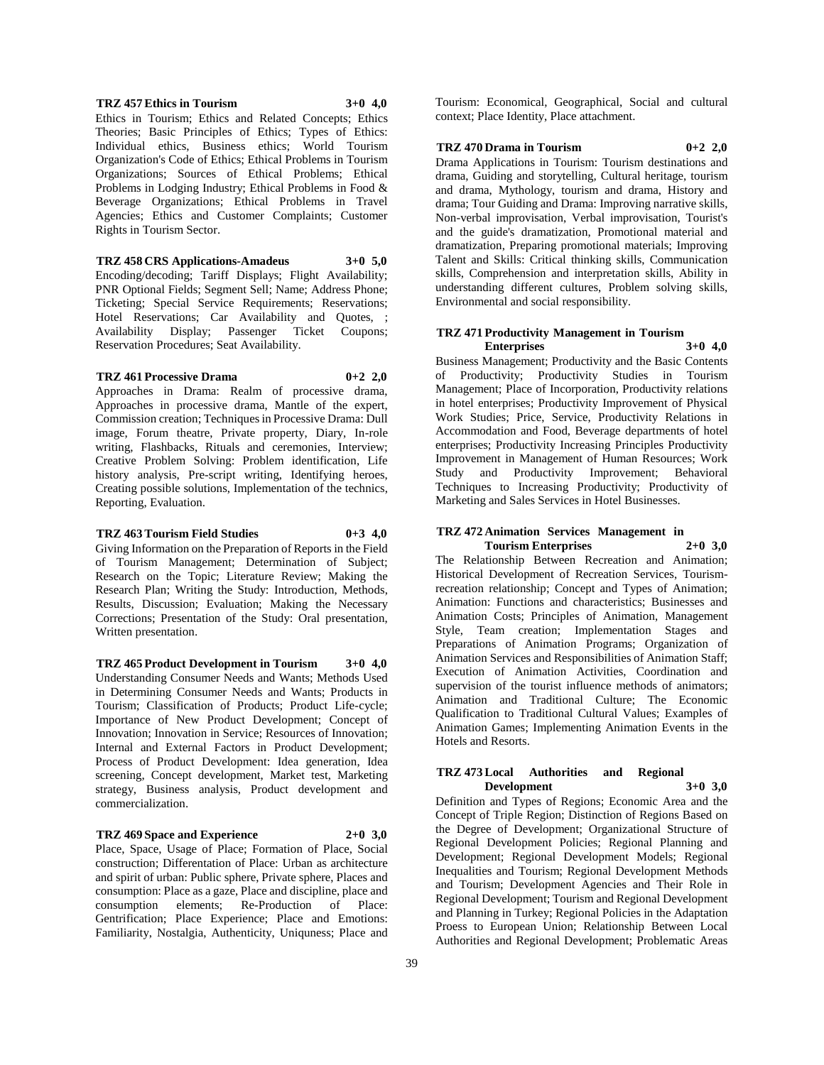#### **TRZ 457 Ethics in Tourism 3+0 4,0** Ethics in Tourism; Ethics and Related Concepts; Ethics Theories; Basic Principles of Ethics; Types of Ethics: Individual ethics, Business ethics; World Tourism Organization's Code of Ethics; Ethical Problems in Tourism Organizations; Sources of Ethical Problems; Ethical Problems in Lodging Industry; Ethical Problems in Food & Beverage Organizations; Ethical Problems in Travel Agencies; Ethics and Customer Complaints; Customer Rights in Tourism Sector.

**TRZ 458 CRS Applications-Amadeus 3+0 5,0** Encoding/decoding; Tariff Displays; Flight Availability; PNR Optional Fields; Segment Sell; Name; Address Phone; Ticketing; Special Service Requirements; Reservations; Hotel Reservations; Car Availability and Quotes, ; Availability Display; Passenger Ticket Coupons; Reservation Procedures; Seat Availability.

#### **TRZ 461 Processive Drama 0+2 2,0**

Approaches in Drama: Realm of processive drama, Approaches in processive drama, Mantle of the expert, Commission creation; Techniques in Processive Drama: Dull image, Forum theatre, Private property, Diary, In-role writing, Flashbacks, Rituals and ceremonies, Interview; Creative Problem Solving: Problem identification, Life history analysis, Pre-script writing, Identifying heroes, Creating possible solutions, Implementation of the technics, Reporting, Evaluation.

#### **TRZ 463 Tourism Field Studies 0+3 4,0**

Giving Information on the Preparation of Reports in the Field of Tourism Management; Determination of Subject; Research on the Topic; Literature Review; Making the Research Plan; Writing the Study: Introduction, Methods, Results, Discussion; Evaluation; Making the Necessary Corrections; Presentation of the Study: Oral presentation, Written presentation.

**TRZ 465 Product Development in Tourism 3+0 4,0** Understanding Consumer Needs and Wants; Methods Used in Determining Consumer Needs and Wants; Products in Tourism; Classification of Products; Product Life-cycle; Importance of New Product Development; Concept of Innovation; Innovation in Service; Resources of Innovation; Internal and External Factors in Product Development; Process of Product Development: Idea generation, Idea screening, Concept development, Market test, Marketing strategy, Business analysis, Product development and commercialization.

## **TRZ 469 Space and Experience 2+0 3,0**

Place, Space, Usage of Place; Formation of Place, Social construction; Differentation of Place: Urban as architecture and spirit of urban: Public sphere, Private sphere, Places and consumption: Place as a gaze, Place and discipline, place and consumption elements; Re-Production of Place: Gentrification; Place Experience; Place and Emotions: Familiarity, Nostalgia, Authenticity, Uniquness; Place and

Tourism: Economical, Geographical, Social and cultural context; Place Identity, Place attachment.

#### **TRZ 470 Drama in Tourism 0+2 2,0**

Drama Applications in Tourism: Tourism destinations and drama, Guiding and storytelling, Cultural heritage, tourism and drama, Mythology, tourism and drama, History and drama; Tour Guiding and Drama: Improving narrative skills, Non-verbal improvisation, Verbal improvisation, Tourist's and the guide's dramatization, Promotional material and dramatization, Preparing promotional materials; Improving Talent and Skills: Critical thinking skills, Communication skills, Comprehension and interpretation skills, Ability in understanding different cultures, Problem solving skills, Environmental and social responsibility.

#### **TRZ 471 Productivity Management in Tourism Enterprises 3+0 4,0**

Business Management; Productivity and the Basic Contents of Productivity; Productivity Studies in Tourism Management; Place of Incorporation, Productivity relations in hotel enterprises; Productivity Improvement of Physical Work Studies; Price, Service, Productivity Relations in Accommodation and Food, Beverage departments of hotel enterprises; Productivity Increasing Principles Productivity Improvement in Management of Human Resources; Work Study and Productivity Improvement; Behavioral Techniques to Increasing Productivity; Productivity of Marketing and Sales Services in Hotel Businesses.

#### **TRZ 472 Animation Services Management in Tourism Enterprises 2+0 3,0**

The Relationship Between Recreation and Animation; Historical Development of Recreation Services, Tourismrecreation relationship; Concept and Types of Animation; Animation: Functions and characteristics; Businesses and Animation Costs; Principles of Animation, Management Style, Team creation; Implementation Stages and Preparations of Animation Programs; Organization of Animation Services and Responsibilities of Animation Staff; Execution of Animation Activities, Coordination and supervision of the tourist influence methods of animators; Animation and Traditional Culture; The Economic Qualification to Traditional Cultural Values; Examples of Animation Games; Implementing Animation Events in the Hotels and Resorts.

#### **TRZ 473 Local Authorities and Regional Development 3+0 3,0**

Definition and Types of Regions; Economic Area and the Concept of Triple Region; Distinction of Regions Based on the Degree of Development; Organizational Structure of Regional Development Policies; Regional Planning and Development; Regional Development Models; Regional Inequalities and Tourism; Regional Development Methods and Tourism; Development Agencies and Their Role in Regional Development; Tourism and Regional Development and Planning in Turkey; Regional Policies in the Adaptation Proess to European Union; Relationship Between Local Authorities and Regional Development; Problematic Areas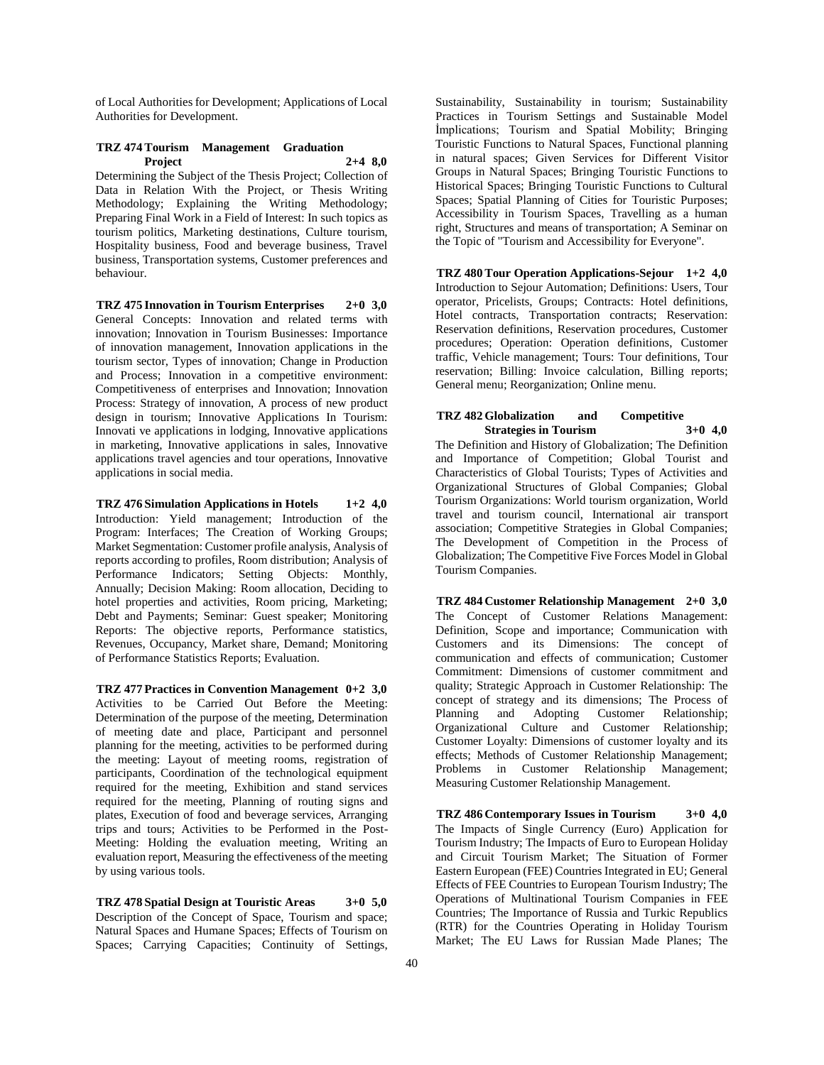of Local Authorities for Development; Applications of Local Authorities for Development.

#### **TRZ 474 Tourism Management Graduation Project 2+4 8,0**

Determining the Subject of the Thesis Project; Collection of Data in Relation With the Project, or Thesis Writing Methodology; Explaining the Writing Methodology; Preparing Final Work in a Field of Interest: In such topics as tourism politics, Marketing destinations, Culture tourism, Hospitality business, Food and beverage business, Travel business, Transportation systems, Customer preferences and behaviour.

**TRZ 475 Innovation in Tourism Enterprises 2+0 3,0** General Concepts: Innovation and related terms with innovation; Innovation in Tourism Businesses: Importance of innovation management, Innovation applications in the tourism sector, Types of innovation; Change in Production and Process; Innovation in a competitive environment: Competitiveness of enterprises and Innovation; Innovation Process: Strategy of innovation, A process of new product design in tourism; Innovative Applications In Tourism: Innovati ve applications in lodging, Innovative applications in marketing, Innovative applications in sales, Innovative applications travel agencies and tour operations, Innovative applications in social media.

**TRZ 476 Simulation Applications in Hotels 1+2 4,0** Introduction: Yield management; Introduction of the Program: Interfaces; The Creation of Working Groups; Market Segmentation: Customer profile analysis, Analysis of reports according to profiles, Room distribution; Analysis of Performance Indicators; Setting Objects: Monthly, Annually; Decision Making: Room allocation, Deciding to hotel properties and activities, Room pricing, Marketing; Debt and Payments; Seminar: Guest speaker; Monitoring Reports: The objective reports, Performance statistics, Revenues, Occupancy, Market share, Demand; Monitoring of Performance Statistics Reports; Evaluation.

**TRZ 477 Practices in Convention Management 0+2 3,0** Activities to be Carried Out Before the Meeting: Determination of the purpose of the meeting, Determination of meeting date and place, Participant and personnel planning for the meeting, activities to be performed during the meeting: Layout of meeting rooms, registration of participants, Coordination of the technological equipment required for the meeting, Exhibition and stand services required for the meeting, Planning of routing signs and plates, Execution of food and beverage services, Arranging trips and tours; Activities to be Performed in the Post-Meeting: Holding the evaluation meeting, Writing an evaluation report, Measuring the effectiveness of the meeting by using various tools.

**TRZ 478 Spatial Design at Touristic Areas 3+0 5,0** Description of the Concept of Space, Tourism and space; Natural Spaces and Humane Spaces; Effects of Tourism on Spaces; Carrying Capacities; Continuity of Settings,

Sustainability, Sustainability in tourism; Sustainability Practices in Tourism Settings and Sustainable Model İmplications; Tourism and Spatial Mobility; Bringing Touristic Functions to Natural Spaces, Functional planning in natural spaces; Given Services for Different Visitor Groups in Natural Spaces; Bringing Touristic Functions to Historical Spaces; Bringing Touristic Functions to Cultural Spaces; Spatial Planning of Cities for Touristic Purposes; Accessibility in Tourism Spaces, Travelling as a human right, Structures and means of transportation; A Seminar on the Topic of "Tourism and Accessibility for Everyone".

**TRZ 480 Tour Operation Applications-Sejour 1+2 4,0** Introduction to Sejour Automation; Definitions: Users, Tour operator, Pricelists, Groups; Contracts: Hotel definitions, Hotel contracts, Transportation contracts; Reservation: Reservation definitions, Reservation procedures, Customer procedures; Operation: Operation definitions, Customer traffic, Vehicle management; Tours: Tour definitions, Tour reservation; Billing: Invoice calculation, Billing reports; General menu; Reorganization; Online menu.

## **TRZ 482 Globalization and Competitive Strategies in Tourism 3+0 4,0** The Definition and History of Globalization; The Definition

and Importance of Competition; Global Tourist and Characteristics of Global Tourists; Types of Activities and Organizational Structures of Global Companies; Global Tourism Organizations: World tourism organization, World travel and tourism council, International air transport association; Competitive Strategies in Global Companies; The Development of Competition in the Process of Globalization; The Competitive Five Forces Model in Global Tourism Companies.

**TRZ 484 Customer Relationship Management 2+0 3,0** The Concept of Customer Relations Management: Definition, Scope and importance; Communication with Customers and its Dimensions: The concept of communication and effects of communication; Customer Commitment: Dimensions of customer commitment and quality; Strategic Approach in Customer Relationship: The concept of strategy and its dimensions; The Process of Planning and Adopting Customer Relationship; Organizational Culture and Customer Relationship; Customer Loyalty: Dimensions of customer loyalty and its effects; Methods of Customer Relationship Management; Problems in Customer Relationship Management; Measuring Customer Relationship Management.

**TRZ 486 Contemporary Issues in Tourism 3+0 4,0** The Impacts of Single Currency (Euro) Application for Tourism Industry; The Impacts of Euro to European Holiday and Circuit Tourism Market; The Situation of Former Eastern European (FEE) Countries Integrated in EU; General Effects of FEE Countries to European Tourism Industry; The Operations of Multinational Tourism Companies in FEE Countries; The Importance of Russia and Turkic Republics (RTR) for the Countries Operating in Holiday Tourism Market; The EU Laws for Russian Made Planes; The